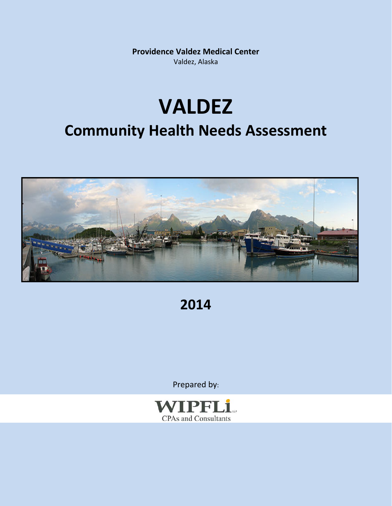**Providence Valdez Medical Center** Valdez, Alaska

## **VALDEZ Community Health Needs Assessment**



**2014**

Prepared by:

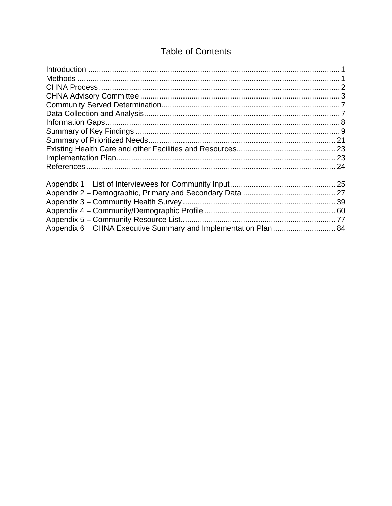#### **Table of Contents**

| Appendix 6 – CHNA Executive Summary and Implementation Plan  84 |  |
|-----------------------------------------------------------------|--|
|                                                                 |  |
|                                                                 |  |
|                                                                 |  |
|                                                                 |  |
|                                                                 |  |
|                                                                 |  |
|                                                                 |  |
|                                                                 |  |
|                                                                 |  |
|                                                                 |  |
|                                                                 |  |
|                                                                 |  |
|                                                                 |  |
|                                                                 |  |
|                                                                 |  |
|                                                                 |  |
|                                                                 |  |
|                                                                 |  |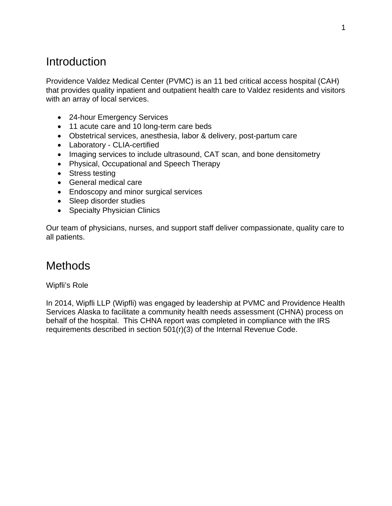## Introduction

Providence Valdez Medical Center (PVMC) is an 11 bed critical access hospital (CAH) that provides quality inpatient and outpatient health care to Valdez residents and visitors with an array of local services.

- 24-hour Emergency Services
- 11 acute care and 10 long-term care beds
- Obstetrical services, anesthesia, labor & delivery, post-partum care
- Laboratory CLIA-certified
- Imaging services to include ultrasound, CAT scan, and bone densitometry
- Physical, Occupational and Speech Therapy
- Stress testing
- General medical care
- Endoscopy and minor surgical services
- Sleep disorder studies
- Specialty Physician Clinics

Our team of physicians, nurses, and support staff deliver compassionate, quality care to all patients.

## Methods

#### Wipfli's Role

In 2014, Wipfli LLP (Wipfli) was engaged by leadership at PVMC and Providence Health Services Alaska to facilitate a community health needs assessment (CHNA) process on behalf of the hospital. This CHNA report was completed in compliance with the IRS requirements described in section 501(r)(3) of the Internal Revenue Code.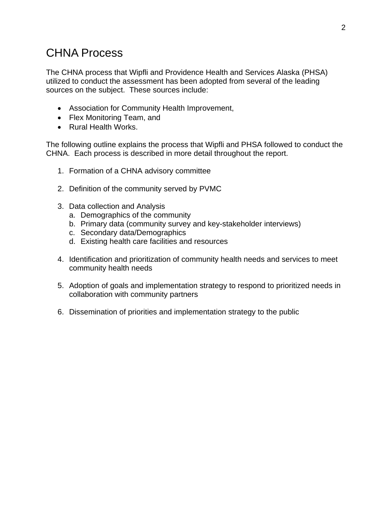## CHNA Process

The CHNA process that Wipfli and Providence Health and Services Alaska (PHSA) utilized to conduct the assessment has been adopted from several of the leading sources on the subject. These sources include:

- Association for Community Health Improvement,
- Flex Monitoring Team, and
- Rural Health Works.

The following outline explains the process that Wipfli and PHSA followed to conduct the CHNA. Each process is described in more detail throughout the report.

- 1. Formation of a CHNA advisory committee
- 2. Definition of the community served by PVMC
- 3. Data collection and Analysis
	- a. Demographics of the community
	- b. Primary data (community survey and key-stakeholder interviews)
	- c. Secondary data/Demographics
	- d. Existing health care facilities and resources
- 4. Identification and prioritization of community health needs and services to meet community health needs
- 5. Adoption of goals and implementation strategy to respond to prioritized needs in collaboration with community partners
- 6. Dissemination of priorities and implementation strategy to the public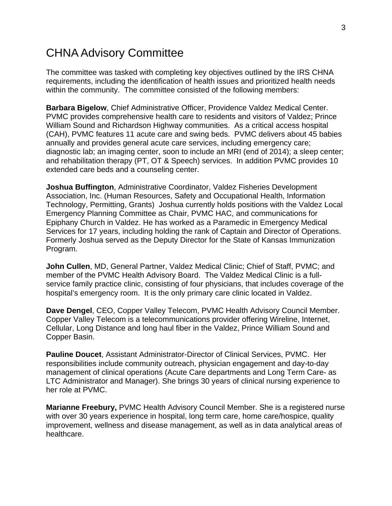## CHNA Advisory Committee

The committee was tasked with completing key objectives outlined by the IRS CHNA requirements, including the identification of health issues and prioritized health needs within the community. The committee consisted of the following members:

**Barbara Bigelow**, Chief Administrative Officer, Providence Valdez Medical Center. PVMC provides comprehensive health care to residents and visitors of Valdez; Prince William Sound and Richardson Highway communities. As a critical access hospital (CAH), PVMC features 11 acute care and swing beds. PVMC delivers about 45 babies annually and provides general acute care services, including emergency care; diagnostic lab; an imaging center, soon to include an MRI (end of 2014); a sleep center; and rehabilitation therapy (PT, OT & Speech) services. In addition PVMC provides 10 extended care beds and a counseling center.

**Joshua Buffington**, Administrative Coordinator, Valdez Fisheries Development Association, Inc. (Human Resources, Safety and Occupational Health, Information Technology, Permitting, Grants) Joshua currently holds positions with the Valdez Local Emergency Planning Committee as Chair, PVMC HAC, and communications for Epiphany Church in Valdez. He has worked as a Paramedic in Emergency Medical Services for 17 years, including holding the rank of Captain and Director of Operations. Formerly Joshua served as the Deputy Director for the State of Kansas Immunization Program.

**John Cullen**, MD, General Partner, Valdez Medical Clinic; Chief of Staff, PVMC; and member of the PVMC Health Advisory Board. The Valdez Medical Clinic is a fullservice family practice clinic, consisting of four physicians, that includes coverage of the hospital's emergency room. It is the only primary care clinic located in Valdez.

**Dave Dengel**, CEO, Copper Valley Telecom, PVMC Health Advisory Council Member. Copper Valley Telecom is a telecommunications provider offering Wireline, Internet, Cellular, Long Distance and long haul fiber in the Valdez, Prince William Sound and Copper Basin.

**Pauline Doucet**, Assistant Administrator-Director of Clinical Services, PVMC. Her responsibilities include community outreach, physician engagement and day-to-day management of clinical operations (Acute Care departments and Long Term Care- as LTC Administrator and Manager). She brings 30 years of clinical nursing experience to her role at PVMC.

**Marianne Freebury,** PVMC Health Advisory Council Member. She is a registered nurse with over 30 years experience in hospital, long term care, home care/hospice, quality improvement, wellness and disease management, as well as in data analytical areas of healthcare.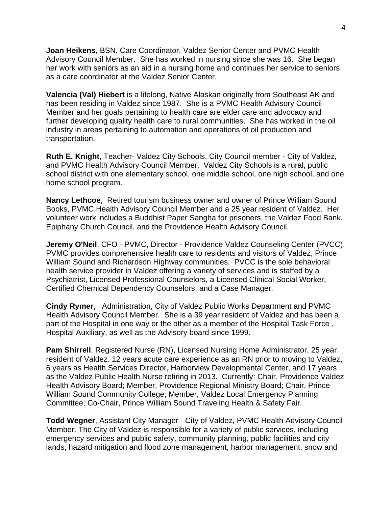**Joan Heikens**, BSN. Care Coordinator, Valdez Senior Center and PVMC Health Advisory Council Member. She has worked in nursing since she was 16. She began her work with seniors as an aid in a nursing home and continues her service to seniors as a care coordinator at the Valdez Senior Center.

**Valencia (Val) Hiebert** is a lifelong, Native Alaskan originally from Southeast AK and has been residing in Valdez since 1987. She is a PVMC Health Advisory Council Member and her goals pertaining to health care are elder care and advocacy and further developing quality health care to rural communities. She has worked in the oil industry in areas pertaining to automation and operations of oil production and transportation.

**Ruth E. Knight**, Teacher- Valdez City Schools, City Council member - City of Valdez, and PVMC Health Advisory Council Member. Valdez City Schools is a rural, public school district with one elementary school, one middle school, one high school, and one home school program.

**Nancy Lethcoe**, Retired tourism business owner and owner of Prince William Sound Books, PVMC Health Advisory Council Member and a 25 year resident of Valdez. Her volunteer work includes a Buddhist Paper Sangha for prisoners, the Valdez Food Bank, Epiphany Church Council, and the Providence Health Advisory Council.

**Jeremy O'Neil**, CFO - PVMC, Director - Providence Valdez Counseling Center (PVCC). PVMC provides comprehensive health care to residents and visitors of Valdez; Prince William Sound and Richardson Highway communities. PVCC is the sole behavioral health service provider in Valdez offering a variety of services and is staffed by a Psychiatrist, Licensed Professional Counselors, a Licensed Clinical Social Worker, Certified Chemical Dependency Counselors, and a Case Manager.

**Cindy Rymer**, Administration, City of Valdez Public Works Department and PVMC Health Advisory Council Member. She is a 39 year resident of Valdez and has been a part of the Hospital in one way or the other as a member of the Hospital Task Force , Hospital Auxiliary, as well as the Advisory board since 1999.

**Pam Shirrell**, Registered Nurse (RN), Licensed Nursing Home Administrator, 25 year resident of Valdez. 12 years acute care experience as an RN prior to moving to Valdez, 6 years as Health Services Director, Harborview Developmental Center, and 17 years as the Valdez Public Health Nurse retiring in 2013. Currently: Chair, Providence Valdez Health Advisory Board; Member, Providence Regional Ministry Board; Chair, Prince William Sound Community College; Member, Valdez Local Emergency Planning Committee; Co-Chair, Prince William Sound Traveling Health & Safety Fair.

**Todd Wegner**, Assistant City Manager - City of Valdez, PVMC Health Advisory Council Member. The City of Valdez is responsible for a variety of public services, including emergency services and public safety, community planning, public facilities and city lands, hazard mitigation and flood zone management, harbor management, snow and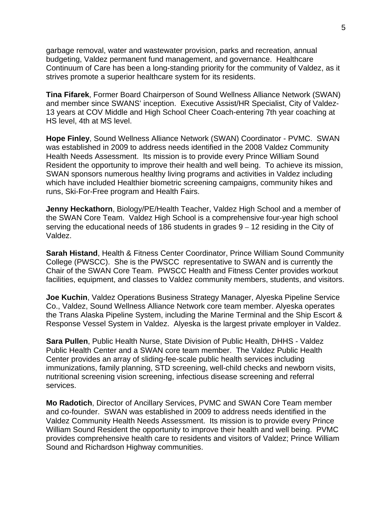garbage removal, water and wastewater provision, parks and recreation, annual budgeting, Valdez permanent fund management, and governance. Healthcare Continuum of Care has been a long-standing priority for the community of Valdez, as it strives promote a superior healthcare system for its residents.

**Tina Fifarek**, Former Board Chairperson of Sound Wellness Alliance Network (SWAN) and member since SWANS' inception. Executive Assist/HR Specialist, City of Valdez-13 years at COV Middle and High School Cheer Coach-entering 7th year coaching at HS level, 4th at MS level.

**Hope Finley**, Sound Wellness Alliance Network (SWAN) Coordinator - PVMC. SWAN was established in 2009 to address needs identified in the 2008 Valdez Community Health Needs Assessment. Its mission is to provide every Prince William Sound Resident the opportunity to improve their health and well being. To achieve its mission, SWAN sponsors numerous healthy living programs and activities in Valdez including which have included Healthier biometric screening campaigns, community hikes and runs, Ski-For-Free program and Health Fairs.

**Jenny Heckathorn**, Biology/PE/Health Teacher, Valdez High School and a member of the SWAN Core Team. Valdez High School is a comprehensive four-year high school serving the educational needs of 186 students in grades 9 – 12 residing in the City of Valdez.

**Sarah Histand**, Health & Fitness Center Coordinator, Prince William Sound Community College (PWSCC). She is the PWSCC representative to SWAN and is currently the Chair of the SWAN Core Team. PWSCC Health and Fitness Center provides workout facilities, equipment, and classes to Valdez community members, students, and visitors.

**Joe Kuchin**, Valdez Operations Business Strategy Manager, Alyeska Pipeline Service Co., Valdez, Sound Wellness Alliance Network core team member. Alyeska operates the Trans Alaska Pipeline System, including the Marine Terminal and the Ship Escort & Response Vessel System in Valdez. Alyeska is the largest private employer in Valdez.

**Sara Pullen**, Public Health Nurse, State Division of Public Health, DHHS - Valdez Public Health Center and a SWAN core team member. The Valdez Public Health Center provides an array of sliding-fee-scale public health services including immunizations, family planning, STD screening, well-child checks and newborn visits, nutritional screening vision screening, infectious disease screening and referral services.

**Mo Radotich**, Director of Ancillary Services, PVMC and SWAN Core Team member and co-founder. SWAN was established in 2009 to address needs identified in the Valdez Community Health Needs Assessment. Its mission is to provide every Prince William Sound Resident the opportunity to improve their health and well being. PVMC provides comprehensive health care to residents and visitors of Valdez; Prince William Sound and Richardson Highway communities.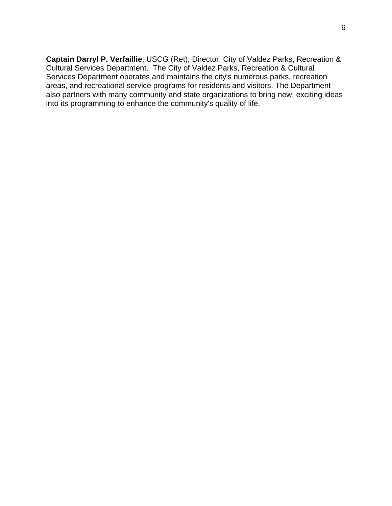**Captain Darryl P. Verfaillie**, USCG (Ret), Director, City of Valdez Parks, Recreation & Cultural Services Department. The City of Valdez Parks, Recreation & Cultural Services Department operates and maintains the city's numerous parks, recreation areas, and recreational service programs for residents and visitors. The Department also partners with many community and state organizations to bring new, exciting ideas into its programming to enhance the community's quality of life.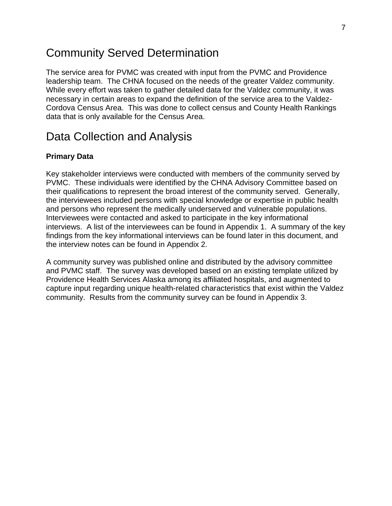### Community Served Determination

The service area for PVMC was created with input from the PVMC and Providence leadership team. The CHNA focused on the needs of the greater Valdez community. While every effort was taken to gather detailed data for the Valdez community, it was necessary in certain areas to expand the definition of the service area to the Valdez-Cordova Census Area. This was done to collect census and County Health Rankings data that is only available for the Census Area.

## Data Collection and Analysis

#### **Primary Data**

Key stakeholder interviews were conducted with members of the community served by PVMC. These individuals were identified by the CHNA Advisory Committee based on their qualifications to represent the broad interest of the community served. Generally, the interviewees included persons with special knowledge or expertise in public health and persons who represent the medically underserved and vulnerable populations. Interviewees were contacted and asked to participate in the key informational interviews. A list of the interviewees can be found in Appendix 1. A summary of the key findings from the key informational interviews can be found later in this document, and the interview notes can be found in Appendix 2.

A community survey was published online and distributed by the advisory committee and PVMC staff. The survey was developed based on an existing template utilized by Providence Health Services Alaska among its affiliated hospitals, and augmented to capture input regarding unique health-related characteristics that exist within the Valdez community. Results from the community survey can be found in Appendix 3.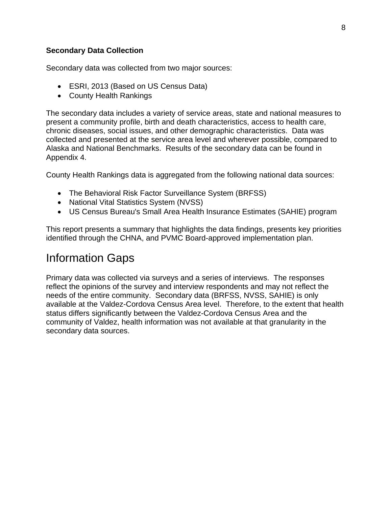#### **Secondary Data Collection**

Secondary data was collected from two major sources:

- ESRI, 2013 (Based on US Census Data)
- County Health Rankings

The secondary data includes a variety of service areas, state and national measures to present a community profile, birth and death characteristics, access to health care, chronic diseases, social issues, and other demographic characteristics. Data was collected and presented at the service area level and wherever possible, compared to Alaska and National Benchmarks. Results of the secondary data can be found in Appendix 4.

County Health Rankings data is aggregated from the following national data sources:

- The Behavioral Risk Factor Surveillance System (BRFSS)
- National Vital Statistics System (NVSS)
- US Census Bureau's Small Area Health Insurance Estimates (SAHIE) program

This report presents a summary that highlights the data findings, presents key priorities identified through the CHNA, and PVMC Board-approved implementation plan.

## Information Gaps

Primary data was collected via surveys and a series of interviews. The responses reflect the opinions of the survey and interview respondents and may not reflect the needs of the entire community. Secondary data (BRFSS, NVSS, SAHIE) is only available at the Valdez-Cordova Census Area level. Therefore, to the extent that health status differs significantly between the Valdez-Cordova Census Area and the community of Valdez, health information was not available at that granularity in the secondary data sources.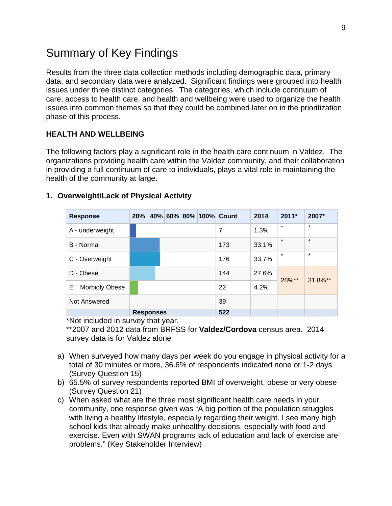## Summary of Key Findings

Results from the three data collection methods including demographic data, primary data, and secondary data were analyzed. Significant findings were grouped into health issues under three distinct categories. The categories, which include continuum of care, access to health care, and health and wellbeing were used to organize the health issues into common themes so that they could be combined later on in the prioritization phase of this process.

#### **HEALTH AND WELLBEING**

The following factors play a significant role in the health care continuum in Valdez. The organizations providing health care within the Valdez community, and their collaboration in providing a full continuum of care to individuals, plays a vital role in maintaining the health of the community at large.

| <b>Response</b>    | 20% |                  |  | 40% 60% 80% 100% Count | 2014  | $2011*$ | 2007*   |
|--------------------|-----|------------------|--|------------------------|-------|---------|---------|
| A - underweight    |     |                  |  | 7                      | 1.3%  | $\star$ | $\star$ |
| B - Normal         |     |                  |  | 173                    | 33.1% | $\star$ | $\star$ |
| C - Overweight     |     |                  |  | 176                    | 33.7% | $\star$ | $\star$ |
| D - Obese          |     |                  |  | 144                    | 27.6% |         |         |
| E - Morbidly Obese |     |                  |  | 22                     | 4.2%  | 28%**   | 31.8%** |
| Not Answered       |     |                  |  | 39                     |       |         |         |
|                    |     | <b>Responses</b> |  | 522                    |       |         |         |

#### **1. Overweight/Lack of Physical Activity**

\*Not included in survey that year.

\*\*2007 and 2012 data from BRFSS for **Valdez/Cordova** census area. 2014 survey data is for Valdez alone.

- a) When surveyed how many days per week do you engage in physical activity for a total of 30 minutes or more, 36.6% of respondents indicated none or 1-2 days (Survey Question 15)
- b) 65.5% of survey respondents reported BMI of overweight, obese or very obese (Survey Question 21)
- c) When asked what are the three most significant health care needs in your community, one response given was "A big portion of the population struggles with living a healthy lifestyle, especially regarding their weight. I see many high school kids that already make unhealthy decisions, especially with food and exercise. Even with SWAN programs lack of education and lack of exercise are problems." (Key Stakeholder Interview)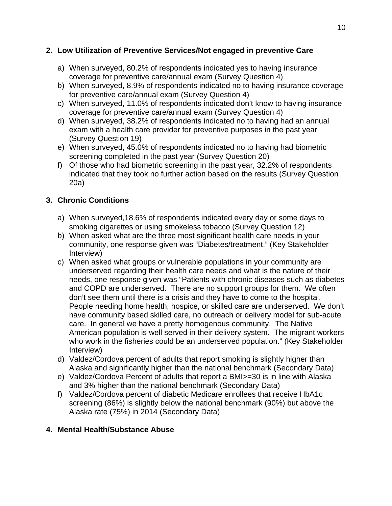#### **2. Low Utilization of Preventive Services/Not engaged in preventive Care**

- a) When surveyed, 80.2% of respondents indicated yes to having insurance coverage for preventive care/annual exam (Survey Question 4)
- b) When surveyed, 8.9% of respondents indicated no to having insurance coverage for preventive care/annual exam (Survey Question 4)
- c) When surveyed, 11.0% of respondents indicated don't know to having insurance coverage for preventive care/annual exam (Survey Question 4)
- d) When surveyed, 38.2% of respondents indicated no to having had an annual exam with a health care provider for preventive purposes in the past year (Survey Question 19)
- e) When surveyed, 45.0% of respondents indicated no to having had biometric screening completed in the past year (Survey Question 20)
- f) Of those who had biometric screening in the past year, 32.2% of respondents indicated that they took no further action based on the results (Survey Question 20a)

#### **3. Chronic Conditions**

- a) When surveyed,18.6% of respondents indicated every day or some days to smoking cigarettes or using smokeless tobacco (Survey Question 12)
- b) When asked what are the three most significant health care needs in your community, one response given was "Diabetes/treatment." (Key Stakeholder Interview)
- c) When asked what groups or vulnerable populations in your community are underserved regarding their health care needs and what is the nature of their needs, one response given was "Patients with chronic diseases such as diabetes and COPD are underserved. There are no support groups for them. We often don't see them until there is a crisis and they have to come to the hospital. People needing home health, hospice, or skilled care are underserved. We don't have community based skilled care, no outreach or delivery model for sub-acute care. In general we have a pretty homogenous community. The Native American population is well served in their delivery system. The migrant workers who work in the fisheries could be an underserved population." (Key Stakeholder Interview)
- d) Valdez/Cordova percent of adults that report smoking is slightly higher than Alaska and significantly higher than the national benchmark (Secondary Data)
- e) Valdez/Cordova Percent of adults that report a BMI>=30 is in line with Alaska and 3% higher than the national benchmark (Secondary Data)
- f) Valdez/Cordova percent of diabetic Medicare enrollees that receive HbA1c screening (86%) is slightly below the national benchmark (90%) but above the Alaska rate (75%) in 2014 (Secondary Data)

#### **4. Mental Health/Substance Abuse**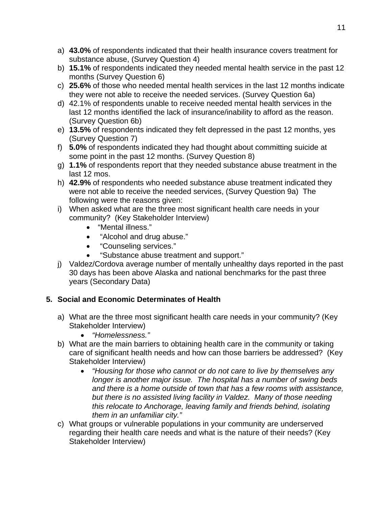- a) **43.0%** of respondents indicated that their health insurance covers treatment for substance abuse, (Survey Question 4)
- b) **15.1%** of respondents indicated they needed mental health service in the past 12 months (Survey Question 6)
- c) **25.6%** of those who needed mental health services in the last 12 months indicate they were not able to receive the needed services. (Survey Question 6a)
- d) 42.1% of respondents unable to receive needed mental health services in the last 12 months identified the lack of insurance/inability to afford as the reason. (Survey Question 6b)
- e) **13.5%** of respondents indicated they felt depressed in the past 12 months, yes (Survey Question 7)
- f) **5.0%** of respondents indicated they had thought about committing suicide at some point in the past 12 months. (Survey Question 8)
- g) **1.1%** of respondents report that they needed substance abuse treatment in the last 12 mos.
- h) **42.9%** of respondents who needed substance abuse treatment indicated they were not able to receive the needed services, (Survey Question 9a) The following were the reasons given:
- i) When asked what are the three most significant health care needs in your community? (Key Stakeholder Interview)
	- "Mental illness."
	- "Alcohol and drug abuse."
	- "Counseling services."
	- "Substance abuse treatment and support."
- j) Valdez/Cordova average number of mentally unhealthy days reported in the past 30 days has been above Alaska and national benchmarks for the past three years (Secondary Data)

#### **5. Social and Economic Determinates of Health**

- a) What are the three most significant health care needs in your community? (Key Stakeholder Interview)
	- *"Homelessness."*
- b) What are the main barriers to obtaining health care in the community or taking care of significant health needs and how can those barriers be addressed? (Key Stakeholder Interview)
	- *"Housing for those who cannot or do not care to live by themselves any longer is another major issue. The hospital has a number of swing beds and there is a home outside of town that has a few rooms with assistance, but there is no assisted living facility in Valdez. Many of those needing this relocate to Anchorage, leaving family and friends behind, isolating them in an unfamiliar city."*
- c) What groups or vulnerable populations in your community are underserved regarding their health care needs and what is the nature of their needs? (Key Stakeholder Interview)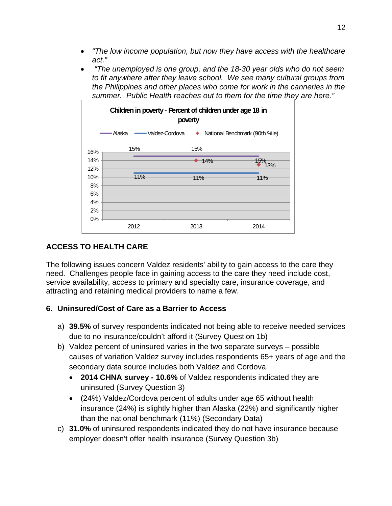- *"The low income population, but now they have access with the healthcare act."*
- *"The unemployed is one group, and the 18-30 year olds who do not seem to fit anywhere after they leave school. We see many cultural groups from the Philippines and other places who come for work in the canneries in the summer. Public Health reaches out to them for the time they are here."*



#### **ACCESS TO HEALTH CARE**

The following issues concern Valdez residents' ability to gain access to the care they need. Challenges people face in gaining access to the care they need include cost, service availability, access to primary and specialty care, insurance coverage, and attracting and retaining medical providers to name a few.

#### **6. Uninsured/Cost of Care as a Barrier to Access**

- a) **39.5%** of survey respondents indicated not being able to receive needed services due to no insurance/couldn't afford it (Survey Question 1b)
- b) Valdez percent of uninsured varies in the two separate surveys possible causes of variation Valdez survey includes respondents 65+ years of age and the secondary data source includes both Valdez and Cordova.
	- **2014 CHNA survey 10.6%** of Valdez respondents indicated they are uninsured (Survey Question 3)
	- (24%) Valdez/Cordova percent of adults under age 65 without health insurance (24%) is slightly higher than Alaska (22%) and significantly higher than the national benchmark (11%) (Secondary Data)
- c) **31.0%** of uninsured respondents indicated they do not have insurance because employer doesn't offer health insurance (Survey Question 3b)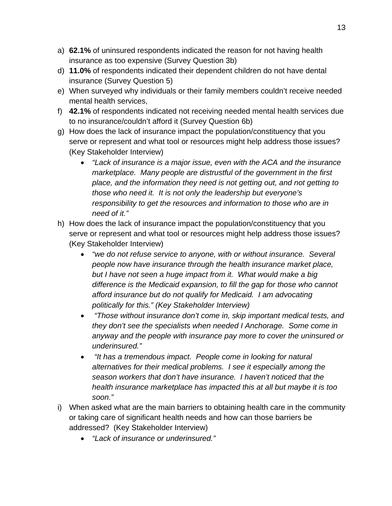- a) **62.1%** of uninsured respondents indicated the reason for not having health insurance as too expensive (Survey Question 3b)
- d) **11.0%** of respondents indicated their dependent children do not have dental insurance (Survey Question 5)
- e) When surveyed why individuals or their family members couldn't receive needed mental health services,
- f) **42.1%** of respondents indicated not receiving needed mental health services due to no insurance/couldn't afford it (Survey Question 6b)
- g) How does the lack of insurance impact the population/constituency that you serve or represent and what tool or resources might help address those issues? (Key Stakeholder Interview)
	- *"Lack of insurance is a major issue, even with the ACA and the insurance marketplace. Many people are distrustful of the government in the first place, and the information they need is not getting out, and not getting to those who need it. It is not only the leadership but everyone's responsibility to get the resources and information to those who are in need of it."*
- h) How does the lack of insurance impact the population/constituency that you serve or represent and what tool or resources might help address those issues? (Key Stakeholder Interview)
	- *"we do not refuse service to anyone, with or without insurance. Several people now have insurance through the health insurance market place,*  but I have not seen a huge impact from it. What would make a big *difference is the Medicaid expansion, to fill the gap for those who cannot afford insurance but do not qualify for Medicaid. I am advocating politically for this." (Key Stakeholder Interview)*
	- *"Those without insurance don't come in, skip important medical tests, and they don't see the specialists when needed I Anchorage. Some come in anyway and the people with insurance pay more to cover the uninsured or underinsured."*
	- *"It has a tremendous impact. People come in looking for natural alternatives for their medical problems. I see it especially among the season workers that don't have insurance. I haven't noticed that the health insurance marketplace has impacted this at all but maybe it is too soon."*
- i) When asked what are the main barriers to obtaining health care in the community or taking care of significant health needs and how can those barriers be addressed? (Key Stakeholder Interview)
	- *"Lack of insurance or underinsured."*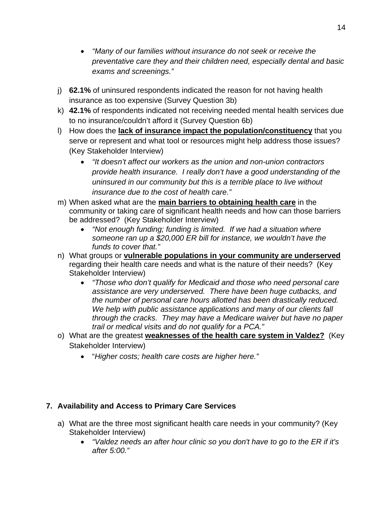- *"Many of our families without insurance do not seek or receive the preventative care they and their children need, especially dental and basic exams and screenings."*
- j) **62.1%** of uninsured respondents indicated the reason for not having health insurance as too expensive (Survey Question 3b)
- k) **42.1%** of respondents indicated not receiving needed mental health services due to no insurance/couldn't afford it (Survey Question 6b)
- l) How does the **lack of insurance impact the population/constituency** that you serve or represent and what tool or resources might help address those issues? (Key Stakeholder Interview)
	- *"It doesn't affect our workers as the union and non-union contractors provide health insurance. I really don't have a good understanding of the uninsured in our community but this is a terrible place to live without insurance due to the cost of health care."*
- m) When asked what are the **main barriers to obtaining health care** in the community or taking care of significant health needs and how can those barriers be addressed? (Key Stakeholder Interview)
	- *"Not enough funding; funding is limited. If we had a situation where someone ran up a \$20,000 ER bill for instance, we wouldn't have the funds to cover that."*
- n) What groups or **vulnerable populations in your community are underserved** regarding their health care needs and what is the nature of their needs? (Key Stakeholder Interview)
	- *"Those who don't qualify for Medicaid and those who need personal care assistance are very underserved. There have been huge cutbacks, and the number of personal care hours allotted has been drastically reduced. We help with public assistance applications and many of our clients fall through the cracks. They may have a Medicare waiver but have no paper trail or medical visits and do not qualify for a PCA."*
- o) What are the greatest **weaknesses of the health care system in Valdez?** (Key Stakeholder Interview)
	- "*Higher costs; health care costs are higher here."*

#### **7. Availability and Access to Primary Care Services**

- a) What are the three most significant health care needs in your community? (Key Stakeholder Interview)
	- *"Valdez needs an after hour clinic so you don't have to go to the ER if it's after 5:00."*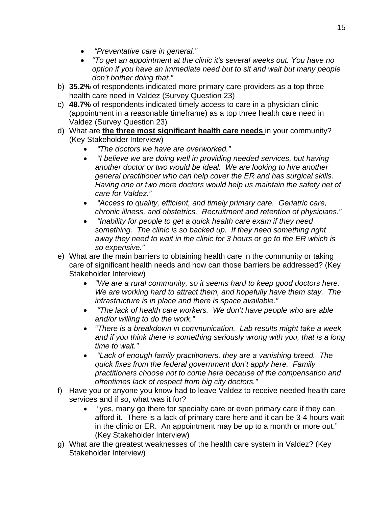- *"Preventative care in general."*
- *"To get an appointment at the clinic it's several weeks out. You have no option if you have an immediate need but to sit and wait but many people don't bother doing that."*
- b) **35.2%** of respondents indicated more primary care providers as a top three health care need in Valdez (Survey Question 23)
- c) **48.7%** of respondents indicated timely access to care in a physician clinic (appointment in a reasonable timeframe) as a top three health care need in Valdez (Survey Question 23)
- d) What are **the three most significant health care needs** in your community? (Key Stakeholder Interview)
	- *"The doctors we have are overworked."*
	- *"I believe we are doing well in providing needed services, but having another doctor or two would be ideal. We are looking to hire another general practitioner who can help cover the ER and has surgical skills. Having one or two more doctors would help us maintain the safety net of care for Valdez."*
	- *"Access to quality, efficient, and timely primary care. Geriatric care, chronic illness, and obstetrics. Recruitment and retention of physicians."*
	- *"Inability for people to get a quick health care exam if they need something. The clinic is so backed up. If they need something right away they need to wait in the clinic for 3 hours or go to the ER which is so expensive."*
- e) What are the main barriers to obtaining health care in the community or taking care of significant health needs and how can those barriers be addressed? (Key Stakeholder Interview)
	- *"We are a rural community, so it seems hard to keep good doctors here. We are working hard to attract them, and hopefully have them stay. The infrastructure is in place and there is space available."*
	- *"The lack of health care workers. We don't have people who are able and/or willing to do the work."*
	- *"There is a breakdown in communication. Lab results might take a week*  and if you think there is something seriously wrong with you, that is a long *time to wait."*
	- *"Lack of enough family practitioners, they are a vanishing breed. The quick fixes from the federal government don't apply here. Family practitioners choose not to come here because of the compensation and oftentimes lack of respect from big city doctors."*
- f) Have you or anyone you know had to leave Valdez to receive needed health care services and if so, what was it for?
	- "yes, many go there for specialty care or even primary care if they can afford it. There is a lack of primary care here and it can be 3-4 hours wait in the clinic or ER. An appointment may be up to a month or more out." (Key Stakeholder Interview)
- g) What are the greatest weaknesses of the health care system in Valdez? (Key Stakeholder Interview)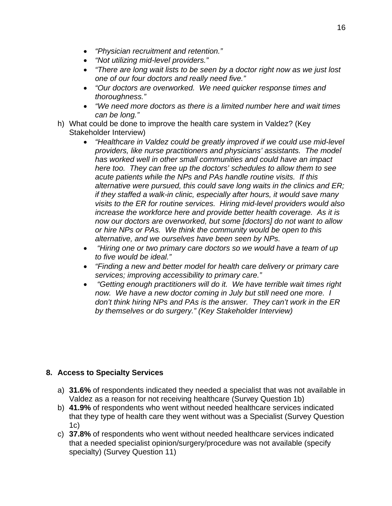- *"Physician recruitment and retention."*
- *"Not utilizing mid-level providers."*
- *"There are long wait lists to be seen by a doctor right now as we just lost one of our four doctors and really need five."*
- *"Our doctors are overworked. We need quicker response times and thoroughness."*
- *"We need more doctors as there is a limited number here and wait times can be long."*
- h) What could be done to improve the health care system in Valdez? (Key Stakeholder Interview)
	- *"Healthcare in Valdez could be greatly improved if we could use mid-level providers, like nurse practitioners and physicians' assistants. The model has worked well in other small communities and could have an impact here too. They can free up the doctors' schedules to allow them to see acute patients while the NPs and PAs handle routine visits. If this alternative were pursued, this could save long waits in the clinics and ER; if they staffed a walk-in clinic, especially after hours, it would save many visits to the ER for routine services. Hiring mid-level providers would also increase the workforce here and provide better health coverage. As it is now our doctors are overworked, but some [doctors] do not want to allow or hire NPs or PAs. We think the community would be open to this alternative, and we ourselves have been seen by NPs.*
	- *"Hiring one or two primary care doctors so we would have a team of up to five would be ideal."*
	- *"Finding a new and better model for health care delivery or primary care services; improving accessibility to primary care."*
	- *"Getting enough practitioners will do it. We have terrible wait times right now. We have a new doctor coming in July but still need one more. I don't think hiring NPs and PAs is the answer. They can't work in the ER by themselves or do surgery." (Key Stakeholder Interview)*

#### **8. Access to Specialty Services**

- a) **31.6%** of respondents indicated they needed a specialist that was not available in Valdez as a reason for not receiving healthcare (Survey Question 1b)
- b) **41.9%** of respondents who went without needed healthcare services indicated that they type of health care they went without was a Specialist (Survey Question 1c)
- c) **37.8%** of respondents who went without needed healthcare services indicated that a needed specialist opinion/surgery/procedure was not available (specify specialty) (Survey Question 11)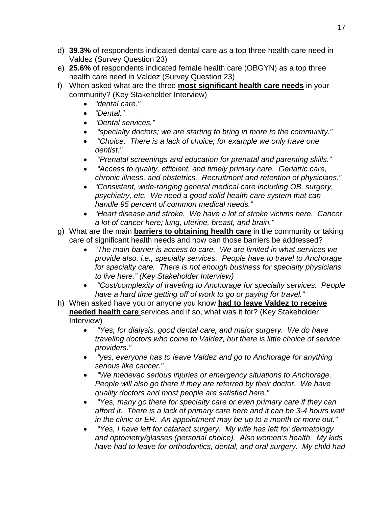- d) **39.3%** of respondents indicated dental care as a top three health care need in Valdez (Survey Question 23)
- e) **25.6%** of respondents indicated female health care (OBGYN) as a top three health care need in Valdez (Survey Question 23)
- f) When asked what are the three **most significant health care needs** in your community? (Key Stakeholder Interview)
	- *"dental care."*
	- *"Dental."*
	- *"Dental services."*
	- *"specialty doctors; we are starting to bring in more to the community."*
	- *"Choice. There is a lack of choice; for example we only have one dentist."*
	- *"Prenatal screenings and education for prenatal and parenting skills."*
	- *"Access to quality, efficient, and timely primary care. Geriatric care, chronic illness, and obstetrics. Recruitment and retention of physicians."*
	- *"Consistent, wide-ranging general medical care including OB, surgery, psychiatry, etc. We need a good solid health care system that can handle 95 percent of common medical needs."*
	- *"Heart disease and stroke. We have a lot of stroke victims here. Cancer, a lot of cancer here; lung, uterine, breast, and brain."*
- g) What are the main **barriers to obtaining health care** in the community or taking care of significant health needs and how can those barriers be addressed?
	- *"The main barrier is access to care. We are limited in what services we provide also, i.e., specialty services. People have to travel to Anchorage for specialty care. There is not enough business for specialty physicians to live here." (Key Stakeholder Interview)*
	- *"Cost/complexity of traveling to Anchorage for specialty services. People have a hard time getting off of work to go or paying for travel."*
- h) When asked have you or anyone you know **had to leave Valdez to receive needed health care** services and if so, what was it for? (Key Stakeholder Interview)
	- *"Yes, for dialysis, good dental care, and major surgery. We do have traveling doctors who come to Valdez, but there is little choice of service providers."*
	- *"yes, everyone has to leave Valdez and go to Anchorage for anything serious like cancer."*
	- *"We medevac serious injuries or emergency situations to Anchorage. People will also go there if they are referred by their doctor. We have quality doctors and most people are satisfied here."*
	- *"Yes, many go there for specialty care or even primary care if they can afford it. There is a lack of primary care here and it can be 3-4 hours wait in the clinic or ER. An appointment may be up to a month or more out."*
	- *"Yes, I have left for cataract surgery. My wife has left for dermatology and optometry/glasses (personal choice). Also women's health. My kids have had to leave for orthodontics, dental, and oral surgery. My child had*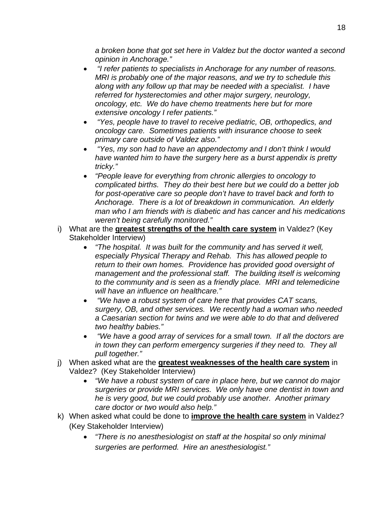*a broken bone that got set here in Valdez but the doctor wanted a second opinion in Anchorage."* 

- *"I refer patients to specialists in Anchorage for any number of reasons. MRI is probably one of the major reasons, and we try to schedule this along with any follow up that may be needed with a specialist. I have referred for hysterectomies and other major surgery, neurology, oncology, etc. We do have chemo treatments here but for more extensive oncology I refer patients."*
- *"Yes, people have to travel to receive pediatric, OB, orthopedics, and oncology care. Sometimes patients with insurance choose to seek primary care outside of Valdez also."*
- *"Yes, my son had to have an appendectomy and I don't think I would have wanted him to have the surgery here as a burst appendix is pretty tricky."*
- *"People leave for everything from chronic allergies to oncology to complicated births. They do their best here but we could do a better job for post-operative care so people don't have to travel back and forth to Anchorage. There is a lot of breakdown in communication. An elderly man who I am friends with is diabetic and has cancer and his medications weren't being carefully monitored."*
- i) What are the **greatest strengths of the health care system** in Valdez? (Key Stakeholder Interview)
	- *"The hospital. It was built for the community and has served it well, especially Physical Therapy and Rehab. This has allowed people to return to their own homes. Providence has provided good oversight of management and the professional staff. The building itself is welcoming to the community and is seen as a friendly place. MRI and telemedicine will have an influence on healthcare."*
	- *"We have a robust system of care here that provides CAT scans, surgery, OB, and other services. We recently had a woman who needed a Caesarian section for twins and we were able to do that and delivered two healthy babies."*
	- *"We have a good array of services for a small town. If all the doctors are in town they can perform emergency surgeries if they need to. They all pull together."*
- j) When asked what are the **greatest weaknesses of the health care system** in Valdez? (Key Stakeholder Interview)
	- *"We have a robust system of care in place here, but we cannot do major surgeries or provide MRI services. We only have one dentist in town and he is very good, but we could probably use another. Another primary care doctor or two would also help."*
- k) When asked what could be done to **improve the health care system** in Valdez? (Key Stakeholder Interview)
	- *"There is no anesthesiologist on staff at the hospital so only minimal surgeries are performed. Hire an anesthesiologist."*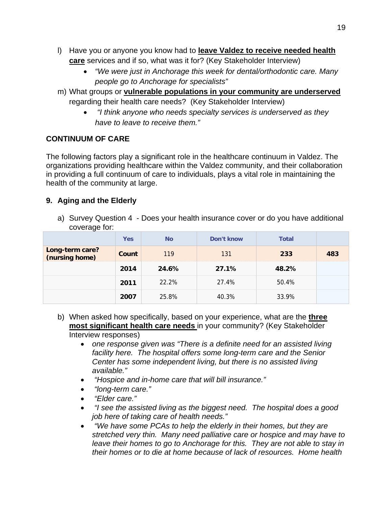- l) Have you or anyone you know had to **leave Valdez to receive needed health care** services and if so, what was it for? (Key Stakeholder Interview)
	- *"We were just in Anchorage this week for dental/orthodontic care. Many people go to Anchorage for specialists"*
- m) What groups or **vulnerable populations in your community are underserved** regarding their health care needs? (Key Stakeholder Interview)
	- *"I think anyone who needs specialty services is underserved as they have to leave to receive them."*

#### **CONTINUUM OF CARE**

The following factors play a significant role in the healthcare continuum in Valdez. The organizations providing healthcare within the Valdez community, and their collaboration in providing a full continuum of care to individuals, plays a vital role in maintaining the health of the community at large.

#### **9. Aging and the Elderly**

a) Survey Question 4 - Does your health insurance cover or do you have additional coverage for:

|                                   | Yes   | <b>No</b> | Don't know | Total |     |
|-----------------------------------|-------|-----------|------------|-------|-----|
| Long-term care?<br>(nursing home) | Count | 119       | 131        | 233   | 483 |
|                                   | 2014  | 24.6%     | 27.1%      | 48.2% |     |
|                                   | 2011  | 22.2%     | 27.4%      | 50.4% |     |
|                                   | 2007  | 25.8%     | 40.3%      | 33.9% |     |

- b) When asked how specifically, based on your experience, what are the **three most significant health care needs** in your community? (Key Stakeholder Interview responses)
	- *one response given was "There is a definite need for an assisted living facility here. The hospital offers some long-term care and the Senior Center has some independent living, but there is no assisted living available."*
	- *"Hospice and in-home care that will bill insurance."*
	- *"long-term care."*
	- *"Elder care."*
	- *"I see the assisted living as the biggest need. The hospital does a good job here of taking care of health needs."*
	- *"We have some PCAs to help the elderly in their homes, but they are stretched very thin. Many need palliative care or hospice and may have to*  leave their homes to go to Anchorage for this. They are not able to stay in *their homes or to die at home because of lack of resources. Home health*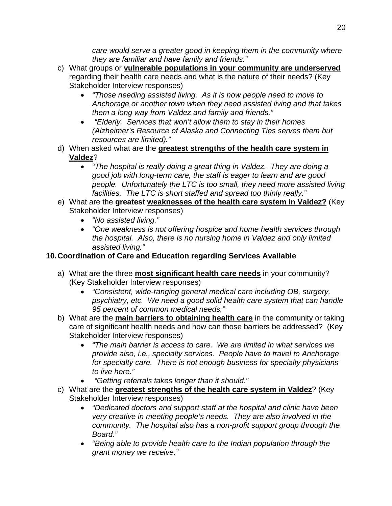*care would serve a greater good in keeping them in the community where they are familiar and have family and friends."* 

- c) What groups or **vulnerable populations in your community are underserved** regarding their health care needs and what is the nature of their needs? (Key Stakeholder Interview responses)
	- *"Those needing assisted living. As it is now people need to move to Anchorage or another town when they need assisted living and that takes them a long way from Valdez and family and friends."*
	- *"Elderly. Services that won't allow them to stay in their homes (Alzheimer's Resource of Alaska and Connecting Ties serves them but resources are limited)."*
- d) When asked what are the **greatest strengths of the health care system in Valdez**?
	- *"The hospital is really doing a great thing in Valdez. They are doing a good job with long-term care, the staff is eager to learn and are good people. Unfortunately the LTC is too small, they need more assisted living facilities. The LTC is short staffed and spread too thinly really."*
- e) What are the **greatest weaknesses of the health care system in Valdez?** (Key Stakeholder Interview responses)
	- *"No assisted living."*
	- *"One weakness is not offering hospice and home health services through the hospital. Also, there is no nursing home in Valdez and only limited assisted living."*

#### **10. Coordination of Care and Education regarding Services Available**

- a) What are the three **most significant health care needs** in your community? (Key Stakeholder Interview responses)
	- *"Consistent, wide-ranging general medical care including OB, surgery, psychiatry, etc. We need a good solid health care system that can handle 95 percent of common medical needs."*
- b) What are the **main barriers to obtaining health care** in the community or taking care of significant health needs and how can those barriers be addressed? (Key Stakeholder Interview responses)
	- *"The main barrier is access to care. We are limited in what services we provide also, i.e., specialty services. People have to travel to Anchorage for specialty care. There is not enough business for specialty physicians to live here."*
	- *"Getting referrals takes longer than it should."*
- c) What are the **greatest strengths of the health care system in Valdez**? (Key Stakeholder Interview responses)
	- *"Dedicated doctors and support staff at the hospital and clinic have been very creative in meeting people's needs. They are also involved in the community. The hospital also has a non-profit support group through the Board."*
	- *"Being able to provide health care to the Indian population through the grant money we receive."*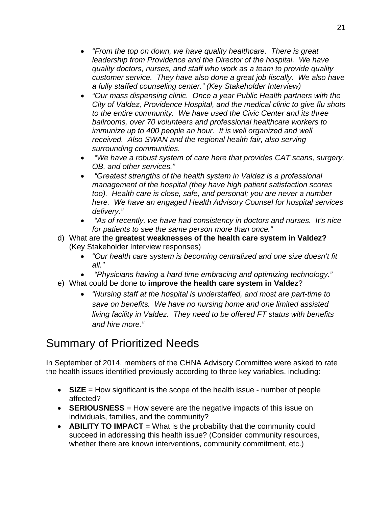- *"From the top on down, we have quality healthcare. There is great leadership from Providence and the Director of the hospital. We have quality doctors, nurses, and staff who work as a team to provide quality customer service. They have also done a great job fiscally. We also have a fully staffed counseling center." (Key Stakeholder Interview)*
- *"Our mass dispensing clinic. Once a year Public Health partners with the City of Valdez, Providence Hospital, and the medical clinic to give flu shots to the entire community. We have used the Civic Center and its three ballrooms, over 70 volunteers and professional healthcare workers to immunize up to 400 people an hour. It is well organized and well received. Also SWAN and the regional health fair, also serving surrounding communities.*
- *"We have a robust system of care here that provides CAT scans, surgery, OB, and other services."*
- *"Greatest strengths of the health system in Valdez is a professional management of the hospital (they have high patient satisfaction scores too). Health care is close, safe, and personal; you are never a number here. We have an engaged Health Advisory Counsel for hospital services delivery."*
- *"As of recently, we have had consistency in doctors and nurses. It's nice for patients to see the same person more than once."*
- d) What are the **greatest weaknesses of the health care system in Valdez?** (Key Stakeholder Interview responses)
	- *"Our health care system is becoming centralized and one size doesn't fit all."*
	- *"Physicians having a hard time embracing and optimizing technology."*
- e) What could be done to **improve the health care system in Valdez**?
	- *"Nursing staff at the hospital is understaffed, and most are part-time to save on benefits. We have no nursing home and one limited assisted living facility in Valdez. They need to be offered FT status with benefits and hire more."*

## Summary of Prioritized Needs

In September of 2014, members of the CHNA Advisory Committee were asked to rate the health issues identified previously according to three key variables, including:

- **SIZE** = How significant is the scope of the health issue number of people affected?
- **SERIOUSNESS** = How severe are the negative impacts of this issue on individuals, families, and the community?
- **ABILITY TO IMPACT** = What is the probability that the community could succeed in addressing this health issue? (Consider community resources, whether there are known interventions, community commitment, etc.)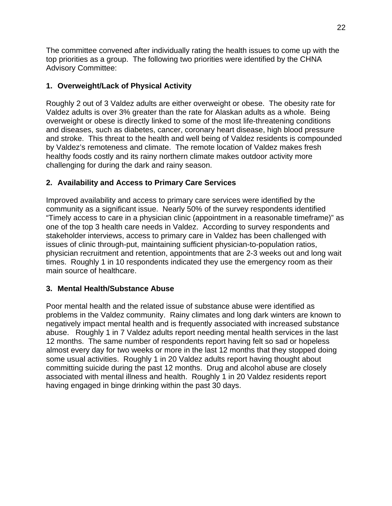The committee convened after individually rating the health issues to come up with the top priorities as a group. The following two priorities were identified by the CHNA Advisory Committee:

#### **1. Overweight/Lack of Physical Activity**

Roughly 2 out of 3 Valdez adults are either overweight or obese. The obesity rate for Valdez adults is over 3% greater than the rate for Alaskan adults as a whole. Being overweight or obese is directly linked to some of the most life-threatening conditions and diseases, such as diabetes, cancer, coronary heart disease, high blood pressure and stroke. This threat to the health and well being of Valdez residents is compounded by Valdez's remoteness and climate. The remote location of Valdez makes fresh healthy foods costly and its rainy northern climate makes outdoor activity more challenging for during the dark and rainy season.

#### **2. Availability and Access to Primary Care Services**

Improved availability and access to primary care services were identified by the community as a significant issue. Nearly 50% of the survey respondents identified "Timely access to care in a physician clinic (appointment in a reasonable timeframe)" as one of the top 3 health care needs in Valdez. According to survey respondents and stakeholder interviews, access to primary care in Valdez has been challenged with issues of clinic through-put, maintaining sufficient physician-to-population ratios, physician recruitment and retention, appointments that are 2-3 weeks out and long wait times. Roughly 1 in 10 respondents indicated they use the emergency room as their main source of healthcare.

#### **3. Mental Health/Substance Abuse**

Poor mental health and the related issue of substance abuse were identified as problems in the Valdez community. Rainy climates and long dark winters are known to negatively impact mental health and is frequently associated with increased substance abuse. Roughly 1 in 7 Valdez adults report needing mental health services in the last 12 months. The same number of respondents report having felt so sad or hopeless almost every day for two weeks or more in the last 12 months that they stopped doing some usual activities. Roughly 1 in 20 Valdez adults report having thought about committing suicide during the past 12 months. Drug and alcohol abuse are closely associated with mental illness and health. Roughly 1 in 20 Valdez residents report having engaged in binge drinking within the past 30 days.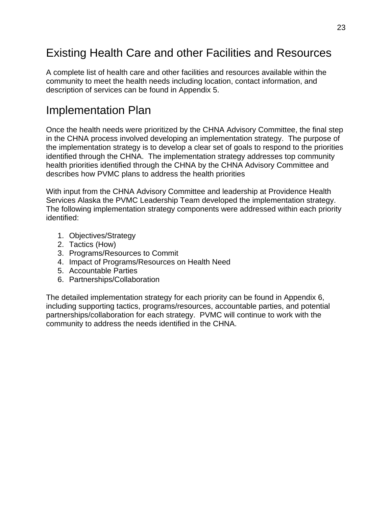## Existing Health Care and other Facilities and Resources

A complete list of health care and other facilities and resources available within the community to meet the health needs including location, contact information, and description of services can be found in Appendix 5.

### Implementation Plan

Once the health needs were prioritized by the CHNA Advisory Committee, the final step in the CHNA process involved developing an implementation strategy. The purpose of the implementation strategy is to develop a clear set of goals to respond to the priorities identified through the CHNA. The implementation strategy addresses top community health priorities identified through the CHNA by the CHNA Advisory Committee and describes how PVMC plans to address the health priorities

With input from the CHNA Advisory Committee and leadership at Providence Health Services Alaska the PVMC Leadership Team developed the implementation strategy. The following implementation strategy components were addressed within each priority identified:

- 1. Objectives/Strategy
- 2. Tactics (How)
- 3. Programs/Resources to Commit
- 4. Impact of Programs/Resources on Health Need
- 5. Accountable Parties
- 6. Partnerships/Collaboration

The detailed implementation strategy for each priority can be found in Appendix 6, including supporting tactics, programs/resources, accountable parties, and potential partnerships/collaboration for each strategy. PVMC will continue to work with the community to address the needs identified in the CHNA.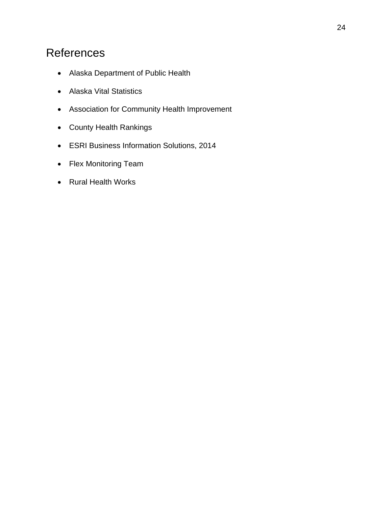## References

- Alaska Department of Public Health
- Alaska Vital Statistics
- Association for Community Health Improvement
- County Health Rankings
- ESRI Business Information Solutions, 2014
- Flex Monitoring Team
- Rural Health Works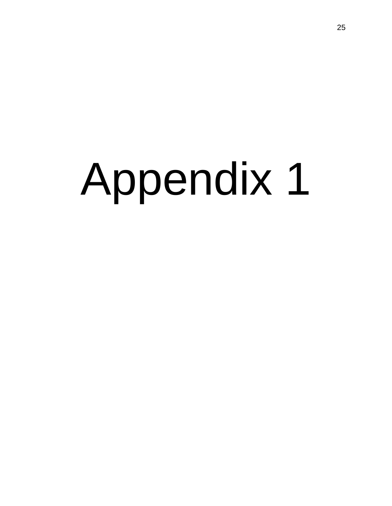# Appendix 1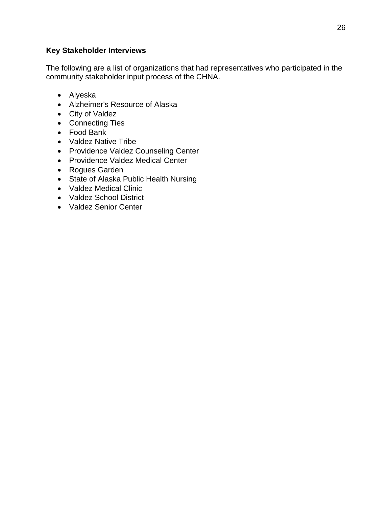#### **Key Stakeholder Interviews**

The following are a list of organizations that had representatives who participated in the community stakeholder input process of the CHNA.

- Alyeska
- Alzheimer's Resource of Alaska
- City of Valdez
- Connecting Ties
- Food Bank
- Valdez Native Tribe
- Providence Valdez Counseling Center
- Providence Valdez Medical Center
- Rogues Garden
- State of Alaska Public Health Nursing
- Valdez Medical Clinic
- Valdez School District
- Valdez Senior Center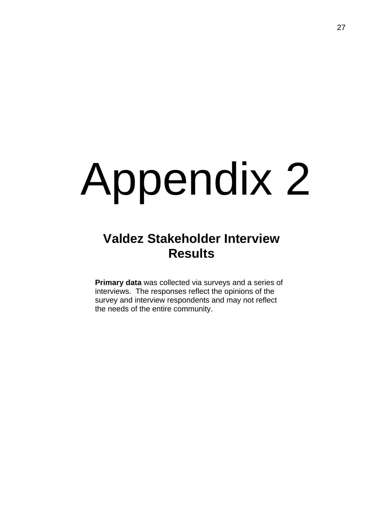## Appendix 2

## **Valdez Stakeholder Interview Results**

**Primary data** was collected via surveys and a series of interviews. The responses reflect the opinions of the survey and interview respondents and may not reflect the needs of the entire community.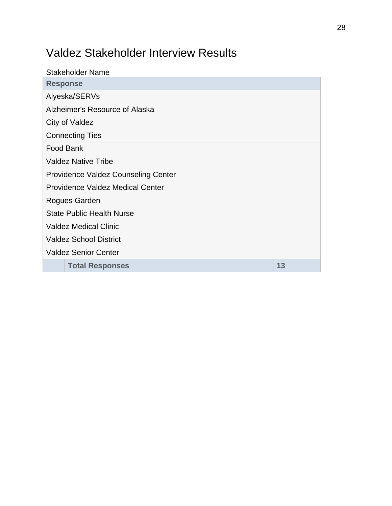## Valdez Stakeholder Interview Results

| <b>Stakeholder Name</b>                    |
|--------------------------------------------|
| <b>Response</b>                            |
| Alyeska/SERVs                              |
| Alzheimer's Resource of Alaska             |
| City of Valdez                             |
| <b>Connecting Ties</b>                     |
| Food Bank                                  |
| <b>Valdez Native Tribe</b>                 |
| <b>Providence Valdez Counseling Center</b> |
| <b>Providence Valdez Medical Center</b>    |
| Rogues Garden                              |
| <b>State Public Health Nurse</b>           |
| <b>Valdez Medical Clinic</b>               |
| <b>Valdez School District</b>              |
| <b>Valdez Senior Center</b>                |
| 13<br><b>Total Responses</b>               |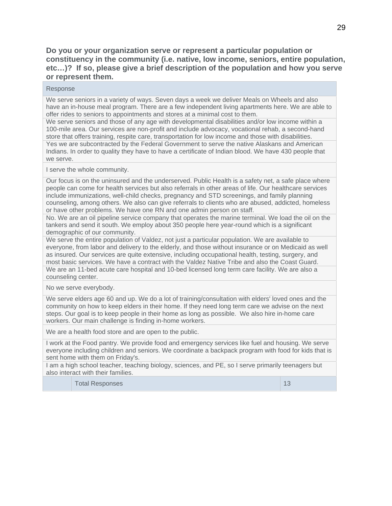**Do you or your organization serve or represent a particular population or constituency in the community (i.e. native, low income, seniors, entire population, etc…)? If so, please give a brief description of the population and how you serve or represent them.**

#### Response

We serve seniors in a variety of ways. Seven days a week we deliver Meals on Wheels and also have an in-house meal program. There are a few independent living apartments here. We are able to offer rides to seniors to appointments and stores at a minimal cost to them.

We serve seniors and those of any age with developmental disabilities and/or low income within a 100-mile area. Our services are non-profit and include advocacy, vocational rehab, a second-hand store that offers training, respite care, transportation for low income and those with disabilities. Yes we are subcontracted by the Federal Government to serve the native Alaskans and American Indians. In order to quality they have to have a certificate of Indian blood. We have 430 people that we serve.

I serve the whole community.

Our focus is on the uninsured and the underserved. Public Health is a safety net, a safe place where people can come for health services but also referrals in other areas of life. Our healthcare services include immunizations, well-child checks, pregnancy and STD screenings, and family planning counseling, among others. We also can give referrals to clients who are abused, addicted, homeless or have other problems. We have one RN and one admin person on staff.

No. We are an oil pipeline service company that operates the marine terminal. We load the oil on the tankers and send it south. We employ about 350 people here year-round which is a significant demographic of our community.

We serve the entire population of Valdez, not just a particular population. We are available to everyone, from labor and delivery to the elderly, and those without insurance or on Medicaid as well as insured. Our services are quite extensive, including occupational health, testing, surgery, and most basic services. We have a contract with the Valdez Native Tribe and also the Coast Guard. We are an 11-bed acute care hospital and 10-bed licensed long term care facility. We are also a counseling center.

No we serve everybody.

We serve elders age 60 and up. We do a lot of training/consultation with elders' loved ones and the community on how to keep elders in their home. If they need long term care we advise on the next steps. Our goal is to keep people in their home as long as possible. We also hire in-home care workers. Our main challenge is finding in-home workers.

We are a health food store and are open to the public.

I work at the Food pantry. We provide food and emergency services like fuel and housing. We serve everyone including children and seniors. We coordinate a backpack program with food for kids that is sent home with them on Friday's.

I am a high school teacher, teaching biology, sciences, and PE, so I serve primarily teenagers but also interact with their families.

Total Responses 13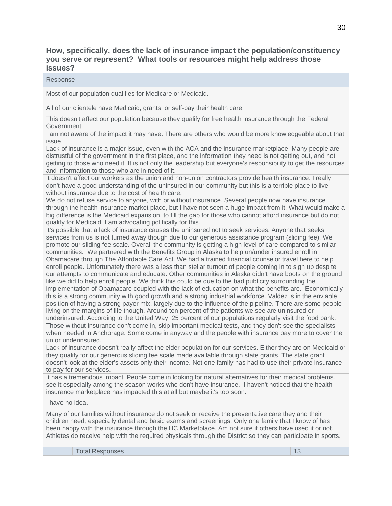**How, specifically, does the lack of insurance impact the population/constituency you serve or represent? What tools or resources might help address those issues?**

Response

Most of our population qualifies for Medicare or Medicaid.

All of our clientele have Medicaid, grants, or self-pay their health care.

This doesn't affect our population because they qualify for free health insurance through the Federal Government.

I am not aware of the impact it may have. There are others who would be more knowledgeable about that issue.

Lack of insurance is a major issue, even with the ACA and the insurance marketplace. Many people are distrustful of the government in the first place, and the information they need is not getting out, and not getting to those who need it. It is not only the leadership but everyone's responsibility to get the resources and information to those who are in need of it.

It doesn't affect our workers as the union and non-union contractors provide health insurance. I really don't have a good understanding of the uninsured in our community but this is a terrible place to live without insurance due to the cost of health care.

We do not refuse service to anyone, with or without insurance. Several people now have insurance through the health insurance market place, but I have not seen a huge impact from it. What would make a big difference is the Medicaid expansion, to fill the gap for those who cannot afford insurance but do not qualify for Medicaid. I am advocating politically for this.

It's possible that a lack of insurance causes the uninsured not to seek services. Anyone that seeks services from us is not turned away though due to our generous assistance program (sliding fee). We promote our sliding fee scale. Overall the community is getting a high level of care compared to similar communities. We partnered with the Benefits Group in Alaska to help un/under insured enroll in Obamacare through The Affordable Care Act. We had a trained financial counselor travel here to help enroll people. Unfortunately there was a less than stellar turnout of people coming in to sign up despite our attempts to communicate and educate. Other communities in Alaska didn't have boots on the ground like we did to help enroll people. We think this could be due to the bad publicity surrounding the implementation of Obamacare coupled with the lack of education on what the benefits are. Economically this is a strong community with good growth and a strong industrial workforce. Valdez is in the enviable position of having a strong payer mix, largely due to the influence of the pipeline. There are some people living on the margins of life though. Around ten percent of the patients we see are uninsured or underinsured. According to the United Way, 25 percent of our populations regularly visit the food bank. Those without insurance don't come in, skip important medical tests, and they don't see the specialists when needed in Anchorage. Some come in anyway and the people with insurance pay more to cover the un or underinsured.

Lack of insurance doesn't really affect the elder population for our services. Either they are on Medicaid or they qualify for our generous sliding fee scale made available through state grants. The state grant doesn't look at the elder's assets only their income. Not one family has had to use their private insurance to pay for our services.

It has a tremendous impact. People come in looking for natural alternatives for their medical problems. I see it especially among the season works who don't have insurance. I haven't noticed that the health insurance marketplace has impacted this at all but maybe it's too soon.

I have no idea.

Many of our families without insurance do not seek or receive the preventative care they and their children need, especially dental and basic exams and screenings. Only one family that I know of has been happy with the insurance through the HC Marketplace. Am not sure if others have used it or not. Athletes do receive help with the required physicals through the District so they can participate in sports.

**Total Responses** 13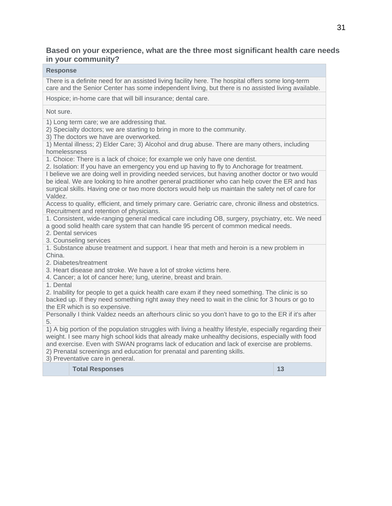#### **Based on your experience, what are the three most significant health care needs in your community?**

#### **Response**

There is a definite need for an assisted living facility here. The hospital offers some long-term care and the Senior Center has some independent living, but there is no assisted living available.

Hospice; in-home care that will bill insurance; dental care.

Not sure.

1) Long term care; we are addressing that.

2) Specialty doctors; we are starting to bring in more to the community.

3) The doctors we have are overworked.

1) Mental illness; 2) Elder Care; 3) Alcohol and drug abuse. There are many others, including homelessness

1. Choice: There is a lack of choice; for example we only have one dentist.

2. Isolation: If you have an emergency you end up having to fly to Anchorage for treatment.

I believe we are doing well in providing needed services, but having another doctor or two would be ideal. We are looking to hire another general practitioner who can help cover the ER and has surgical skills. Having one or two more doctors would help us maintain the safety net of care for Valdez.

Access to quality, efficient, and timely primary care. Geriatric care, chronic illness and obstetrics. Recruitment and retention of physicians.

1. Consistent, wide-ranging general medical care including OB, surgery, psychiatry, etc. We need a good solid health care system that can handle 95 percent of common medical needs.

2. Dental services

3. Counseling services

1. Substance abuse treatment and support. I hear that meth and heroin is a new problem in China.

2. Diabetes/treatment

3. Heart disease and stroke. We have a lot of stroke victims here.

4. Cancer; a lot of cancer here; lung, uterine, breast and brain.

1. Dental

2. Inability for people to get a quick health care exam if they need something. The clinic is so backed up. If they need something right away they need to wait in the clinic for 3 hours or go to the ER which is so expensive.

Personally I think Valdez needs an afterhours clinic so you don't have to go to the ER if it's after 5.

1) A big portion of the population struggles with living a healthy lifestyle, especially regarding their weight. I see many high school kids that already make unhealthy decisions, especially with food and exercise. Even with SWAN programs lack of education and lack of exercise are problems. 2) Prenatal screenings and education for prenatal and parenting skills.

3) Preventative care in general.

**Total Responses 13 13**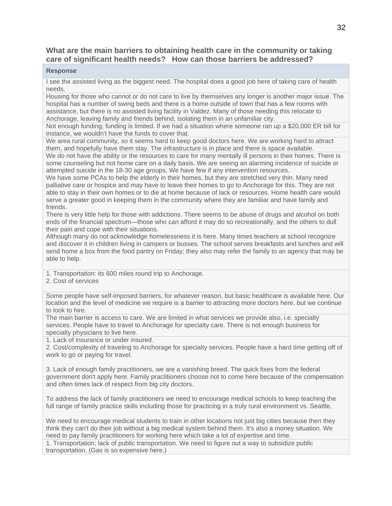#### **What are the main barriers to obtaining health care in the community or taking care of significant health needs? How can those barriers be addressed?**

#### **Response**

I see the assisted living as the biggest need. The hospital does a good job here of taking care of health needs.

Housing for those who cannot or do not care to live by themselves any longer is another major issue. The hospital has a number of swing beds and there is a home outside of town that has a few rooms with assistance, but there is no assisted living facility in Valdez. Many of those needing this relocate to Anchorage, leaving family and friends behind, isolating them in an unfamiliar city.

Not enough funding; funding is limited. If we had a situation where someone ran up a \$20,000 ER bill for instance, we wouldn't have the funds to cover that.

We area rural community, so it seems hard to keep good doctors here. We are working hard to attract them, and hopefully have them stay. The infrastructure is in place and there is space available.

We do not have the ability or the resources to care for many mentally ill persons in their homes. There is some counseling but not home care on a daily basis. We are seeing an alarming incidence of suicide or attempted suicide in the 18-30 age groups. We have few if any intervention resources.

We have some PCAs to help the elderly in their homes, but they are stretched very thin. Many need palliative care or hospice and may have to leave their homes to go to Anchorage for this. They are not able to stay in their own homes or to die at home because of lack or resources. Home health care would serve a greater good in keeping them in the community where they are familiar and have family and friends.

There is very little help for those with addictions. There seems to be abuse of drugs and alcohol on both ends of the financial spectrum—those who can afford it may do so recreationally, and the others to dull their pain and cope with their situations.

Although many do not acknowledge homelessness it is here. Many times teachers at school recognize and discover it in children living in campers or busses. The school serves breakfasts and lunches and will send home a box from the food pantry on Friday; they also may refer the family to an agency that may be able to help.

1. Transportation: its 600 miles round trip to Anchorage.

2. Cost of services

Some people have self-imposed barriers, for whatever reason, but basic healthcare is available here. Our location and the level of medicine we require is a barrier to attracting more doctors here, but we continue to look to hire.

The main barrier is access to care. We are limited in what services we provide also, i.e. specialty services. People have to travel to Anchorage for specialty care. There is not enough business for specialty physicians to live here.

1. Lack of insurance or under insured.

2. Cost/complexity of traveling to Anchorage for specialty services. People have a hard time getting off of work to go or paying for travel.

3. Lack of enough family practitioners, we are a vanishing breed. The quick fixes from the federal government don't apply here. Family practitioners choose not to come here because of the compensation and often times lack of respect from big city doctors.

To address the lack of family practitioners we need to encourage medical schools to keep teaching the full range of family practice skills including those for practicing in a truly rural environment vs. Seattle.

We need to encourage medical students to train in other locations not just big cities because then they think they can't do their job without a big medical system behind them. It's also a money situation. We need to pay family practitioners for working here which take a lot of expertise and time.

1. Transportation; lack of public transportation. We need to figure out a way to subsidize public transportation. (Gas is so expensive here.)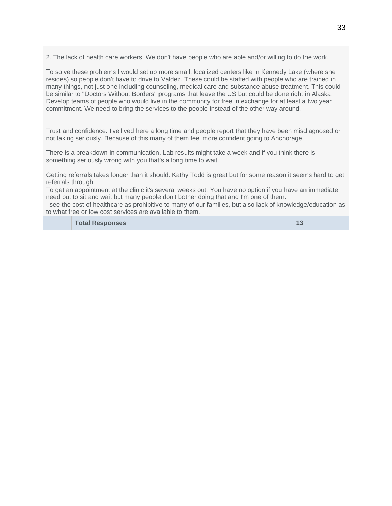2. The lack of health care workers. We don't have people who are able and/or willing to do the work.

To solve these problems I would set up more small, localized centers like in Kennedy Lake (where she resides) so people don't have to drive to Valdez. These could be staffed with people who are trained in many things, not just one including counseling, medical care and substance abuse treatment. This could be similar to "Doctors Without Borders" programs that leave the US but could be done right in Alaska. Develop teams of people who would live in the community for free in exchange for at least a two year commitment. We need to bring the services to the people instead of the other way around.

Trust and confidence. I've lived here a long time and people report that they have been misdiagnosed or not taking seriously. Because of this many of them feel more confident going to Anchorage.

There is a breakdown in communication. Lab results might take a week and if you think there is something seriously wrong with you that's a long time to wait.

Getting referrals takes longer than it should. Kathy Todd is great but for some reason it seems hard to get referrals through.

To get an appointment at the clinic it's several weeks out. You have no option if you have an immediate need but to sit and wait but many people don't bother doing that and I'm one of them.

I see the cost of healthcare as prohibitive to many of our families, but also lack of knowledge/education as to what free or low cost services are available to them.

**Total Responses 13**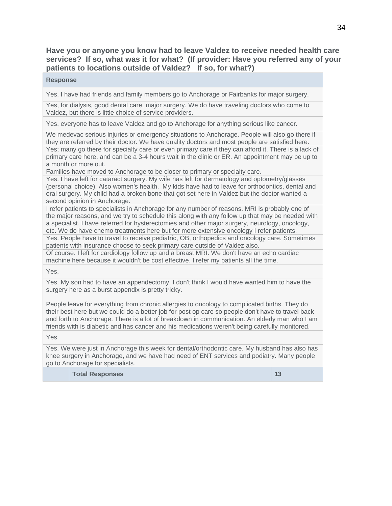**Have you or anyone you know had to leave Valdez to receive needed health care services? If so, what was it for what? (If provider: Have you referred any of your patients to locations outside of Valdez? If so, for what?)** 

#### **Response**

Yes. I have had friends and family members go to Anchorage or Fairbanks for major surgery.

Yes, for dialysis, good dental care, major surgery. We do have traveling doctors who come to Valdez, but there is little choice of service providers.

Yes, everyone has to leave Valdez and go to Anchorage for anything serious like cancer.

We medevac serious injuries or emergency situations to Anchorage. People will also go there if they are referred by their doctor. We have quality doctors and most people are satisfied here. Yes; many go there for specialty care or even primary care if they can afford it. There is a lack of primary care here, and can be a 3-4 hours wait in the clinic or ER. An appointment may be up to a month or more out.

Families have moved to Anchorage to be closer to primary or specialty care.

Yes. I have left for cataract surgery. My wife has left for dermatology and optometry/glasses (personal choice). Also women's health. My kids have had to leave for orthodontics, dental and oral surgery. My child had a broken bone that got set here in Valdez but the doctor wanted a second opinion in Anchorage.

I refer patients to specialists in Anchorage for any number of reasons. MRI is probably one of the major reasons, and we try to schedule this along with any follow up that may be needed with a specialist. I have referred for hysterectomies and other major surgery, neurology, oncology, etc. We do have chemo treatments here but for more extensive oncology I refer patients.

Yes. People have to travel to receive pediatric, OB, orthopedics and oncology care. Sometimes patients with insurance choose to seek primary care outside of Valdez also.

Of course. I left for cardiology follow up and a breast MRI. We don't have an echo cardiac machine here because it wouldn't be cost effective. I refer my patients all the time.

Yes.

Yes. My son had to have an appendectomy. I don't think I would have wanted him to have the surgery here as a burst appendix is pretty tricky.

People leave for everything from chronic allergies to oncology to complicated births. They do their best here but we could do a better job for post op care so people don't have to travel back and forth to Anchorage. There is a lot of breakdown in communication. An elderly man who I am friends with is diabetic and has cancer and his medications weren't being carefully monitored.

Yes.

Yes. We were just in Anchorage this week for dental/orthodontic care. My husband has also has knee surgery in Anchorage, and we have had need of ENT services and podiatry. Many people go to Anchorage for specialists.

**Total Responses 13 13**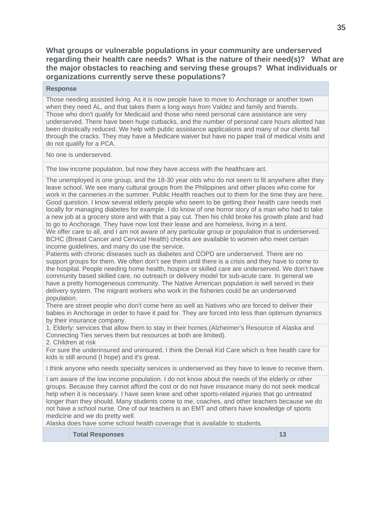**What groups or vulnerable populations in your community are underserved regarding their health care needs? What is the nature of their need(s)? What are the major obstacles to reaching and serving these groups? What individuals or organizations currently serve these populations?**

#### **Response**

Those needing assisted living. As it is now people have to move to Anchorage or another town when they need AL, and that takes them a long ways from Valdez and family and friends. Those who don't qualify for Medicaid and those who need personal care assistance are very underserved. There have been huge cutbacks, and the number of personal care hours allotted has been drastically reduced. We help with public assistance applications and many of our clients fall through the cracks. They may have a Medicare waiver but have no paper trail of medical visits and do not qualify for a PCA.

No one is underserved.

The low income population, but now they have access with the healthcare act.

The unemployed is one group, and the 18-30 year olds who do not seem to fit anywhere after they leave school. We see many cultural groups from the Philippines and other places who come for work in the canneries in the summer. Public Health reaches out to them for the time they are here. Good question. I know several elderly people who seem to be getting their health care needs met locally for managing diabetes for example. I do know of one horror story of a man who had to take a new job at a grocery store and with that a pay cut. Then his child broke his growth plate and had to go to Anchorage. They have now lost their lease and are homeless, living in a tent.

We offer care to all, and I am not aware of any particular group or population that is underserved. BCHC (Breast Cancer and Cervical Health) checks are available to women who meet certain income guidelines, and many do use the service.

Patients with chronic diseases such as diabetes and COPD are underserved. There are no support groups for them. We often don't see them until there is a crisis and they have to come to the hospital. People needing home health, hospice or skilled care are underserved. We don't have community based skilled care, no outreach or delivery model for sub-acute care. In general we have a pretty homogeneous community. The Native American population is well served in their delivery system. The migrant workers who work in the fisheries could be an underserved population.

There are street people who don't come here as well as Natives who are forced to deliver their babies in Anchorage in order to have it paid for. They are forced into less than optimum dynamics by their insurance company.

1. Elderly: services that allow them to stay in their homes.(Alzheimer's Resource of Alaska and Connecting Ties serves them but resources at both are limited).

2. Children at risk

For sure the underinsured and uninsured. I think the Denali Kid Care which is free health care for kids is still around (I hope) and it's great.

I think anyone who needs specialty services is underserved as they have to leave to receive them.

I am aware of the low income population. I do not know about the needs of the elderly or other groups. Because they cannot afford the cost or do not have insurance many do not seek medical help when it is necessary. I have seen knee and other sports-related injuries that go untreated longer than they should. Many students come to me, coaches, and other teachers because we do not have a school nurse. One of our teachers is an EMT and others have knowledge of sports medicine and we do pretty well.

Alaska does have some school health coverage that is available to students.

**Total Responses** 13

35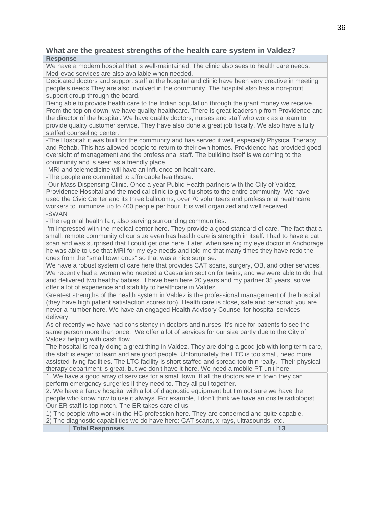### **What are the greatest strengths of the health care system in Valdez? Response**

We have a modern hospital that is well-maintained. The clinic also sees to health care needs. Med-evac services are also available when needed.

Dedicated doctors and support staff at the hospital and clinic have been very creative in meeting people's needs They are also involved in the community. The hospital also has a non-profit support group through the board.

Being able to provide health care to the Indian population through the grant money we receive. From the top on down, we have quality healthcare. There is great leadership from Providence and the director of the hospital. We have quality doctors, nurses and staff who work as a team to provide quality customer service. They have also done a great job fiscally. We also have a fully staffed counseling center.

-The Hospital; it was built for the community and has served it well, especially Physical Therapy and Rehab. This has allowed people to return to their own homes. Providence has provided good oversight of management and the professional staff. The building itself is welcoming to the community and is seen as a friendly place.

-MRI and telemedicine will have an influence on healthcare.

-The people are committed to affordable healthcare.

-Our Mass Dispensing Clinic. Once a year Public Health partners with the City of Valdez, Providence Hospital and the medical clinic to give flu shots to the entire community. We have used the Civic Center and its three ballrooms, over 70 volunteers and professional healthcare workers to immunize up to 400 people per hour. It is well organized and well received. -SWAN

-The regional health fair, also serving surrounding communities.

I'm impressed with the medical center here. They provide a good standard of care. The fact that a small, remote community of our size even has health care is strength in itself. I had to have a cat scan and was surprised that I could get one here. Later, when seeing my eye doctor in Anchorage he was able to use that MRI for my eye needs and told me that many times they have redo the ones from the "small town docs" so that was a nice surprise.

We have a robust system of care here that provides CAT scans, surgery, OB, and other services. We recently had a woman who needed a Caesarian section for twins, and we were able to do that and delivered two healthy babies. I have been here 20 years and my partner 35 years, so we offer a lot of experience and stability to healthcare in Valdez.

Greatest strengths of the health system in Valdez is the professional management of the hospital (they have high patient satisfaction scores too). Health care is close, safe and personal; you are never a number here. We have an engaged Health Advisory Counsel for hospital services delivery.

As of recently we have had consistency in doctors and nurses. It's nice for patients to see the same person more than once. We offer a lot of services for our size partly due to the City of Valdez helping with cash flow.

The hospital is really doing a great thing in Valdez. They are doing a good job with long term care, the staff is eager to learn and are good people. Unfortunately the LTC is too small, need more assisted living facilities. The LTC facility is short staffed and spread too thin really. Their physical therapy department is great, but we don't have it here. We need a mobile PT unit here.

1. We have a good array of services for a small town. If all the doctors are in town they can perform emergency surgeries if they need to. They all pull together.

2. We have a fancy hospital with a lot of diagnostic equipment but I'm not sure we have the people who know how to use it always. For example, I don't think we have an onsite radiologist. Our ER staff is top notch. The ER takes care of us!

1) The people who work in the HC profession here. They are concerned and quite capable.

2) The diagnostic capabilities we do have here: CAT scans, x-rays, ultrasounds, etc. **Total Responses 13 13**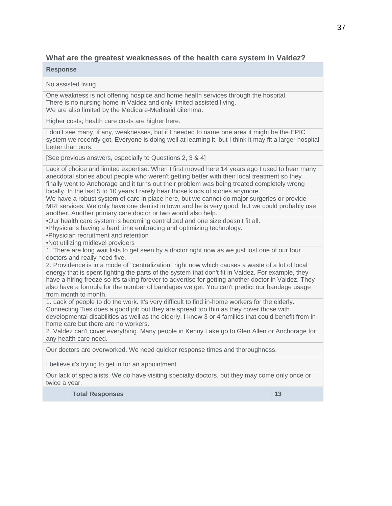# **What are the greatest weaknesses of the health care system in Valdez?**

#### **Response**

No assisted living.

One weakness is not offering hospice and home health services through the hospital. There is no nursing home in Valdez and only limited assisted living. We are also limited by the Medicare-Medicaid dilemma.

Higher costs; health care costs are higher here.

I don't see many, if any, weaknesses, but if I needed to name one area it might be the EPIC system we recently got. Everyone is doing well at learning it, but I think it may fit a larger hospital better than ours.

[See previous answers, especially to Questions 2, 3 & 4]

Lack of choice and limited expertise. When I first moved here 14 years ago I used to hear many anecdotal stories about people who weren't getting better with their local treatment so they finally went to Anchorage and it turns out their problem was being treated completely wrong locally. In the last 5 to 10 years I rarely hear those kinds of stories anymore.

We have a robust system of care in place here, but we cannot do major surgeries or provide MRI services. We only have one dentist in town and he is very good, but we could probably use another. Another primary care doctor or two would also help.

•Our health care system is becoming centralized and one size doesn't fit all.

•Physicians having a hard time embracing and optimizing technology.

•Physician recruitment and retention

•Not utilizing midlevel providers

1. There are long wait lists to get seen by a doctor right now as we just lost one of our four doctors and really need five.

2. Providence is in a mode of "centralization" right now which causes a waste of a lot of local energy that is spent fighting the parts of the system that don't fit in Valdez. For example, they have a hiring freeze so it's taking forever to advertise for getting another doctor in Valdez. They also have a formula for the number of bandages we get. You can't predict our bandage usage from month to month.

1. Lack of people to do the work. It's very difficult to find in-home workers for the elderly. Connecting Ties does a good job but they are spread too thin as they cover those with developmental disabilities as well as the elderly. I know 3 or 4 families that could benefit from inhome care but there are no workers.

2. Valdez can't cover everything. Many people in Kenny Lake go to Glen Allen or Anchorage for any health care need.

Our doctors are overworked. We need quicker response times and thoroughness.

I believe it's trying to get in for an appointment.

Our lack of specialists. We do have visiting specialty doctors, but they may come only once or twice a year.

**Total Responses 13 and 13 and 13 and 13 and 13 and 13 and 13 and 13 and 13 and 13 and 13 and 13 and 13 and 13 and 13 and 13 and 13 and 13 and 13 and 13 and 13 and 13 and 13 and 13 and 13 and 13 and 13 and 13 and 13 and 13**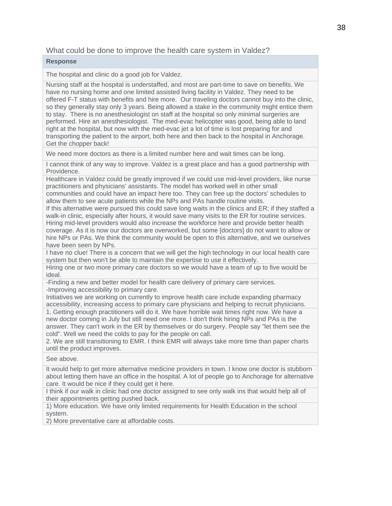# What could be done to improve the health care system in Valdez?

#### **Response**

The hospital and clinic do a good job for Valdez.

Nursing staff at the hospital is understaffed, and most are part-time to save on benefits. We have no nursing home and one limited assisted living facility in Valdez. They need to be offered F-T status with benefits and hire more. Our traveling doctors cannot buy into the clinic, so they generally stay only 3 years. Being allowed a stake in the community might entice them to stay. There is no anesthesiologist on staff at the hospital so only minimal surgeries are performed. Hire an anesthesiologist. The med-evac helicopter was good, being able to land right at the hospital, but now with the med-evac jet a lot of time is lost preparing for and transporting the patient to the airport, both here and then back to the hospital in Anchorage. Get the chopper back!

We need more doctors as there is a limited number here and wait times can be long.

I cannot think of any way to improve. Valdez is a great place and has a good partnership with Providence.

Healthcare in Valdez could be greatly improved if we could use mid-level providers, like nurse practitioners and physicians' assistants. The model has worked well in other small communities and could have an impact here too. They can free up the doctors' schedules to allow them to see acute patients while the NPs and PAs handle routine visits.

If this alternative were pursued this could save long waits in the clinics and ER; if they staffed a walk-in clinic, especially after hours, it would save many visits to the ER for routine services. Hiring mid-level providers would also increase the workforce here and provide better health coverage. As it is now our doctors are overworked, but some [doctors] do not want to allow or hire NPs or PAs. We think the community would be open to this alternative, and we ourselves have been seen by NPs.

I have no clue! There is a concern that we will get the high technology in our local health care system but then won't be able to maintain the expertise to use it effectively.

Hiring one or two more primary care doctors so we would have a team of up to five would be ideal.

-Finding a new and better model for health care delivery of primary care services. -Improving accessibility to primary care.

Initiatives we are working on currently to improve health care include expanding pharmacy accessibility, increasing access to primary care physicians and helping to recruit physicians.

1. Getting enough practitioners will do it. We have horrible wait times right now. We have a new doctor coming in July but still need one more. I don't think hiring NPs and PAs is the answer. They can't work in the ER by themselves or do surgery. People say "let them see the cold". Well we need the colds to pay for the people on call.

2. We are still transitioning to EMR. I think EMR will always take more time than paper charts until the product improves.

See above.

It would help to get more alternative medicine providers in town. I know one doctor is stubborn about letting them have an office in the hospital. A lot of people go to Anchorage for alternative care. It would be nice if they could get it here.

I think if our walk in clinic had one doctor assigned to see only walk ins that would help all of their appointments getting pushed back.

1) More education. We have only limited requirements for Health Education in the school system.

2) More preventative care at affordable costs.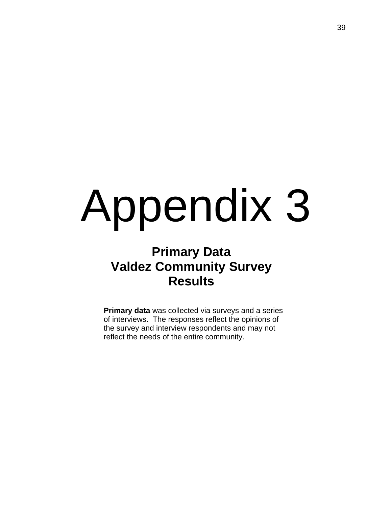# Appendix 3

# **Primary Data Valdez Community Survey Results**

**Primary data** was collected via surveys and a series of interviews. The responses reflect the opinions of the survey and interview respondents and may not reflect the needs of the entire community.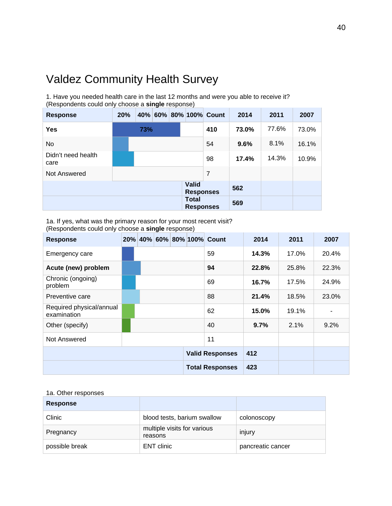# Valdez Community Health Survey

1. Have you needed health care in the last 12 months and were you able to receive it? (Respondents could only choose a **single** response)

| <b>Response</b>            | 20% |     |  |  |                                  | 40% 60% 80% 100% Count | 2014  | 2011  | 2007  |
|----------------------------|-----|-----|--|--|----------------------------------|------------------------|-------|-------|-------|
| Yes                        |     | 73% |  |  |                                  | 410                    | 73.0% | 77.6% | 73.0% |
| No                         |     |     |  |  |                                  | 54                     | 9.6%  | 8.1%  | 16.1% |
| Didn't need health<br>care |     |     |  |  |                                  | 98                     | 17.4% | 14.3% | 10.9% |
| Not Answered               |     |     |  |  |                                  | $\overline{7}$         |       |       |       |
|                            |     |     |  |  | <b>Valid</b><br><b>Responses</b> |                        | 562   |       |       |
|                            |     |     |  |  | <b>Total</b><br><b>Responses</b> |                        | 569   |       |       |

1a. If yes, what was the primary reason for your most recent visit? (Respondents could only choose a **single** response)

| <b>Response</b>                         |  |  |  |                        | 20% 40% 60% 80% 100% Count | 2014  | 2011  | 2007  |
|-----------------------------------------|--|--|--|------------------------|----------------------------|-------|-------|-------|
| Emergency care                          |  |  |  |                        | 59                         | 14.3% | 17.0% | 20.4% |
| Acute (new) problem                     |  |  |  |                        | 94                         | 22.8% | 25.8% | 22.3% |
| Chronic (ongoing)<br>problem            |  |  |  |                        | 69                         | 16.7% | 17.5% | 24.9% |
| Preventive care                         |  |  |  |                        | 88                         | 21.4% | 18.5% | 23.0% |
| Required physical/annual<br>examination |  |  |  |                        | 62                         | 15.0% | 19.1% |       |
| Other (specify)                         |  |  |  |                        | 40                         | 9.7%  | 2.1%  | 9.2%  |
| Not Answered                            |  |  |  |                        | 11                         |       |       |       |
|                                         |  |  |  |                        | <b>Valid Responses</b>     | 412   |       |       |
|                                         |  |  |  | <b>Total Responses</b> |                            | 423   |       |       |

#### 1a. Other responses

| <b>Response</b> |                                        |                   |
|-----------------|----------------------------------------|-------------------|
| Clinic          | blood tests, barium swallow            | colonoscopy       |
| Pregnancy       | multiple visits for various<br>reasons | injury            |
| possible break  | <b>ENT</b> clinic                      | pancreatic cancer |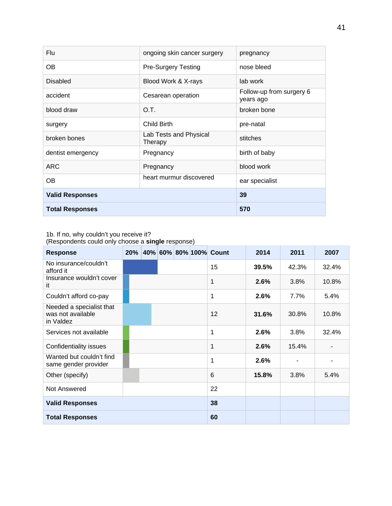| <b>Flu</b>             | ongoing skin cancer surgery       | pregnancy                             |
|------------------------|-----------------------------------|---------------------------------------|
| OВ                     | <b>Pre-Surgery Testing</b>        | nose bleed                            |
| <b>Disabled</b>        | Blood Work & X-rays               | lab work                              |
| accident               | Cesarean operation                | Follow-up from surgery 6<br>years ago |
| blood draw             | O.T.                              | broken bone                           |
| surgery                | <b>Child Birth</b>                | pre-natal                             |
| broken bones           | Lab Tests and Physical<br>Therapy | stitches                              |
| dentist emergency      | Pregnancy                         | birth of baby                         |
| <b>ARC</b>             | Pregnancy                         | blood work                            |
| OΒ                     | heart murmur discovered           | ear specialist                        |
| <b>Valid Responses</b> |                                   | 39                                    |
| <b>Total Responses</b> |                                   | 570                                   |

1b. If no, why couldn't you receive it?

(Respondents could only choose a **single** response)

| <b>Response</b>                                            |  |  | 20% 40% 60% 80% 100% Count | 2014  | 2011  | 2007  |
|------------------------------------------------------------|--|--|----------------------------|-------|-------|-------|
| No insurance/couldn't<br>afford it                         |  |  | 15                         | 39.5% | 42.3% | 32.4% |
| Insurance wouldn't cover<br>it                             |  |  | 1                          | 2.6%  | 3.8%  | 10.8% |
| Couldn't afford co-pay                                     |  |  | 1                          | 2.6%  | 7.7%  | 5.4%  |
| Needed a specialist that<br>was not available<br>in Valdez |  |  | 12                         | 31.6% | 30.8% | 10.8% |
| Services not available                                     |  |  | 1                          | 2.6%  | 3.8%  | 32.4% |
| Confidentiality issues                                     |  |  | 1                          | 2.6%  | 15.4% | ٠     |
| Wanted but couldn't find<br>same gender provider           |  |  | 1                          | 2.6%  |       | ٠     |
| Other (specify)                                            |  |  | 6                          | 15.8% | 3.8%  | 5.4%  |
| Not Answered                                               |  |  | 22                         |       |       |       |
| <b>Valid Responses</b>                                     |  |  | 38                         |       |       |       |
| <b>Total Responses</b>                                     |  |  | 60                         |       |       |       |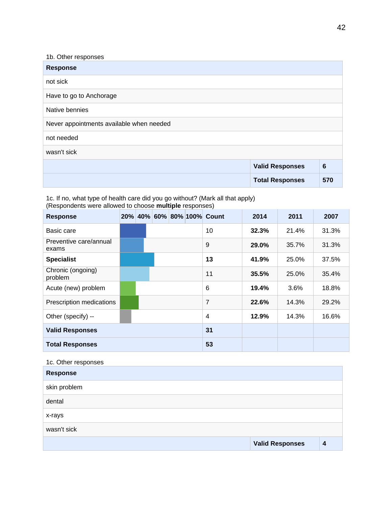| 1b. Other responses                      |                        |                 |
|------------------------------------------|------------------------|-----------------|
| <b>Response</b>                          |                        |                 |
| not sick                                 |                        |                 |
| Have to go to Anchorage                  |                        |                 |
| Native bennies                           |                        |                 |
| Never appointments available when needed |                        |                 |
| not needed                               |                        |                 |
| wasn't sick                              |                        |                 |
|                                          | <b>Valid Responses</b> | $6\phantom{1}6$ |
|                                          | <b>Total Responses</b> | 570             |

1c. If no, what type of health care did you go without? (Mark all that apply) (Respondents were allowed to choose **multiple** responses)

| <b>Response</b>                 |  |  | 20% 40% 60% 80% 100% Count | 2014  | 2011  | 2007  |
|---------------------------------|--|--|----------------------------|-------|-------|-------|
| Basic care                      |  |  | 10                         | 32.3% | 21.4% | 31.3% |
| Preventive care/annual<br>exams |  |  | 9                          | 29.0% | 35.7% | 31.3% |
| <b>Specialist</b>               |  |  | 13                         | 41.9% | 25.0% | 37.5% |
| Chronic (ongoing)<br>problem    |  |  | 11                         | 35.5% | 25.0% | 35.4% |
| Acute (new) problem             |  |  | 6                          | 19.4% | 3.6%  | 18.8% |
| Prescription medications        |  |  | 7                          | 22.6% | 14.3% | 29.2% |
| Other (specify) --              |  |  | 4                          | 12.9% | 14.3% | 16.6% |
| <b>Valid Responses</b>          |  |  | 31                         |       |       |       |
| <b>Total Responses</b>          |  |  | 53                         |       |       |       |

# 1c. Other responses

| <b>Response</b> |                        |                  |
|-----------------|------------------------|------------------|
| skin problem    |                        |                  |
| dental          |                        |                  |
| x-rays          |                        |                  |
| wasn't sick     |                        |                  |
|                 | <b>Valid Responses</b> | $\boldsymbol{A}$ |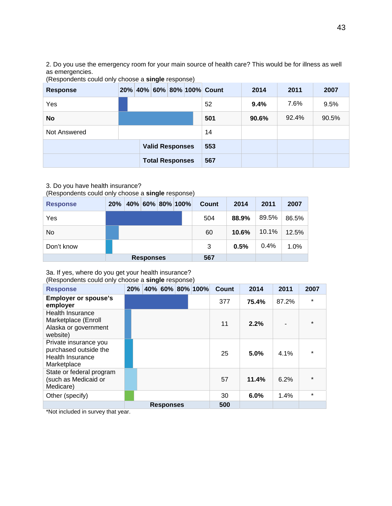2. Do you use the emergency room for your main source of health care? This would be for illness as well as emergencies.

(Respondents could only choose a **single** response)

| <b>Response</b> |  |                        |  | 20% 40% 60% 80% 100% Count | 2014  | 2011  | 2007  |
|-----------------|--|------------------------|--|----------------------------|-------|-------|-------|
| Yes             |  |                        |  | 52                         | 9.4%  | 7.6%  | 9.5%  |
| <b>No</b>       |  |                        |  | 501                        | 90.6% | 92.4% | 90.5% |
| Not Answered    |  |                        |  | 14                         |       |       |       |
|                 |  | <b>Valid Responses</b> |  | 553                        |       |       |       |
|                 |  | <b>Total Responses</b> |  | 567                        |       |       |       |

#### 3. Do you have health insurance?

(Respondents could only choose a **single** response)

| <b>Response</b> | 20% |                  | 40% 60% 80% 100% | Count | 2014  | 2011  | 2007  |
|-----------------|-----|------------------|------------------|-------|-------|-------|-------|
| Yes             |     |                  |                  | 504   | 88.9% | 89.5% | 86.5% |
| No              |     |                  |                  | 60    | 10.6% | 10.1% | 12.5% |
| Don't know      |     |                  |                  | 3     | 0.5%  | 0.4%  | 1.0%  |
|                 |     | <b>Responses</b> |                  | 567   |       |       |       |

## 3a. If yes, where do you get your health insurance?

#### (Respondents could only choose a **single** response)

| <b>Response</b>                                                                   | 20% |                  | 40% 60% 80% 100% | Count | 2014  | 2011  | 2007    |
|-----------------------------------------------------------------------------------|-----|------------------|------------------|-------|-------|-------|---------|
| <b>Employer or spouse's</b><br>employer                                           |     |                  |                  | 377   | 75.4% | 87.2% | $\star$ |
| Health Insurance<br>Marketplace (Enroll<br>Alaska or government<br>website)       |     |                  |                  | 11    | 2.2%  |       | $\star$ |
| Private insurance you<br>purchased outside the<br>Health Insurance<br>Marketplace |     |                  |                  | 25    | 5.0%  | 4.1%  | $\star$ |
| State or federal program<br>(such as Medicaid or<br>Medicare)                     |     |                  |                  | 57    | 11.4% | 6.2%  | $\star$ |
| Other (specify)                                                                   |     |                  |                  | 30    | 6.0%  | 1.4%  | $\star$ |
|                                                                                   |     | <b>Responses</b> |                  | 500   |       |       |         |

\*Not included in survey that year.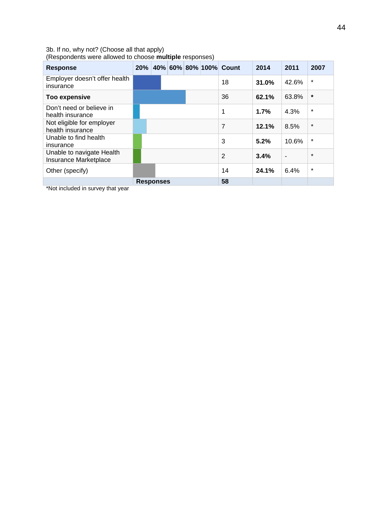#### 3b. If no, why not? (Choose all that apply)

(Respondents were allowed to choose **multiple** responses)

| <b>Response</b>                                    | 20% |                  |  | 40% 60% 80% 100% Count | 2014  | 2011           | 2007    |
|----------------------------------------------------|-----|------------------|--|------------------------|-------|----------------|---------|
| Employer doesn't offer health<br>insurance         |     |                  |  | 18                     | 31.0% | 42.6%          | $\star$ |
| <b>Too expensive</b>                               |     |                  |  | 36                     | 62.1% | 63.8%          | $\ast$  |
| Don't need or believe in<br>health insurance       |     |                  |  | 1                      | 1.7%  | 4.3%           | $\star$ |
| Not eligible for employer<br>health insurance      |     |                  |  | 7                      | 12.1% | 8.5%           | $\star$ |
| Unable to find health<br>insurance                 |     |                  |  | 3                      | 5.2%  | 10.6%          | $\star$ |
| Unable to navigate Health<br>Insurance Marketplace |     |                  |  | 2                      | 3.4%  | $\blacksquare$ | $\star$ |
| Other (specify)                                    |     |                  |  | 14                     | 24.1% | 6.4%           | $\star$ |
|                                                    |     | <b>Responses</b> |  | 58                     |       |                |         |

\*Not included in survey that year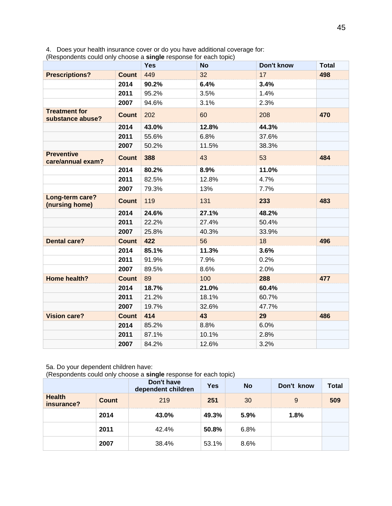4. Does your health insurance cover or do you have additional coverage for:

(Respondents could only choose a **single** response for each topic)

|                                          |              | <b>Yes</b> | <b>No</b> | Don't know | <b>Total</b> |
|------------------------------------------|--------------|------------|-----------|------------|--------------|
| <b>Prescriptions?</b>                    | <b>Count</b> | 449        | 32        | 17         | 498          |
|                                          | 2014         | 90.2%      | 6.4%      | 3.4%       |              |
|                                          | 2011         | 95.2%      | 3.5%      | 1.4%       |              |
|                                          | 2007         | 94.6%      | 3.1%      | 2.3%       |              |
| <b>Treatment for</b><br>substance abuse? | <b>Count</b> | 202        | 60        | 208        | 470          |
|                                          | 2014         | 43.0%      | 12.8%     | 44.3%      |              |
|                                          | 2011         | 55.6%      | 6.8%      | 37.6%      |              |
|                                          | 2007         | 50.2%      | 11.5%     | 38.3%      |              |
| <b>Preventive</b><br>care/annual exam?   | Count        | 388        | 43        | 53         | 484          |
|                                          | 2014         | 80.2%      | 8.9%      | 11.0%      |              |
|                                          | 2011         | 82.5%      | 12.8%     | 4.7%       |              |
|                                          | 2007         | 79.3%      | 13%       | 7.7%       |              |
| Long-term care?<br>(nursing home)        | <b>Count</b> | 119        | 131       | 233        | 483          |
|                                          | 2014         | 24.6%      | 27.1%     | 48.2%      |              |
|                                          | 2011         | 22.2%      | 27.4%     | 50.4%      |              |
|                                          | 2007         | 25.8%      | 40.3%     | 33.9%      |              |
| <b>Dental care?</b>                      | <b>Count</b> | 422        | 56        | 18         | 496          |
|                                          | 2014         | 85.1%      | 11.3%     | 3.6%       |              |
|                                          | 2011         | 91.9%      | 7.9%      | 0.2%       |              |
|                                          | 2007         | 89.5%      | 8.6%      | 2.0%       |              |
| Home health?                             | <b>Count</b> | 89         | 100       | 288        | 477          |
|                                          | 2014         | 18.7%      | 21.0%     | 60.4%      |              |
|                                          | 2011         | 21.2%      | 18.1%     | 60.7%      |              |
|                                          | 2007         | 19.7%      | 32.6%     | 47.7%      |              |
| <b>Vision care?</b>                      | <b>Count</b> | 414        | 43        | 29         | 486          |
|                                          | 2014         | 85.2%      | 8.8%      | 6.0%       |              |
|                                          | 2011         | 87.1%      | 10.1%     | 2.8%       |              |
|                                          | 2007         | 84.2%      | 12.6%     | 3.2%       |              |

#### 5a. Do your dependent children have:

(Respondents could only choose a **single** response for each topic)

|                             |              | Don't have<br>dependent children | <b>Yes</b> | <b>No</b> | Don't know | Total |
|-----------------------------|--------------|----------------------------------|------------|-----------|------------|-------|
| <b>Health</b><br>insurance? | <b>Count</b> | 219                              | 251        | 30        | 9          | 509   |
|                             | 2014         | 43.0%                            | 49.3%      | 5.9%      | 1.8%       |       |
|                             | 2011         | 42.4%                            | 50.8%      | 6.8%      |            |       |
|                             | 2007         | 38.4%                            | 53.1%      | 8.6%      |            |       |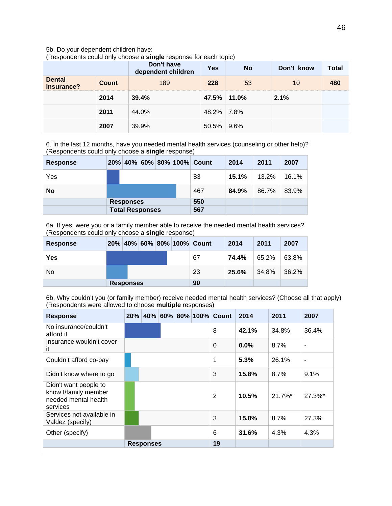#### 5b. Do your dependent children have:

(Respondents could only choose a **single** response for each topic)

|                             |              | Don't have<br>dependent children | Yes         | <b>No</b> | Don't know | Total |
|-----------------------------|--------------|----------------------------------|-------------|-----------|------------|-------|
| <b>Dental</b><br>insurance? | <b>Count</b> | 189                              | 228         | 53        | 10         |       |
|                             | 2014         | 39.4%                            | 47.5% 11.0% |           | 2.1%       |       |
|                             | 2011         | 44.0%                            | 48.2% 7.8%  |           |            |       |
|                             | 2007         | 39.9%                            | 50.5%       | $9.6\%$   |            |       |

6. In the last 12 months, have you needed mental health services (counseling or other help)? (Respondents could only choose a **single** response)

| <b>Response</b> |                        |  | 20% 40% 60% 80% 100% Count | 2014  | 2011     | 2007  |
|-----------------|------------------------|--|----------------------------|-------|----------|-------|
| Yes             |                        |  | 83                         | 15.1% | $13.2\%$ | 16.1% |
| No              |                        |  | 467                        | 84.9% | 86.7%    | 83.9% |
|                 | <b>Responses</b>       |  | 550                        |       |          |       |
|                 | <b>Total Responses</b> |  | 567                        |       |          |       |

6a. If yes, were you or a family member able to receive the needed mental health services? (Respondents could only choose a **single** response)

| <b>Response</b> |                  |  | 20% 40% 60% 80% 100% Count | 2014  | 2011  | 2007  |
|-----------------|------------------|--|----------------------------|-------|-------|-------|
| Yes             |                  |  | 67                         | 74.4% | 65.2% | 63.8% |
| No              |                  |  | 23                         | 25.6% | 34.8% | 36.2% |
|                 | <b>Responses</b> |  | 90                         |       |       |       |

6b. Why couldn't you (or family member) receive needed mental health services? (Choose all that apply) (Respondents were allowed to choose **multiple** responses)

| <b>Response</b>                                                                   | 20% |                  |  | 40% 60% 80% 100% Count | 2014    | 2011       | 2007           |
|-----------------------------------------------------------------------------------|-----|------------------|--|------------------------|---------|------------|----------------|
| No insurance/couldn't<br>afford it                                                |     |                  |  | 8                      | 42.1%   | 34.8%      | 36.4%          |
| Insurance wouldn't cover<br>it                                                    |     |                  |  | $\Omega$               | $0.0\%$ | 8.7%       | ۰              |
| Couldn't afford co-pay                                                            |     |                  |  | 1                      | 5.3%    | 26.1%      | $\blacksquare$ |
| Didn't know where to go                                                           |     |                  |  | 3                      | 15.8%   | 8.7%       | $9.1\%$        |
| Didn't want people to<br>know I/family member<br>needed mental health<br>services |     |                  |  | $\overline{2}$         | 10.5%   | $21.7\%$ * | 27.3%*         |
| Services not available in<br>Valdez (specify)                                     |     |                  |  | 3                      | 15.8%   | 8.7%       | 27.3%          |
| Other (specify)                                                                   |     |                  |  | 6                      | 31.6%   | 4.3%       | 4.3%           |
|                                                                                   |     | <b>Responses</b> |  | 19                     |         |            |                |
|                                                                                   |     |                  |  |                        |         |            |                |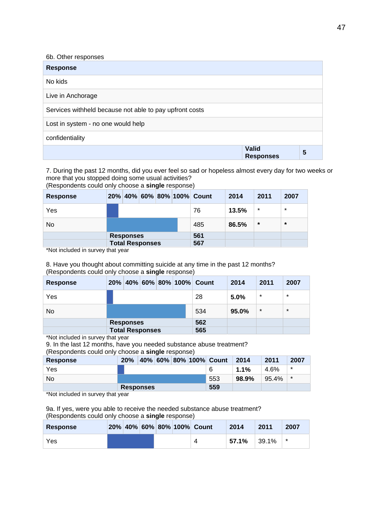| 6b. Other responses                                     |                                  |   |
|---------------------------------------------------------|----------------------------------|---|
| <b>Response</b>                                         |                                  |   |
| No kids                                                 |                                  |   |
| Live in Anchorage                                       |                                  |   |
| Services withheld because not able to pay upfront costs |                                  |   |
| Lost in system - no one would help                      |                                  |   |
| confidentiality                                         |                                  |   |
|                                                         | <b>Valid</b><br><b>Responses</b> | 5 |

7. During the past 12 months, did you ever feel so sad or hopeless almost every day for two weeks or more that you stopped doing some usual activities?

(Respondents could only choose a **single** response)

| <b>Response</b> |                        |  | 20% 40% 60% 80% 100% Count | 2014  | 2011    | 2007    |
|-----------------|------------------------|--|----------------------------|-------|---------|---------|
| Yes             |                        |  | 76                         | 13.5% | $\star$ | $\star$ |
| No              |                        |  | 485                        | 86.5% | $\star$ | $\star$ |
|                 | <b>Responses</b>       |  | 561                        |       |         |         |
|                 | <b>Total Responses</b> |  | 567                        |       |         |         |

\*Not included in survey that year

#### 8. Have you thought about committing suicide at any time in the past 12 months? (Respondents could only choose a **single** response)

| <b>Response</b> | 20% |                        |  | 40%   60%   80%   100% | Count | 2014  | 2011    | 2007    |
|-----------------|-----|------------------------|--|------------------------|-------|-------|---------|---------|
| Yes             |     |                        |  |                        | 28    | 5.0%  | $\star$ | $\star$ |
| No              |     |                        |  |                        | 534   | 95.0% | $\star$ | $\star$ |
|                 |     | <b>Responses</b>       |  |                        | 562   |       |         |         |
|                 |     | <b>Total Responses</b> |  |                        | 565   |       |         |         |

\*Not included in survey that year

9. In the last 12 months, have you needed substance abuse treatment?

(Respondents could only choose a **single** response)

| <b>Response</b> | 20%              |  |  | 40% 60% 80% 100% Count | 2014  | 2011  | 2007    |
|-----------------|------------------|--|--|------------------------|-------|-------|---------|
| Yes             |                  |  |  |                        | 1.1%  | 4.6%  | $\star$ |
| No.             |                  |  |  | 553                    | 98.9% | 95.4% | $\star$ |
|                 | <b>Responses</b> |  |  | 559                    |       |       |         |
| $\mathbf{u}$    |                  |  |  |                        |       |       |         |

\*Not included in survey that year

9a. If yes, were you able to receive the needed substance abuse treatment? (Respondents could only choose a **single** response)

| <b>Response</b> |  |  | 20% 40% 60% 80% 100% Count | 2014  | 2011  | 2007 |
|-----------------|--|--|----------------------------|-------|-------|------|
| Yes             |  |  |                            | 57.1% | 39.1% | *    |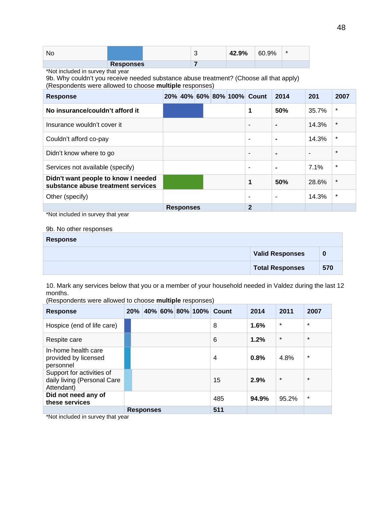| No |                  |  | 42.9% | 60.9% | $\star$ |
|----|------------------|--|-------|-------|---------|
|    | <b>Responses</b> |  |       |       |         |

\*Not included in survey that year

9b. Why couldn't you receive needed substance abuse treatment? (Choose all that apply) (Respondents were allowed to choose **multiple** responses)

| <b>Response</b>                                                           |                  |  | 20% 40% 60% 80% 100% Count | 2014                     | 201   | 2007    |
|---------------------------------------------------------------------------|------------------|--|----------------------------|--------------------------|-------|---------|
| No insurance/couldn't afford it                                           |                  |  | 1                          | 50%                      | 35.7% | $\star$ |
| Insurance wouldn't cover it                                               |                  |  |                            | $\blacksquare$           | 14.3% | $\star$ |
| Couldn't afford co-pay                                                    |                  |  | -                          |                          | 14.3% | $\star$ |
| Didn't know where to go                                                   |                  |  | ۰                          | $\blacksquare$           |       | $\star$ |
| Services not available (specify)                                          |                  |  | ٠                          | $\blacksquare$           | 7.1%  | $\ast$  |
| Didn't want people to know I needed<br>substance abuse treatment services |                  |  | 1                          | 50%                      | 28.6% | $\ast$  |
| Other (specify)                                                           |                  |  |                            | $\overline{\phantom{0}}$ | 14.3% | $\star$ |
|                                                                           | <b>Responses</b> |  | $\overline{2}$             |                          |       |         |

\*Not included in survey that year

#### 9b. No other responses

| <b>Response</b> |                        |     |
|-----------------|------------------------|-----|
|                 | <b>Valid Responses</b> | 0   |
|                 | <b>Total Responses</b> | 570 |

10. Mark any services below that you or a member of your household needed in Valdez during the last 12 months.

(Respondents were allowed to choose **multiple** responses)

| <b>Response</b>                                                        | 20% |                  |  | 40% 60% 80% 100% Count | 2014  | 2011    | 2007    |
|------------------------------------------------------------------------|-----|------------------|--|------------------------|-------|---------|---------|
| Hospice (end of life care)                                             |     |                  |  | 8                      | 1.6%  | $\star$ | $\star$ |
| Respite care                                                           |     |                  |  | 6                      | 1.2%  | $\star$ | $\star$ |
| In-home health care<br>provided by licensed<br>personnel               |     |                  |  | 4                      | 0.8%  | 4.8%    | $\star$ |
| Support for activities of<br>daily living (Personal Care<br>Attendant) |     |                  |  | 15                     | 2.9%  | $\star$ | $\star$ |
| Did not need any of<br>these services                                  |     |                  |  | 485                    | 94.9% | 95.2%   | $\star$ |
|                                                                        |     | <b>Responses</b> |  | 511                    |       |         |         |

\*Not included in survey that year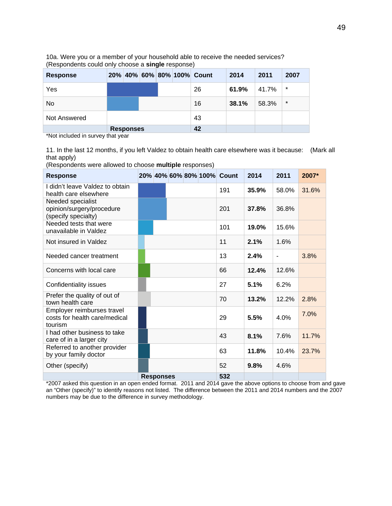| <b>Response</b> |                  |  | 20% 40% 60% 80% 100% Count | 2014  | 2011  | 2007    |
|-----------------|------------------|--|----------------------------|-------|-------|---------|
| Yes             |                  |  | 26                         | 61.9% | 41.7% | $\star$ |
| No.             |                  |  | 16                         | 38.1% | 58.3% | $\star$ |
| Not Answered    |                  |  | 43                         |       |       |         |
|                 | <b>Responses</b> |  | 42                         |       |       |         |

10a. Were you or a member of your household able to receive the needed services? (Respondents could only choose a **single** response)

\*Not included in survey that year

11. In the last 12 months, if you left Valdez to obtain health care elsewhere was it because: (Mark all that apply)

(Respondents were allowed to choose **multiple** responses)

| <b>Response</b>                                                        |                  |  | 20% 40% 60% 80% 100% Count | 2014  | 2011  | 2007* |
|------------------------------------------------------------------------|------------------|--|----------------------------|-------|-------|-------|
| I didn't leave Valdez to obtain<br>health care elsewhere               |                  |  | 191                        | 35.9% | 58.0% | 31.6% |
| Needed specialist<br>opinion/surgery/procedure<br>(specify specialty)  |                  |  | 201                        | 37.8% | 36.8% |       |
| Needed tests that were<br>unavailable in Valdez                        |                  |  | 101                        | 19.0% | 15.6% |       |
| Not insured in Valdez                                                  |                  |  | 11                         | 2.1%  | 1.6%  |       |
| Needed cancer treatment                                                |                  |  | 13                         | 2.4%  |       | 3.8%  |
| Concerns with local care                                               |                  |  | 66                         | 12.4% | 12.6% |       |
| Confidentiality issues                                                 |                  |  | 27                         | 5.1%  | 6.2%  |       |
| Prefer the quality of out of<br>town health care                       |                  |  | 70                         | 13.2% | 12.2% | 2.8%  |
| Employer reimburses travel<br>costs for health care/medical<br>tourism |                  |  | 29                         | 5.5%  | 4.0%  | 7.0%  |
| I had other business to take<br>care of in a larger city               |                  |  | 43                         | 8.1%  | 7.6%  | 11.7% |
| Referred to another provider<br>by your family doctor                  |                  |  | 63                         | 11.8% | 10.4% | 23.7% |
| Other (specify)                                                        |                  |  | 52                         | 9.8%  | 4.6%  |       |
|                                                                        | <b>Responses</b> |  | 532                        |       |       |       |

\*2007 asked this question in an open ended format. 2011 and 2014 gave the above options to choose from and gave an "Other (specify)" to identify reasons not listed. The difference between the 2011 and 2014 numbers and the 2007 numbers may be due to the difference in survey methodology.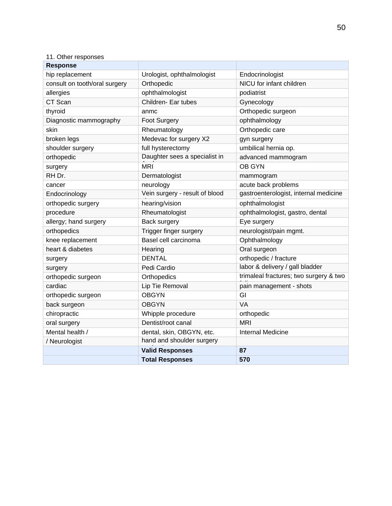### 11. Other responses

| <b>Response</b>               |                                |                                        |
|-------------------------------|--------------------------------|----------------------------------------|
| hip replacement               | Urologist, ophthalmologist     | Endocrinologist                        |
| consult on tooth/oral surgery | Orthopedic                     | NICU for infant children               |
| allergies                     | ophthalmologist                | podiatrist                             |
| CT Scan                       | Children- Ear tubes            | Gynecology                             |
| thyroid                       | anmc                           | Orthopedic surgeon                     |
| Diagnostic mammography        | Foot Surgery                   | ophthalmology                          |
| skin                          | Rheumatology                   | Orthopedic care                        |
| broken legs                   | Medevac for surgery X2         | gyn surgery                            |
| shoulder surgery              | full hysterectomy              | umbilical hernia op.                   |
| orthopedic                    | Daughter sees a specialist in  | advanced mammogram                     |
| surgery                       | <b>MRI</b>                     | <b>OB GYN</b>                          |
| RH Dr.                        | Dermatologist                  | mammogram                              |
| cancer                        | neurology                      | acute back problems                    |
| Endocrinology                 | Vein surgery - result of blood | gastroenterologist, internal medicine  |
| orthopedic surgery            | hearing/vision                 | ophthalmologist                        |
| procedure                     | Rheumatologist                 | ophthalmologist, gastro, dental        |
| allergy; hand surgery         | Back surgery                   | Eye surgery                            |
| orthopedics                   | Trigger finger surgery         | neurologist/pain mgmt.                 |
| knee replacement              | Basel cell carcinoma           | Ophthalmology                          |
| heart & diabetes              | Hearing                        | Oral surgeon                           |
| surgery                       | <b>DENTAL</b>                  | orthopedic / fracture                  |
| surgery                       | Pedi Cardio                    | labor & delivery / gall bladder        |
| orthopedic surgeon            | Orthopedics                    | trimaleal fractures; two surgery & two |
| cardiac                       | Lip Tie Removal                | pain management - shots                |
| orthopedic surgeon            | <b>OBGYN</b>                   | GI                                     |
| back surgeon                  | <b>OBGYN</b>                   | VA                                     |
| chiropractic                  | Whipple procedure              | orthopedic                             |
| oral surgery                  | Dentist/root canal             | <b>MRI</b>                             |
| Mental health /               | dental, skin, OBGYN, etc.      | <b>Internal Medicine</b>               |
| / Neurologist                 | hand and shoulder surgery      |                                        |
|                               | <b>Valid Responses</b>         | 87                                     |
|                               | <b>Total Responses</b>         | 570                                    |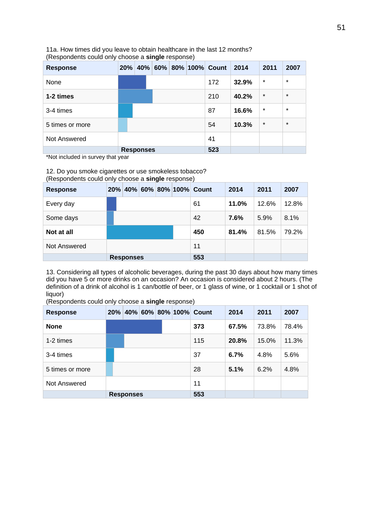| <b>Response</b> | 20% | 40%              | ີ |  | 60% 80% 100% Count | 2014  | 2011    | 2007    |
|-----------------|-----|------------------|---|--|--------------------|-------|---------|---------|
| None            |     |                  |   |  | 172                | 32.9% | $\star$ | $\star$ |
| 1-2 times       |     |                  |   |  | 210                | 40.2% | $\star$ | $\star$ |
| 3-4 times       |     |                  |   |  | 87                 | 16.6% | $\star$ | $\star$ |
| 5 times or more |     |                  |   |  | 54                 | 10.3% | $\star$ | $\star$ |
| Not Answered    |     |                  |   |  | 41                 |       |         |         |
| .               |     | <b>Responses</b> |   |  | 523                |       |         |         |

11a. How times did you leave to obtain healthcare in the last 12 months? (Respondents could only choose a **single** response)

\*Not included in survey that year

12. Do you smoke cigarettes or use smokeless tobacco? (Respondents could only choose a **single** response)

| <b>Response</b>     | 20% |                  |  | 40% 60% 80% 100% Count | 2014  | 2011  | 2007  |
|---------------------|-----|------------------|--|------------------------|-------|-------|-------|
| Every day           |     |                  |  | 61                     | 11.0% | 12.6% | 12.8% |
| Some days           |     |                  |  | 42                     | 7.6%  | 5.9%  | 8.1%  |
| Not at all          |     |                  |  | 450                    | 81.4% | 81.5% | 79.2% |
| <b>Not Answered</b> |     |                  |  | 11                     |       |       |       |
|                     |     | <b>Responses</b> |  | 553                    |       |       |       |

13. Considering all types of alcoholic beverages, during the past 30 days about how many times did you have 5 or more drinks on an occasion? An occasion is considered about 2 hours. (The definition of a drink of alcohol is 1 can/bottle of beer, or 1 glass of wine, or 1 cocktail or 1 shot of liquor)

| (Respondents could only choose a <b>single</b> response) |  |  |                            |       |       |       |
|----------------------------------------------------------|--|--|----------------------------|-------|-------|-------|
| Response                                                 |  |  | 20% 40% 60% 80% 100% Count | 2014  | 2011  | 2007  |
| <b>None</b>                                              |  |  | 373                        | 67.5% | 73.8% | 78.4% |
| 1-2 times                                                |  |  | 115                        | 20.8% | 15.0% | 11.3% |

(Respondents could only choose a **single** response)

| 1-2 times       |                  | 115 | 20.8% | 15.0% | 11.3% |
|-----------------|------------------|-----|-------|-------|-------|
| 3-4 times       |                  | 37  | 6.7%  | 4.8%  | 5.6%  |
| 5 times or more |                  | 28  | 5.1%  | 6.2%  | 4.8%  |
| Not Answered    |                  | 11  |       |       |       |
|                 | <b>Responses</b> | 553 |       |       |       |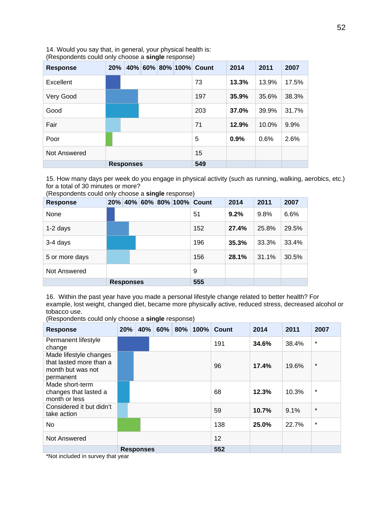14. Would you say that, in general, your physical health is: (Respondents could only choose a **single** response)

| <b>Response</b> | 20% |                  |  | 40% 60% 80% 100% Count | 2014  | 2011  | 2007  |
|-----------------|-----|------------------|--|------------------------|-------|-------|-------|
| Excellent       |     |                  |  | 73                     | 13.3% | 13.9% | 17.5% |
| Very Good       |     |                  |  | 197                    | 35.9% | 35.6% | 38.3% |
| Good            |     |                  |  | 203                    | 37.0% | 39.9% | 31.7% |
| Fair            |     |                  |  | 71                     | 12.9% | 10.0% | 9.9%  |
| Poor            |     |                  |  | 5                      | 0.9%  | 0.6%  | 2.6%  |
| Not Answered    |     |                  |  | 15                     |       |       |       |
|                 |     | <b>Responses</b> |  | 549                    |       |       |       |

15. How many days per week do you engage in physical activity (such as running, walking, aerobics, etc.) for a total of 30 minutes or more?

| <b>Response</b> | 20% |                  |  | 40% 60% 80% 100% | Count | 2014  | 2011  | 2007  |
|-----------------|-----|------------------|--|------------------|-------|-------|-------|-------|
| None            |     |                  |  |                  | 51    | 9.2%  | 9.8%  | 6.6%  |
| 1-2 days        |     |                  |  |                  | 152   | 27.4% | 25.8% | 29.5% |
| 3-4 days        |     |                  |  |                  | 196   | 35.3% | 33.3% | 33.4% |
| 5 or more days  |     |                  |  |                  | 156   | 28.1% | 31.1% | 30.5% |
| Not Answered    |     |                  |  |                  | 9     |       |       |       |
|                 |     | <b>Responses</b> |  |                  | 555   |       |       |       |

(Respondents could only choose a **single** response)

16. Within the past year have you made a personal lifestyle change related to better health? For example, lost weight, changed diet, became more physically active, reduced stress, decreased alcohol or tobacco use.

(Respondents could only choose a **single** response)

| <b>Response</b>                                                                     | 20% | 40%              | 60% | $80\%$ | 100% | Count | 2014  | 2011  | 2007    |
|-------------------------------------------------------------------------------------|-----|------------------|-----|--------|------|-------|-------|-------|---------|
| Permanent lifestyle<br>change                                                       |     |                  |     |        |      | 191   | 34.6% | 38.4% | $\star$ |
| Made lifestyle changes<br>that lasted more than a<br>month but was not<br>permanent |     |                  |     |        |      | 96    | 17.4% | 19.6% | $\star$ |
| Made short-term<br>changes that lasted a<br>month or less                           |     |                  |     |        |      | 68    | 12.3% | 10.3% | $\star$ |
| Considered it but didn't<br>take action                                             |     |                  |     |        |      | 59    | 10.7% | 9.1%  | $\star$ |
| No                                                                                  |     |                  |     |        |      | 138   | 25.0% | 22.7% | $\star$ |
| Not Answered                                                                        |     |                  |     |        |      | 12    |       |       |         |
|                                                                                     |     | <b>Responses</b> |     |        |      | 552   |       |       |         |

\*Not included in survey that year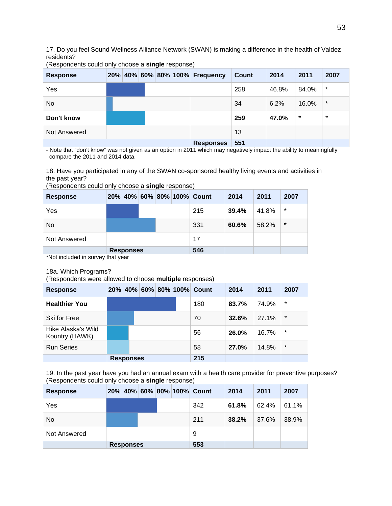17. Do you feel Sound Wellness Alliance Network (SWAN) is making a difference in the health of Valdez residents?

| <b>Response</b> |  |  | 20% 40% 60% 80% 100% Frequency | <b>Count</b> | 2014  | 2011   | 2007    |
|-----------------|--|--|--------------------------------|--------------|-------|--------|---------|
| Yes             |  |  |                                | 258          | 46.8% | 84.0%  | $\star$ |
| No.             |  |  |                                | 34           | 6.2%  | 16.0%  | $\star$ |
| Don't know      |  |  |                                | 259          | 47.0% | $\ast$ | $\star$ |
| Not Answered    |  |  |                                | 13           |       |        |         |
|                 |  |  | <b>Responses</b>               | 551          |       |        |         |

(Respondents could only choose a **single** response)

- Note that "don't know" was not given as an option in 2011 which may negatively impact the ability to meaningfully compare the 2011 and 2014 data.

18. Have you participated in any of the SWAN co-sponsored healthy living events and activities in the past year?

| <b>Response</b> |          |                  |  | 20% 40% 60% 80% 100% Count | 2014  | 2011  | 2007    |
|-----------------|----------|------------------|--|----------------------------|-------|-------|---------|
| Yes             |          |                  |  | 215                        | 39.4% | 41.8% | $\star$ |
| No              |          |                  |  | 331                        | 60.6% | 58.2% | $\star$ |
| Not Answered    |          |                  |  | 17                         |       |       |         |
|                 | $\cdots$ | <b>Responses</b> |  | 546                        |       |       |         |

(Respondents could only choose a **single** response)

\*Not included in survey that year

#### 18a. Which Programs?

(Respondents were allowed to choose **multiple** responses)

| <b>Response</b>                      |                  |  | 20% 40% 60% 80% 100% | Count | 2014  | 2011  | 2007    |
|--------------------------------------|------------------|--|----------------------|-------|-------|-------|---------|
| <b>Healthier You</b>                 |                  |  |                      | 180   | 83.7% | 74.9% | $\ast$  |
| Ski for Free                         |                  |  |                      | 70    | 32.6% | 27.1% | $\star$ |
| Hike Alaska's Wild<br>Kountry (HAWK) |                  |  |                      | 56    | 26.0% | 16.7% | $\star$ |
| <b>Run Series</b>                    |                  |  |                      | 58    | 27.0% | 14.8% | $\star$ |
|                                      | <b>Responses</b> |  |                      | 215   |       |       |         |

19. In the past year have you had an annual exam with a health care provider for preventive purposes? (Respondents could only choose a **single** response)

| <b>Response</b> |                  |  |  |  |  | 20% 40% 60% 80% 100% Count | 2014  | 2011  | 2007  |
|-----------------|------------------|--|--|--|--|----------------------------|-------|-------|-------|
| Yes             |                  |  |  |  |  | 342                        | 61.8% | 62.4% | 61.1% |
| No              |                  |  |  |  |  | 211                        | 38.2% | 37.6% | 38.9% |
| Not Answered    |                  |  |  |  |  | 9                          |       |       |       |
|                 | <b>Responses</b> |  |  |  |  | 553                        |       |       |       |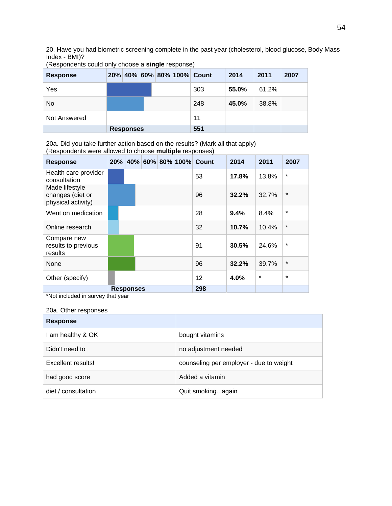20. Have you had biometric screening complete in the past year (cholesterol, blood glucose, Body Mass Index - BMI)?

| <b>Response</b> |                  |  | 20% 40% 60% 80% 100% Count | 2014  | 2011  | 2007 |
|-----------------|------------------|--|----------------------------|-------|-------|------|
| Yes             |                  |  | 303                        | 55.0% | 61.2% |      |
| No              |                  |  | 248                        | 45.0% | 38.8% |      |
| Not Answered    |                  |  | 11                         |       |       |      |
|                 | <b>Responses</b> |  | 551                        |       |       |      |

(Respondents could only choose a **single** response)

20a. Did you take further action based on the results? (Mark all that apply) (Respondents were allowed to choose **multiple** responses)

| <b>Response</b>                                          | $20\%$ |                  |  |  | 40% 60% 80% 100% | Count | 2014  | 2011    | 2007     |
|----------------------------------------------------------|--------|------------------|--|--|------------------|-------|-------|---------|----------|
| Health care provider<br>consultation                     |        |                  |  |  |                  | 53    | 17.8% | 13.8%   | $\star$  |
| Made lifestyle<br>changes (diet or<br>physical activity) |        |                  |  |  |                  | 96    | 32.2% | 32.7%   | $\star$  |
| Went on medication                                       |        |                  |  |  |                  | 28    | 9.4%  | 8.4%    | $\star$  |
| Online research                                          |        |                  |  |  |                  | 32    | 10.7% | 10.4%   | $\star$  |
| Compare new<br>results to previous<br>results            |        |                  |  |  |                  | 91    | 30.5% | 24.6%   | $^\star$ |
| None                                                     |        |                  |  |  |                  | 96    | 32.2% | 39.7%   | $\star$  |
| Other (specify)                                          |        |                  |  |  |                  | 12    | 4.0%  | $\star$ | $\star$  |
|                                                          |        | <b>Responses</b> |  |  |                  | 298   |       |         |          |

\*Not included in survey that year

#### 20a. Other responses

| <b>Response</b>     |                                         |
|---------------------|-----------------------------------------|
| I am healthy & OK   | bought vitamins                         |
| Didn't need to      | no adjustment needed                    |
| Excellent results!  | counseling per employer - due to weight |
| had good score      | Added a vitamin                         |
| diet / consultation | Quit smokingagain                       |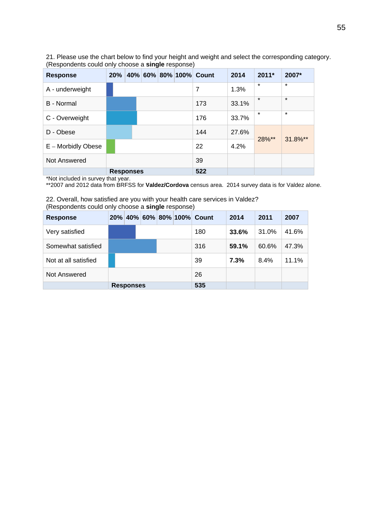21. Please use the chart below to find your height and weight and select the corresponding category. (Respondents could only choose a **single** response)

| <b>Response</b>    | 20% |                  |  | 40% 60% 80% 100% Count | 2014  | $2011*$ | 2007*   |
|--------------------|-----|------------------|--|------------------------|-------|---------|---------|
| A - underweight    |     |                  |  | 7                      | 1.3%  | $\star$ | $\star$ |
| B - Normal         |     |                  |  | 173                    | 33.1% | $\star$ | $\star$ |
| C - Overweight     |     |                  |  | 176                    | 33.7% | $\star$ | $\star$ |
| D - Obese          |     |                  |  | 144                    | 27.6% | 28%**   | 31.8%** |
| E – Morbidly Obese |     |                  |  | 22                     | 4.2%  |         |         |
| Not Answered       |     |                  |  | 39                     |       |         |         |
|                    |     | <b>Responses</b> |  | 522                    |       |         |         |

\*Not included in survey that year.

\*\*2007 and 2012 data from BRFSS for **Valdez/Cordova** census area. 2014 survey data is for Valdez alone.

22. Overall, how satisfied are you with your health care services in Valdez? (Respondents could only choose a **single** response)

| <b>Response</b>      | 20% |                  |  | 40% 60% 80% 100% | Count | 2014  | 2011  | 2007  |
|----------------------|-----|------------------|--|------------------|-------|-------|-------|-------|
| Very satisfied       |     |                  |  |                  | 180   | 33.6% | 31.0% | 41.6% |
| Somewhat satisfied   |     |                  |  |                  | 316   | 59.1% | 60.6% | 47.3% |
| Not at all satisfied |     |                  |  |                  | 39    | 7.3%  | 8.4%  | 11.1% |
| Not Answered         |     |                  |  |                  | 26    |       |       |       |
|                      |     | <b>Responses</b> |  |                  | 535   |       |       |       |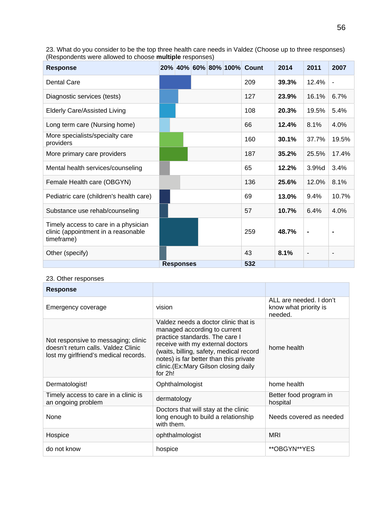| <b>Response</b>                                                                           |                  |  | 20% 40% 60% 80% 100% Count | 2014  | 2011                     | 2007  |
|-------------------------------------------------------------------------------------------|------------------|--|----------------------------|-------|--------------------------|-------|
| <b>Dental Care</b>                                                                        |                  |  | 209                        | 39.3% | 12.4%                    |       |
| Diagnostic services (tests)                                                               |                  |  | 127                        | 23.9% | 16.1%                    | 6.7%  |
| <b>Elderly Care/Assisted Living</b>                                                       |                  |  | 108                        | 20.3% | 19.5%                    | 5.4%  |
| Long term care (Nursing home)                                                             |                  |  | 66                         | 12.4% | 8.1%                     | 4.0%  |
| More specialists/specialty care<br>providers                                              |                  |  | 160                        | 30.1% | 37.7%                    | 19.5% |
| More primary care providers                                                               |                  |  | 187                        | 35.2% | 25.5%                    | 17.4% |
| Mental health services/counseling                                                         |                  |  | 65                         | 12.2% | 3.9%d                    | 3.4%  |
| Female Health care (OBGYN)                                                                |                  |  | 136                        | 25.6% | 12.0%                    | 8.1%  |
| Pediatric care (children's health care)                                                   |                  |  | 69                         | 13.0% | 9.4%                     | 10.7% |
| Substance use rehab/counseling                                                            |                  |  | 57                         | 10.7% | 6.4%                     | 4.0%  |
| Timely access to care in a physician<br>clinic (appointment in a reasonable<br>timeframe) |                  |  | 259                        | 48.7% |                          |       |
| Other (specify)                                                                           |                  |  | 43                         | 8.1%  | $\overline{\phantom{a}}$ |       |
|                                                                                           | <b>Responses</b> |  | 532                        |       |                          |       |

23. What do you consider to be the top three health care needs in Valdez (Choose up to three responses) (Respondents were allowed to choose **multiple** responses)

#### 23. Other responses

| <b>Response</b>                                                                                                     |                                                                                                                                                                                                                                                                                    |                                                             |
|---------------------------------------------------------------------------------------------------------------------|------------------------------------------------------------------------------------------------------------------------------------------------------------------------------------------------------------------------------------------------------------------------------------|-------------------------------------------------------------|
| Emergency coverage                                                                                                  | vision                                                                                                                                                                                                                                                                             | ALL are needed. I don't<br>know what priority is<br>needed. |
| Not responsive to messaging; clinic<br>doesn't return calls. Valdez Clinic<br>lost my girlfriend's medical records. | Valdez needs a doctor clinic that is<br>managed according to current<br>practice standards. The care I<br>receive with my external doctors<br>(waits, billing, safety, medical record<br>notes) is far better than this private<br>clinic.(Ex:Mary Gilson closing daily<br>for 2h! | home health                                                 |
| Dermatologist!                                                                                                      | Ophthalmologist                                                                                                                                                                                                                                                                    | home health                                                 |
| Timely access to care in a clinic is<br>an ongoing problem                                                          | dermatology                                                                                                                                                                                                                                                                        | Better food program in<br>hospital                          |
| None                                                                                                                | Doctors that will stay at the clinic<br>long enough to build a relationship<br>with them.                                                                                                                                                                                          | Needs covered as needed                                     |
| Hospice                                                                                                             | ophthalmologist                                                                                                                                                                                                                                                                    | <b>MRI</b>                                                  |
| do not know                                                                                                         | hospice                                                                                                                                                                                                                                                                            | **OBGYN**YES                                                |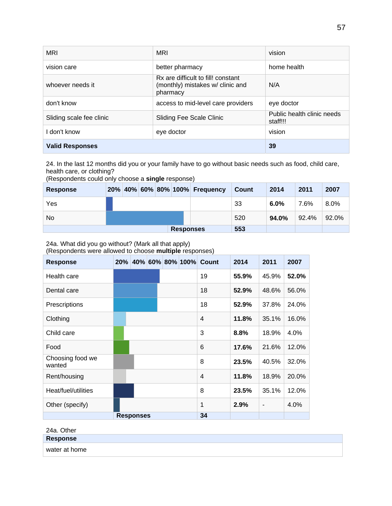| <b>MRI</b>               | <b>MRI</b>                                                                         | vision                                 |
|--------------------------|------------------------------------------------------------------------------------|----------------------------------------|
| vision care              | better pharmacy                                                                    | home health                            |
| whoever needs it         | Rx are difficult to fill! constant<br>(monthly) mistakes w/ clinic and<br>pharmacy | N/A                                    |
| don't know               | access to mid-level care providers                                                 | eye doctor                             |
| Sliding scale fee clinic | <b>Sliding Fee Scale Clinic</b>                                                    | Public health clinic needs<br>staff!!! |
| don't know               | eye doctor                                                                         | vision                                 |
| <b>Valid Responses</b>   |                                                                                    | 39                                     |

24. In the last 12 months did you or your family have to go without basic needs such as food, child care, health care, or clothing?

| <b>Response</b> |                  |  |  |  | 20% 40% 60% 80% 100% Frequency | Count | 2014    | 2011  | 2007  |
|-----------------|------------------|--|--|--|--------------------------------|-------|---------|-------|-------|
| Yes             |                  |  |  |  |                                | 33    | $6.0\%$ | 7.6%  | 8.0%  |
| No              |                  |  |  |  |                                | 520   | 94.0%   | 92.4% | 92.0% |
|                 | <b>Responses</b> |  |  |  |                                | 553   |         |       |       |

(Respondents could only choose a **single** response)

24a. What did you go without? (Mark all that apply)

(Respondents were allowed to choose **multiple** responses)

| <b>Response</b>            | 20% |                  |  | 40% 60% 80% 100% Count | 2014  | 2011                     | 2007  |
|----------------------------|-----|------------------|--|------------------------|-------|--------------------------|-------|
| Health care                |     |                  |  | 19                     | 55.9% | 45.9%                    | 52.0% |
| Dental care                |     |                  |  | 18                     | 52.9% | 48.6%                    | 56.0% |
| Prescriptions              |     |                  |  | 18                     | 52.9% | 37.8%                    | 24.0% |
| Clothing                   |     |                  |  | $\overline{4}$         | 11.8% | 35.1%                    | 16.0% |
| Child care                 |     |                  |  | 3                      | 8.8%  | 18.9%                    | 4.0%  |
| Food                       |     |                  |  | 6                      | 17.6% | 21.6%                    | 12.0% |
| Choosing food we<br>wanted |     |                  |  | 8                      | 23.5% | 40.5%                    | 32.0% |
| Rent/housing               |     |                  |  | $\overline{4}$         | 11.8% | 18.9%                    | 20.0% |
| Heat/fuel/utilities        |     |                  |  | 8                      | 23.5% | 35.1%                    | 12.0% |
| Other (specify)            |     |                  |  | 1                      | 2.9%  | $\overline{\phantom{a}}$ | 4.0%  |
|                            |     | <b>Responses</b> |  | 34                     |       |                          |       |

| 24a. Other    |  |
|---------------|--|
| Response      |  |
| water at home |  |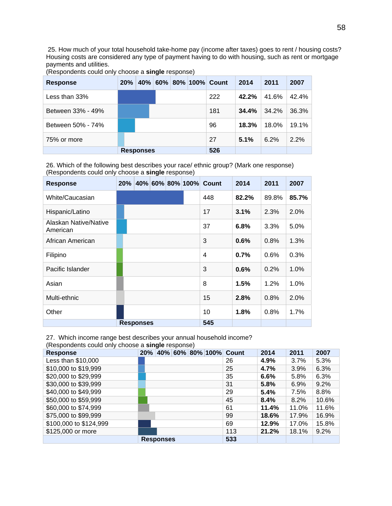25. How much of your total household take-home pay (income after taxes) goes to rent / housing costs? Housing costs are considered any type of payment having to do with housing, such as rent or mortgage payments and utilities.

| <b>Response</b>   | 20% | 40%              |  | 60% 80% 100% Count | 2014  | 2011  | 2007  |
|-------------------|-----|------------------|--|--------------------|-------|-------|-------|
| Less than $33%$   |     |                  |  | 222                | 42.2% | 41.6% | 42.4% |
| Between 33% - 49% |     |                  |  | 181                | 34.4% | 34.2% | 36.3% |
| Between 50% - 74% |     |                  |  | 96                 | 18.3% | 18.0% | 19.1% |
| 75% or more       |     |                  |  | 27                 | 5.1%  | 6.2%  | 2.2%  |
|                   |     | <b>Responses</b> |  | 526                |       |       |       |

(Respondents could only choose a **single** response)

26. Which of the following best describes your race/ ethnic group? (Mark one response) (Respondents could only choose a **single** response)

| <b>Response</b>                          | $20\%$ |                  |  | 40% 60% 80% 100% Count | 2014  | 2011  | 2007  |
|------------------------------------------|--------|------------------|--|------------------------|-------|-------|-------|
| White/Caucasian                          |        |                  |  | 448                    | 82.2% | 89.8% | 85.7% |
| Hispanic/Latino                          |        |                  |  | 17                     | 3.1%  | 2.3%  | 2.0%  |
| <b>Alaskan Native/Native</b><br>American |        |                  |  | 37                     | 6.8%  | 3.3%  | 5.0%  |
| African American                         |        |                  |  | 3                      | 0.6%  | 0.8%  | 1.3%  |
| Filipino                                 |        |                  |  | $\overline{4}$         | 0.7%  | 0.6%  | 0.3%  |
| Pacific Islander                         |        |                  |  | 3                      | 0.6%  | 0.2%  | 1.0%  |
| Asian                                    |        |                  |  | 8                      | 1.5%  | 1.2%  | 1.0%  |
| Multi-ethnic                             |        |                  |  | 15                     | 2.8%  | 0.8%  | 2.0%  |
| Other                                    |        |                  |  | 10                     | 1.8%  | 0.8%  | 1.7%  |
|                                          |        | <b>Responses</b> |  | 545                    |       |       |       |

27. Which income range best describes your annual household income? (Respondents could only choose a **single** response)

| <b>Response</b>        | 20% |                  |  | 40% 60% 80% 100% Count | 2014  | 2011  | 2007  |
|------------------------|-----|------------------|--|------------------------|-------|-------|-------|
| Less than \$10,000     |     |                  |  | 26                     | 4.9%  | 3.7%  | 5.3%  |
| \$10,000 to \$19,999   |     |                  |  | 25                     | 4.7%  | 3.9%  | 6.3%  |
| \$20,000 to \$29,999   |     |                  |  | 35                     | 6.6%  | 5.8%  | 6.3%  |
| \$30,000 to \$39,999   |     |                  |  | 31                     | 5.8%  | 6.9%  | 9.2%  |
| \$40,000 to \$49,999   |     |                  |  | 29                     | 5.4%  | 7.5%  | 8.8%  |
| \$50,000 to \$59,999   |     |                  |  | 45                     | 8.4%  | 8.2%  | 10.6% |
| \$60,000 to \$74,999   |     |                  |  | 61                     | 11.4% | 11.0% | 11.6% |
| \$75,000 to \$99,999   |     |                  |  | 99                     | 18.6% | 17.9% | 16.9% |
| \$100,000 to \$124,999 |     |                  |  | 69                     | 12.9% | 17.0% | 15.8% |
| \$125,000 or more      |     |                  |  | 113                    | 21.2% | 18.1% | 9.2%  |
|                        |     | <b>Responses</b> |  | 533                    |       |       |       |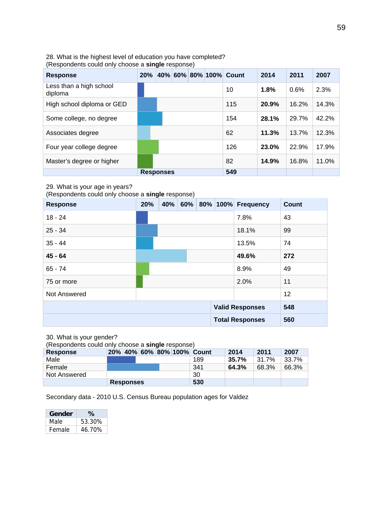#### 28. What is the highest level of education you have completed? (Respondents could only choose a **single** response)

| <b>Response</b>                    | 20% |                  |  | 40% 60% 80% 100% Count | 2014  | 2011  | 2007  |
|------------------------------------|-----|------------------|--|------------------------|-------|-------|-------|
| Less than a high school<br>diploma |     |                  |  | 10                     | 1.8%  | 0.6%  | 2.3%  |
| High school diploma or GED         |     |                  |  | 115                    | 20.9% | 16.2% | 14.3% |
| Some college, no degree            |     |                  |  | 154                    | 28.1% | 29.7% | 42.2% |
| Associates degree                  |     |                  |  | 62                     | 11.3% | 13.7% | 12.3% |
| Four year college degree           |     |                  |  | 126                    | 23.0% | 22.9% | 17.9% |
| Master's degree or higher          |     |                  |  | 82                     | 14.9% | 16.8% | 11.0% |
|                                    |     | <b>Responses</b> |  | 549                    |       |       |       |

#### 29. What is your age in years?

(Respondents could only choose a **single** response)

| <b>Response</b> | 20% | 40% 60% |  | 80% 100% Frequency     | <b>Count</b> |
|-----------------|-----|---------|--|------------------------|--------------|
| $18 - 24$       |     |         |  | 7.8%                   | 43           |
| $25 - 34$       |     |         |  | 18.1%                  | 99           |
| $35 - 44$       |     |         |  | 13.5%                  | 74           |
| $45 - 64$       |     |         |  | 49.6%                  | 272          |
| $65 - 74$       |     |         |  | 8.9%                   | 49           |
| 75 or more      |     |         |  | 2.0%                   | 11           |
| Not Answered    |     |         |  |                        | 12           |
|                 |     |         |  | <b>Valid Responses</b> | 548          |
|                 |     |         |  | <b>Total Responses</b> | 560          |

30. What is your gender?

(Respondents could only choose a **single** response)

| <b>Response</b> | 20% 40% 60% 80% 100% Count |  |     | 2014  | 2011  | 2007  |
|-----------------|----------------------------|--|-----|-------|-------|-------|
| Male            |                            |  | 189 | 35.7% | 31.7% | 33.7% |
| Female          |                            |  | 341 | 64.3% | 68.3% | 66.3% |
| Not Answered    |                            |  | 30  |       |       |       |
|                 | <b>Responses</b>           |  | 530 |       |       |       |

Secondary data - 2010 U.S. Census Bureau population ages for Valdez

| Gender | ℅      |
|--------|--------|
| Male   | 53.30% |
| Female | 46.70% |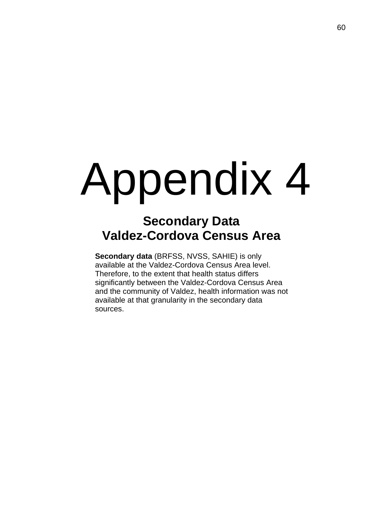# Appendix 4

# **Secondary Data Valdez-Cordova Census Area**

**Secondary data** (BRFSS, NVSS, SAHIE) is only available at the Valdez-Cordova Census Area level. Therefore, to the extent that health status differs significantly between the Valdez-Cordova Census Area and the community of Valdez, health information was not available at that granularity in the secondary data sources.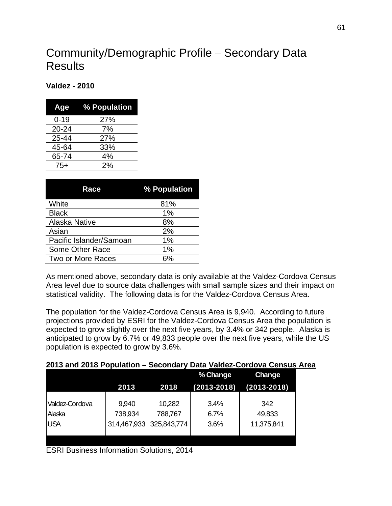# Community/Demographic Profile – Secondary Data **Results**

# **Valdez - 2010**

| Age       | % Population |
|-----------|--------------|
| $0 - 19$  | 27%          |
| $20 - 24$ | 7%           |
| 25-44     | 27%          |
| 45-64     | 33%          |
| 65-74     | 4%           |
| $75+$     | 2%           |

| Race                    | % Population |
|-------------------------|--------------|
| White                   | 81%          |
| <b>Black</b>            | 1%           |
| <b>Alaska Native</b>    | 8%           |
| Asian                   | 2%           |
| Pacific Islander/Samoan | 1%           |
| Some Other Race         | 1%           |
| Two or More Races       | 6%           |

As mentioned above, secondary data is only available at the Valdez-Cordova Census Area level due to source data challenges with small sample sizes and their impact on statistical validity. The following data is for the Valdez-Cordova Census Area.

The population for the Valdez-Cordova Census Area is 9,940. According to future projections provided by ESRI for the Valdez-Cordova Census Area the population is expected to grow slightly over the next five years, by 3.4% or 342 people. Alaska is anticipated to grow by 6.7% or 49,833 people over the next five years, while the US population is expected to grow by 3.6%.

|  | 2013 and 2018 Population - Secondary Data Valdez-Cordova Census Area |  |
|--|----------------------------------------------------------------------|--|
|--|----------------------------------------------------------------------|--|

|                |         |                         | % Change        | <b>Change</b>   |
|----------------|---------|-------------------------|-----------------|-----------------|
|                | 2013    | 2018                    | $(2013 - 2018)$ | $(2013 - 2018)$ |
|                |         |                         |                 |                 |
| Valdez-Cordova | 9,940   | 10,282                  | 3.4%            | 342             |
| Alaska         | 738,934 | 788,767                 | 6.7%            | 49,833          |
| <b>USA</b>     |         | 314,467,933 325,843,774 | 3.6%            | 11,375,841      |
|                |         |                         |                 |                 |
|                |         |                         |                 |                 |

ESRI Business Information Solutions, 2014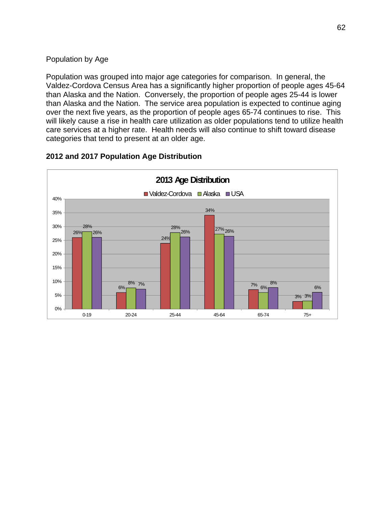# Population by Age

Population was grouped into major age categories for comparison. In general, the Valdez-Cordova Census Area has a significantly higher proportion of people ages 45-64 than Alaska and the Nation. Conversely, the proportion of people ages 25-44 is lower than Alaska and the Nation. The service area population is expected to continue aging over the next five years, as the proportion of people ages 65-74 continues to rise. This will likely cause a rise in health care utilization as older populations tend to utilize health care services at a higher rate. Health needs will also continue to shift toward disease categories that tend to present at an older age.



# **2012 and 2017 Population Age Distribution**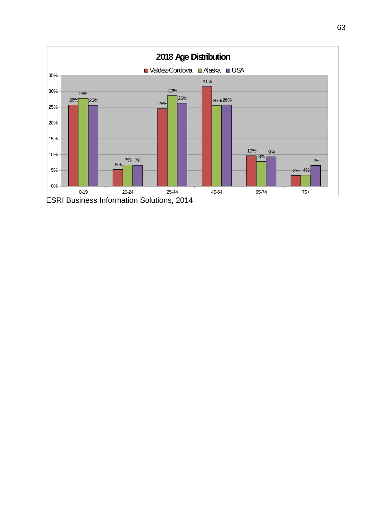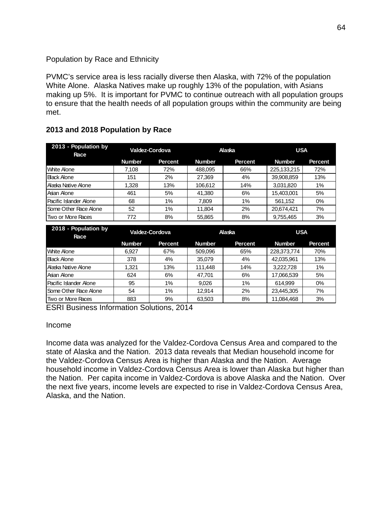# Population by Race and Ethnicity

PVMC's service area is less racially diverse then Alaska, with 72% of the population White Alone. Alaska Natives make up roughly 13% of the population, with Asians making up 5%. It is important for PVMC to continue outreach with all population groups to ensure that the health needs of all population groups within the community are being met.

| 2013 - Population by<br>Race | Valdez-Cordova |                |               | Alaska         | <b>USA</b>    |                |
|------------------------------|----------------|----------------|---------------|----------------|---------------|----------------|
|                              | <b>Number</b>  | <b>Percent</b> | <b>Number</b> | <b>Percent</b> | <b>Number</b> | <b>Percent</b> |
| <b>White Alone</b>           | 7,108          | 72%            | 488,095       | 66%            | 225,133,215   | 72%            |
| <b>Black Alone</b>           | 151            | 2%             | 27,369        | 4%             | 39,908,859    | 13%            |
| Alaska Native Alone          | 1.328          | 13%            | 106.612       | 14%            | 3,031,820     | 1%             |
| Asian Alone                  | 461            | 5%             | 41.380        | 6%             | 15,403,001    | 5%             |
| Pacific Islander Alone       | 68             | 1%             | 7.809         | 1%             | 561.152       | 0%             |
| Some Other Race Alone        | 52             | 1%             | 11.804        | 2%             | 20,674,421    | 7%             |
| Two or More Races            | 772            | 8%             | 55,865        | 8%             | 9,755,465     | 3%             |

# **2013 and 2018 Population by Race**

| 2018 - Population by<br>Race    | Valdez-Cordova |                |               | Alaska         | <b>USA</b>    |         |
|---------------------------------|----------------|----------------|---------------|----------------|---------------|---------|
|                                 | <b>Number</b>  | <b>Percent</b> | <b>Number</b> | <b>Percent</b> | <b>Number</b> | Percent |
| <b>White Alone</b>              | 6.927          | 67%            | 509.096       | 65%            | 228,373,774   | 70%     |
| <b>B</b> lack Alone             | 378            | 4%             | 35,079        | 4%             | 42,035,961    | 13%     |
| l Alaska Native Alone           | 1.321          | 13%            | 111.448       | 14%            | 3.222.728     | 1%      |
| Asian Alone                     | 624            | 6%             | 47.701        | 6%             | 17,066,539    | 5%      |
| <b>I Pacific Islander Alone</b> | 95             | 1%             | 9.026         | 1%             | 614.999       | $0\%$   |
| <b>ISome Other Race Alone</b>   | 54             | $1\%$          | 12.914        | 2%             | 23,445,305    | 7%      |
| Two or More Races               | 883            | 9%             | 63,503        | 8%             | 11,084,468    | 3%      |

ESRI Business Information Solutions, 2014

## Income

Income data was analyzed for the Valdez-Cordova Census Area and compared to the state of Alaska and the Nation. 2013 data reveals that Median household income for the Valdez-Cordova Census Area is higher than Alaska and the Nation. Average household income in Valdez-Cordova Census Area is lower than Alaska but higher than the Nation. Per capita income in Valdez-Cordova is above Alaska and the Nation. Over the next five years, income levels are expected to rise in Valdez-Cordova Census Area, Alaska, and the Nation.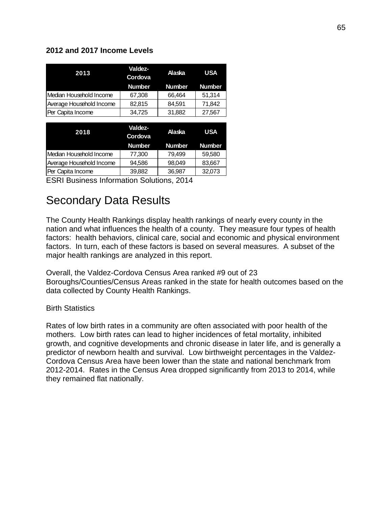# **2012 and 2017 Income Levels**

| 2013                     | Valdez-<br>Cordova | Alaska        | <b>USA</b>    |  |
|--------------------------|--------------------|---------------|---------------|--|
|                          | <b>Number</b>      | <b>Number</b> | <b>Number</b> |  |
| Median Household Income  | 67,308             | 66,464        | 51,314        |  |
| Average Household Income | 82,815             | 84.591        | 71,842        |  |
| Per Capita Income        | 34,725             | 31,882        | 27,567        |  |
|                          |                    |               |               |  |
|                          |                    |               |               |  |
| 2018                     | Valdez-<br>Cordova | Alaska        | <b>USA</b>    |  |
|                          | <b>Number</b>      | <b>Number</b> | <b>Number</b> |  |
| Median Household Income  | 77,300             | 79,499        | 59,580        |  |
| Average Household Income | 94,586             | 98,049        | 83,667        |  |

ESRI Business Information Solutions, 2014

# Secondary Data Results

The County Health Rankings display health rankings of nearly every county in the nation and what influences the health of a county. They measure four types of health factors: health behaviors, clinical care, social and economic and physical environment factors. In turn, each of these factors is based on several measures. A subset of the major health rankings are analyzed in this report.

Overall, the Valdez-Cordova Census Area ranked #9 out of 23 Boroughs/Counties/Census Areas ranked in the state for health outcomes based on the data collected by County Health Rankings.

# Birth Statistics

Rates of low birth rates in a community are often associated with poor health of the mothers. Low birth rates can lead to higher incidences of fetal mortality, inhibited growth, and cognitive developments and chronic disease in later life, and is generally a predictor of newborn health and survival. Low birthweight percentages in the Valdez-Cordova Census Area have been lower than the state and national benchmark from 2012-2014. Rates in the Census Area dropped significantly from 2013 to 2014, while they remained flat nationally.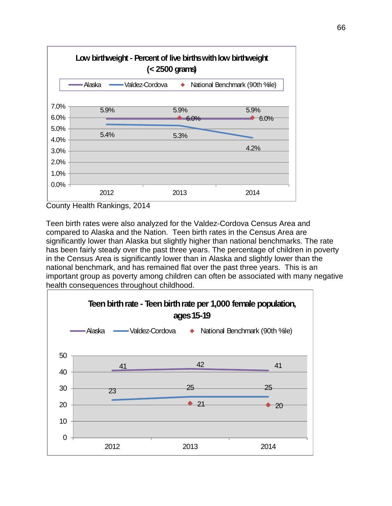

County Health Rankings, 2014

Teen birth rates were also analyzed for the Valdez-Cordova Census Area and compared to Alaska and the Nation. Teen birth rates in the Census Area are significantly lower than Alaska but slightly higher than national benchmarks. The rate has been fairly steady over the past three years. The percentage of children in poverty in the Census Area is significantly lower than in Alaska and slightly lower than the national benchmark, and has remained flat over the past three years. This is an important group as poverty among children can often be associated with many negative health consequences throughout childhood.

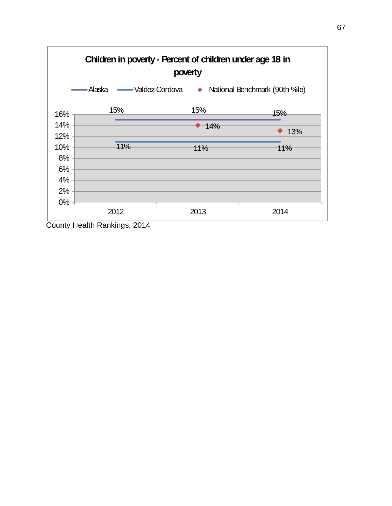

County Health Rankings, 2014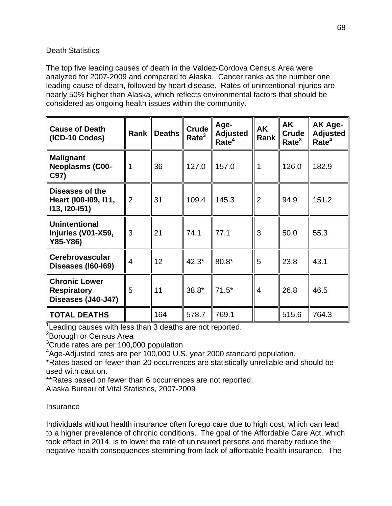# Death Statistics

The top five leading causes of death in the Valdez-Cordova Census Area were analyzed for 2007-2009 and compared to Alaska. Cancer ranks as the number one leading cause of death, followed by heart disease. Rates of unintentional injuries are nearly 50% higher than Alaska, which reflects environmental factors that should be considered as ongoing health issues within the community.

| <b>Cause of Death</b><br>(ICD-10 Codes)                          | <b>Rank</b>    | <b>Deaths</b> | Crude<br>Rate <sup>3</sup> | Age-<br><b>Adjusted</b><br>Rate <sup>4</sup> | AK<br>Rank     | AK<br>Crude<br>Rate <sup>3</sup> | AK Age-<br><b>Adjusted</b><br>Rate <sup>4</sup> |
|------------------------------------------------------------------|----------------|---------------|----------------------------|----------------------------------------------|----------------|----------------------------------|-------------------------------------------------|
| <b>Malignant</b><br><b>Neoplasms (C00-</b><br>C97)               | 1              | 36            | 127.0                      | 157.0                                        | 1              | 126.0                            | 182.9                                           |
| Diseases of the<br>Heart (100-109, 111,<br>113, 120-151)         | $\overline{2}$ | 31            | 109.4                      | 145.3                                        | $\overline{2}$ | 94.9                             | 151.2                                           |
| <b>Unintentional</b><br>Injuries (V01-X59,<br>Y85-Y86)           | 3              | 21            | 74.1                       | 77.1                                         | 3              | 50.0                             | 55.3                                            |
| <b>Cerebrovascular</b><br><b>Diseases (160-169)</b>              | $\overline{4}$ | 12            | $42.3*$                    | 80.8*                                        | 5              | 23.8                             | 43.1                                            |
| <b>Chronic Lower</b><br><b>Respiratory</b><br>Diseases (J40-J47) | 5              | 11            | 38.8*                      | $71.5*$                                      | $\overline{4}$ | 26.8                             | 46.5                                            |
| <b>TOTAL DEATHS</b>                                              |                | 164           | 578.7                      | 769.1                                        |                | 515.6                            | 764.3                                           |

<sup>1</sup> Leading causes with less than 3 deaths are not reported.

<sup>2</sup>Borough or Census Area

<sup>3</sup>Crude rates are per 100,000 population

<sup>4</sup>Age-Adjusted rates are per 100,000 U.S. year 2000 standard population.

\*Rates based on fewer than 20 occurrences are statistically unreliable and should be used with caution.

\*\*Rates based on fewer than 6 occurrences are not reported.

Alaska Bureau of Vital Statistics, 2007-2009

# **Insurance**

Individuals without health insurance often forego care due to high cost, which can lead to a higher prevalence of chronic conditions. The goal of the Affordable Care Act, which took effect in 2014, is to lower the rate of uninsured persons and thereby reduce the negative health consequences stemming from lack of affordable health insurance. The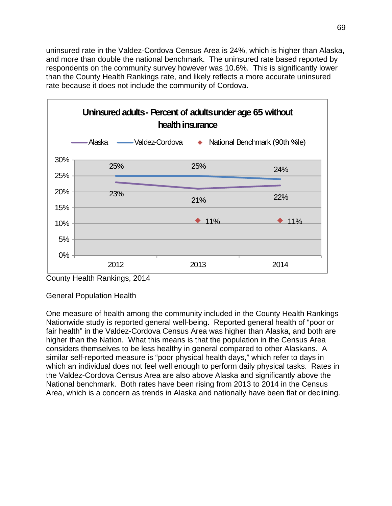uninsured rate in the Valdez-Cordova Census Area is 24%, which is higher than Alaska, and more than double the national benchmark. The uninsured rate based reported by respondents on the community survey however was 10.6%. This is significantly lower than the County Health Rankings rate, and likely reflects a more accurate uninsured rate because it does not include the community of Cordova.



County Health Rankings, 2014

General Population Health

One measure of health among the community included in the County Health Rankings Nationwide study is reported general well-being. Reported general health of "poor or fair health" in the Valdez-Cordova Census Area was higher than Alaska, and both are higher than the Nation. What this means is that the population in the Census Area considers themselves to be less healthy in general compared to other Alaskans. A similar self-reported measure is "poor physical health days," which refer to days in which an individual does not feel well enough to perform daily physical tasks. Rates in the Valdez-Cordova Census Area are also above Alaska and significantly above the National benchmark. Both rates have been rising from 2013 to 2014 in the Census Area, which is a concern as trends in Alaska and nationally have been flat or declining.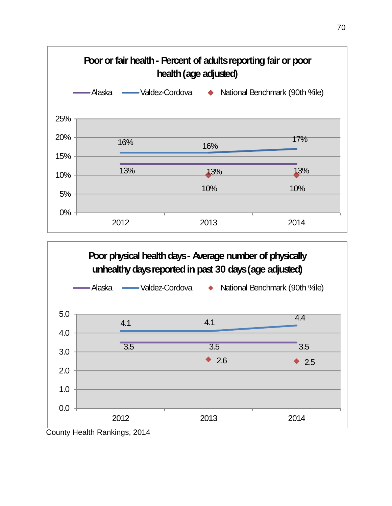



County Health Rankings, 2014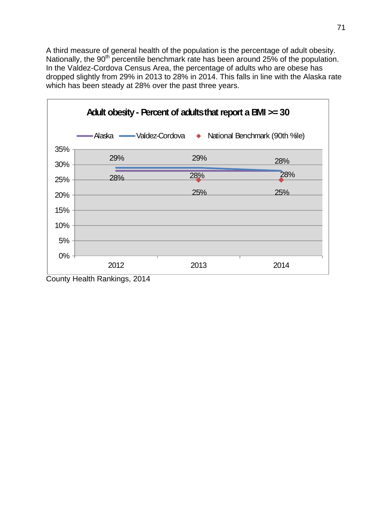A third measure of general health of the population is the percentage of adult obesity. Nationally, the 90<sup>th</sup> percentile benchmark rate has been around 25% of the population. In the Valdez-Cordova Census Area, the percentage of adults who are obese has dropped slightly from 29% in 2013 to 28% in 2014. This falls in line with the Alaska rate which has been steady at 28% over the past three years.



County Health Rankings, 2014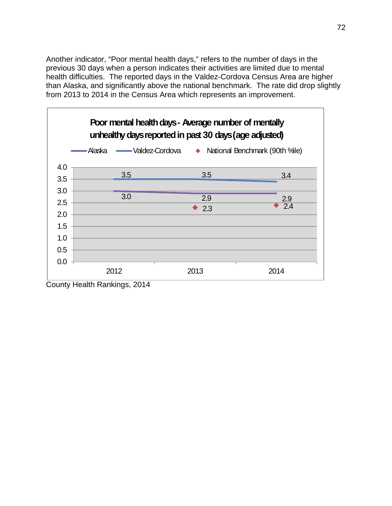Another indicator, "Poor mental health days," refers to the number of days in the previous 30 days when a person indicates their activities are limited due to mental health difficulties. The reported days in the Valdez-Cordova Census Area are higher than Alaska, and significantly above the national benchmark. The rate did drop slightly from 2013 to 2014 in the Census Area which represents an improvement.



County Health Rankings, 2014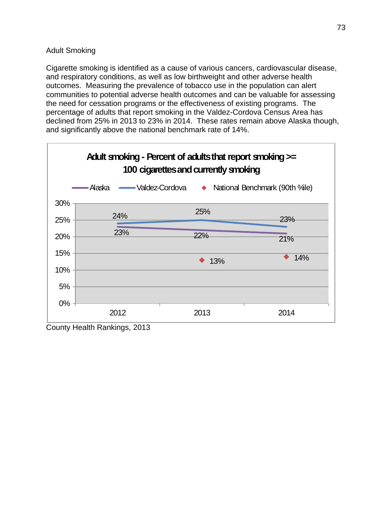## Adult Smoking

Cigarette smoking is identified as a cause of various cancers, cardiovascular disease, and respiratory conditions, as well as low birthweight and other adverse health outcomes. Measuring the prevalence of tobacco use in the population can alert communities to potential adverse health outcomes and can be valuable for assessing the need for cessation programs or the effectiveness of existing programs. The percentage of adults that report smoking in the Valdez-Cordova Census Area has declined from 25% in 2013 to 23% in 2014. These rates remain above Alaska though, and significantly above the national benchmark rate of 14%.



County Health Rankings, 2013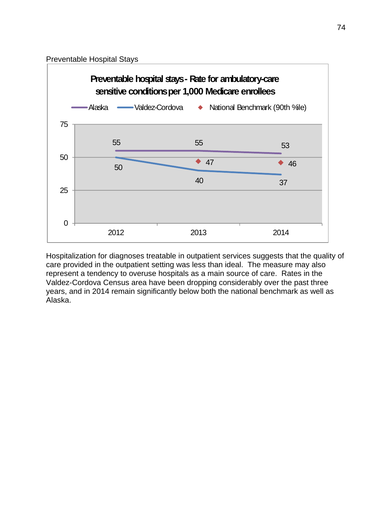Preventable Hospital Stays



Hospitalization for diagnoses treatable in outpatient services suggests that the quality of care provided in the outpatient setting was less than ideal. The measure may also represent a tendency to overuse hospitals as a main source of care. Rates in the Valdez-Cordova Census area have been dropping considerably over the past three years, and in 2014 remain significantly below both the national benchmark as well as Alaska.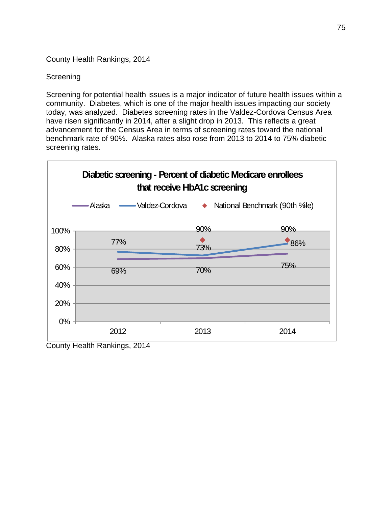County Health Rankings, 2014

# Screening

Screening for potential health issues is a major indicator of future health issues within a community. Diabetes, which is one of the major health issues impacting our society today, was analyzed. Diabetes screening rates in the Valdez-Cordova Census Area have risen significantly in 2014, after a slight drop in 2013. This reflects a great advancement for the Census Area in terms of screening rates toward the national benchmark rate of 90%. Alaska rates also rose from 2013 to 2014 to 75% diabetic screening rates.

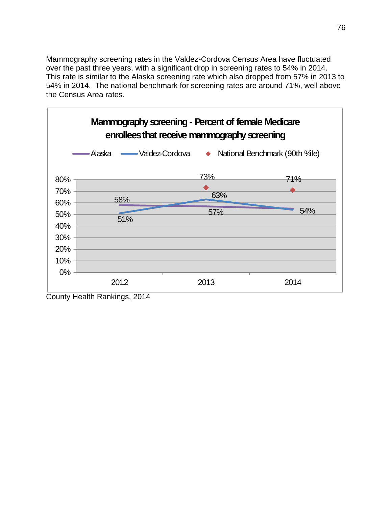Mammography screening rates in the Valdez-Cordova Census Area have fluctuated over the past three years, with a significant drop in screening rates to 54% in 2014. This rate is similar to the Alaska screening rate which also dropped from 57% in 2013 to 54% in 2014. The national benchmark for screening rates are around 71%, well above the Census Area rates.



County Health Rankings, 2014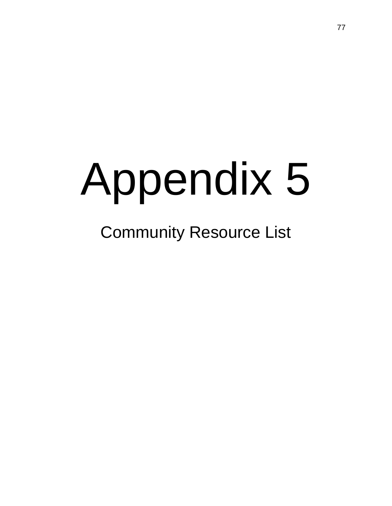# Appendix 5

# Community Resource List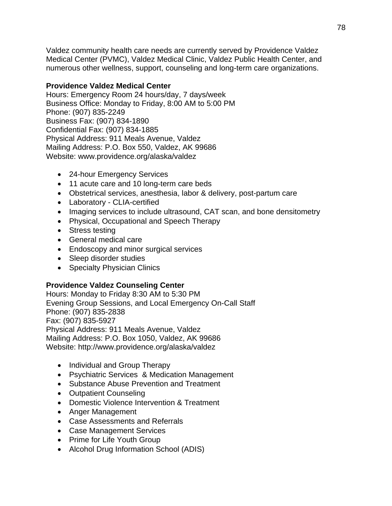Valdez community health care needs are currently served by Providence Valdez Medical Center (PVMC), Valdez Medical Clinic, Valdez Public Health Center, and numerous other wellness, support, counseling and long-term care organizations.

# **Providence Valdez Medical Center**

Hours: Emergency Room 24 hours/day, 7 days/week Business Office: Monday to Friday, 8:00 AM to 5:00 PM Phone: (907) 835-2249 Business Fax: (907) 834-1890 Confidential Fax: (907) 834-1885 Physical Address: 911 Meals Avenue, Valdez Mailing Address: P.O. Box 550, Valdez, AK 99686 Website: www.providence.org/alaska/valdez

- 24-hour Emergency Services
- 11 acute care and 10 long-term care beds
- Obstetrical services, anesthesia, labor & delivery, post-partum care
- Laboratory CLIA-certified
- Imaging services to include ultrasound, CAT scan, and bone densitometry
- Physical, Occupational and Speech Therapy
- Stress testing
- General medical care
- Endoscopy and minor surgical services
- Sleep disorder studies
- Specialty Physician Clinics

### **Providence Valdez Counseling Center**

Hours: Monday to Friday 8:30 AM to 5:30 PM Evening Group Sessions, and Local Emergency On-Call Staff Phone: (907) 835-2838 Fax: (907) 835-5927 Physical Address: 911 Meals Avenue, Valdez Mailing Address: P.O. Box 1050, Valdez, AK 99686 Website: http://www.providence.org/alaska/valdez

- Individual and Group Therapy
- Psychiatric Services & Medication Management
- Substance Abuse Prevention and Treatment
- Outpatient Counseling
- Domestic Violence Intervention & Treatment
- Anger Management
- Case Assessments and Referrals
- Case Management Services
- Prime for Life Youth Group
- Alcohol Drug Information School (ADIS)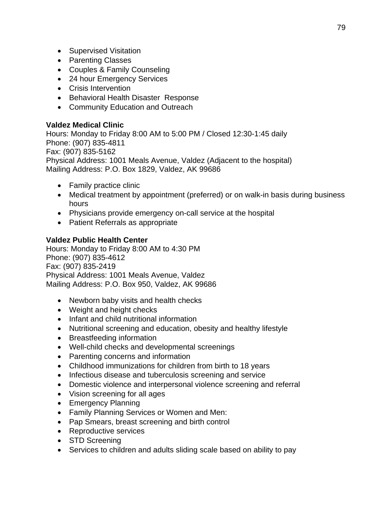- Supervised Visitation
- Parenting Classes
- Couples & Family Counseling
- 24 hour Emergency Services
- Crisis Intervention
- Behavioral Health Disaster Response
- Community Education and Outreach

## **Valdez Medical Clinic**

Hours: Monday to Friday 8:00 AM to 5:00 PM / Closed 12:30-1:45 daily Phone: (907) 835-4811 Fax: (907) 835-5162 Physical Address: 1001 Meals Avenue, Valdez (Adjacent to the hospital) Mailing Address: P.O. Box 1829, Valdez, AK 99686

- Family practice clinic
- Medical treatment by appointment (preferred) or on walk-in basis during business hours
- Physicians provide emergency on-call service at the hospital
- Patient Referrals as appropriate

# **Valdez Public Health Center**

Hours: Monday to Friday 8:00 AM to 4:30 PM Phone: (907) 835-4612 Fax: (907) 835-2419 Physical Address: 1001 Meals Avenue, Valdez Mailing Address: P.O. Box 950, Valdez, AK 99686

- Newborn baby visits and health checks
- Weight and height checks
- Infant and child nutritional information
- Nutritional screening and education, obesity and healthy lifestyle
- Breastfeeding information
- Well-child checks and developmental screenings
- Parenting concerns and information
- Childhood immunizations for children from birth to 18 years
- Infectious disease and tuberculosis screening and service
- Domestic violence and interpersonal violence screening and referral
- Vision screening for all ages
- Emergency Planning
- Family Planning Services or Women and Men:
- Pap Smears, breast screening and birth control
- Reproductive services
- STD Screening
- Services to children and adults sliding scale based on ability to pay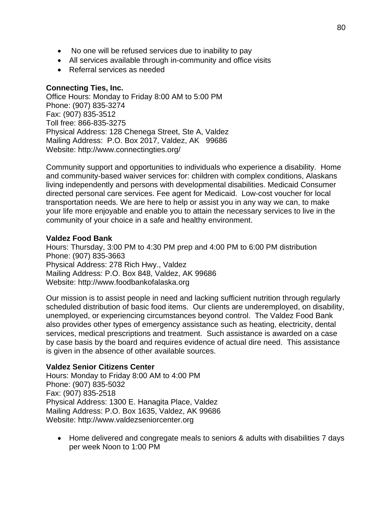- No one will be refused services due to inability to pay
- All services available through in-community and office visits
- Referral services as needed

### **Connecting Ties, Inc.**

Office Hours: Monday to Friday 8:00 AM to 5:00 PM Phone: (907) 835-3274 Fax: (907) 835-3512 Toll free: 866-835-3275 Physical Address: 128 Chenega Street, Ste A, Valdez Mailing Address: P.O. Box 2017, Valdez, AK 99686 Website: http://www.connectingties.org/

Community support and opportunities to individuals who experience a disability. Home and community-based waiver services for: children with complex conditions, Alaskans living independently and persons with developmental disabilities. Medicaid Consumer directed personal care services. Fee agent for Medicaid. Low-cost voucher for local transportation needs. We are here to help or assist you in any way we can, to make your life more enjoyable and enable you to attain the necessary services to live in the community of your choice in a safe and healthy environment.

### **Valdez Food Bank**

Hours: Thursday, 3:00 PM to 4:30 PM prep and 4:00 PM to 6:00 PM distribution Phone: (907) 835-3663 Physical Address: 278 Rich Hwy., Valdez Mailing Address: P.O. Box 848, Valdez, AK 99686 Website: http://www.foodbankofalaska.org

Our mission is to assist people in need and lacking sufficient nutrition through regularly scheduled distribution of basic food items. Our clients are underemployed, on disability, unemployed, or experiencing circumstances beyond control. The Valdez Food Bank also provides other types of emergency assistance such as heating, electricity, dental services, medical prescriptions and treatment. Such assistance is awarded on a case by case basis by the board and requires evidence of actual dire need. This assistance is given in the absence of other available sources.

### **Valdez Senior Citizens Center**

Hours: Monday to Friday 8:00 AM to 4:00 PM Phone: (907) 835-5032 Fax: (907) 835-2518 Physical Address: 1300 E. Hanagita Place, Valdez Mailing Address: P.O. Box 1635, Valdez, AK 99686 Website: http://www.valdezseniorcenter.org

 Home delivered and congregate meals to seniors & adults with disabilities 7 days per week Noon to 1:00 PM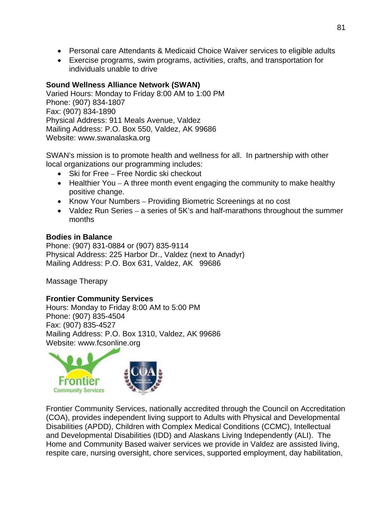- Personal care Attendants & Medicaid Choice Waiver services to eligible adults
- Exercise programs, swim programs, activities, crafts, and transportation for individuals unable to drive

# **Sound Wellness Alliance Network (SWAN)**

Varied Hours: Monday to Friday 8:00 AM to 1:00 PM Phone: (907) 834-1807 Fax: (907) 834-1890 Physical Address: 911 Meals Avenue, Valdez Mailing Address: P.O. Box 550, Valdez, AK 99686 Website: www.swanalaska.org

SWAN's mission is to promote health and wellness for all. In partnership with other local organizations our programming includes:

- Ski for Free Free Nordic ski checkout
- $\bullet$  Healthier You A three month event engaging the community to make healthy positive change.
- Know Your Numbers Providing Biometric Screenings at no cost
- Valdez Run Series a series of 5K's and half-marathons throughout the summer months

# **Bodies in Balance**

Phone: (907) 831-0884 or (907) 835-9114 Physical Address: 225 Harbor Dr., Valdez (next to Anadyr) Mailing Address: P.O. Box 631, Valdez, AK 99686

Massage Therapy

### **Frontier Community Services**

Hours: Monday to Friday 8:00 AM to 5:00 PM Phone: (907) 835-4504 Fax: (907) 835-4527 Mailing Address: P.O. Box 1310, Valdez, AK 99686 Website: www.fcsonline.org



Frontier Community Services, nationally accredited through the Council on Accreditation (COA), provides independent living support to Adults with Physical and Developmental Disabilities (APDD), Children with Complex Medical Conditions (CCMC), Intellectual and Developmental Disabilities (IDD) and Alaskans Living Independently (ALI). The Home and Community Based waiver services we provide in Valdez are assisted living, respite care, nursing oversight, chore services, supported employment, day habilitation,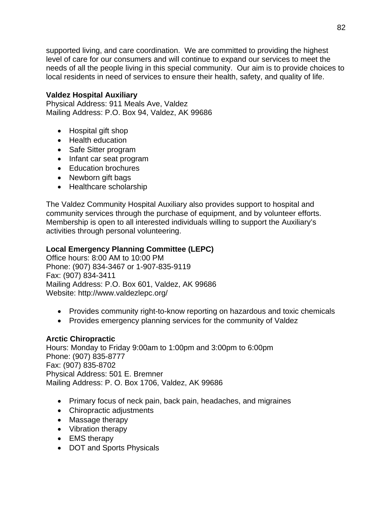supported living, and care coordination. We are committed to providing the highest level of care for our consumers and will continue to expand our services to meet the needs of all the people living in this special community. Our aim is to provide choices to local residents in need of services to ensure their health, safety, and quality of life.

# **Valdez Hospital Auxiliary**

Physical Address: 911 Meals Ave, Valdez Mailing Address: P.O. Box 94, Valdez, AK 99686

- Hospital gift shop
- Health education
- Safe Sitter program
- Infant car seat program
- Education brochures
- Newborn gift bags
- Healthcare scholarship

The Valdez Community Hospital Auxiliary also provides support to hospital and community services through the purchase of equipment, and by volunteer efforts. Membership is open to all interested individuals willing to support the Auxiliary's activities through personal volunteering.

# **Local Emergency Planning Committee (LEPC)**

Office hours: 8:00 AM to 10:00 PM Phone: (907) 834-3467 or 1-907-835-9119 Fax: (907) 834-3411 Mailing Address: P.O. Box 601, Valdez, AK 99686 Website: http://www.valdezlepc.org/

- Provides community right-to-know reporting on hazardous and toxic chemicals
- Provides emergency planning services for the community of Valdez

# **Arctic Chiropractic**

Hours: Monday to Friday 9:00am to 1:00pm and 3:00pm to 6:00pm Phone: (907) 835-8777 Fax: (907) 835-8702 Physical Address: 501 E. Bremner Mailing Address: P. O. Box 1706, Valdez, AK 99686

- Primary focus of neck pain, back pain, headaches, and migraines
- Chiropractic adjustments
- Massage therapy
- Vibration therapy
- EMS therapy
- DOT and Sports Physicals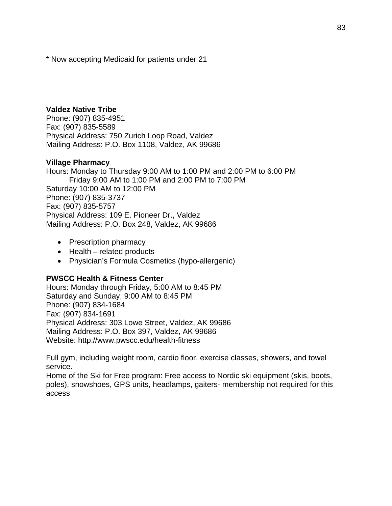\* Now accepting Medicaid for patients under 21

#### **Valdez Native Tribe**

Phone: (907) 835-4951 Fax: (907) 835-5589 Physical Address: 750 Zurich Loop Road, Valdez Mailing Address: P.O. Box 1108, Valdez, AK 99686

#### **Village Pharmacy**

Hours: Monday to Thursday 9:00 AM to 1:00 PM and 2:00 PM to 6:00 PM Friday 9:00 AM to 1:00 PM and 2:00 PM to 7:00 PM Saturday 10:00 AM to 12:00 PM Phone: (907) 835-3737 Fax: (907) 835-5757 Physical Address: 109 E. Pioneer Dr., Valdez Mailing Address: P.O. Box 248, Valdez, AK 99686

- Prescription pharmacy
- $\bullet$  Health related products
- Physician's Formula Cosmetics (hypo-allergenic)

#### **PWSCC Health & Fitness Center**

Hours: Monday through Friday, 5:00 AM to 8:45 PM Saturday and Sunday, 9:00 AM to 8:45 PM Phone: (907) 834-1684 Fax: (907) 834-1691 Physical Address: 303 Lowe Street, Valdez, AK 99686 Mailing Address: P.O. Box 397, Valdez, AK 99686 Website: http://www.pwscc.edu/health-fitness

Full gym, including weight room, cardio floor, exercise classes, showers, and towel service.

Home of the Ski for Free program: Free access to Nordic ski equipment (skis, boots, poles), snowshoes, GPS units, headlamps, gaiters- membership not required for this access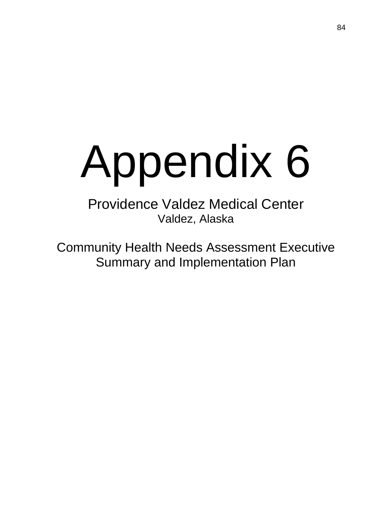# Appendix 6

Providence Valdez Medical Center Valdez, Alaska

Community Health Needs Assessment Executive Summary and Implementation Plan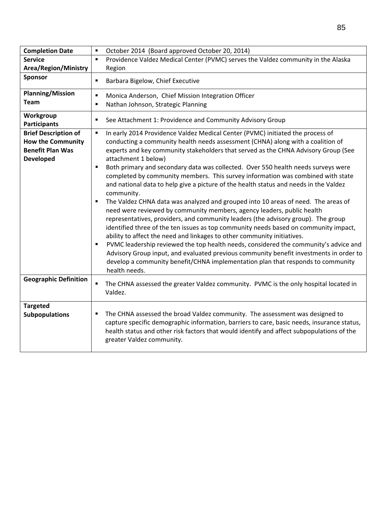| <b>Completion Date</b>                                                                                 | October 2014 (Board approved October 20, 2014)<br>$\blacksquare$                                                                                                                                                                                                                                                                                                                                                                                                                                                                                                                                                                                                                                                                                                                                                                                                                                                                                                                                                                                                                                                                                                                                                                                                                                                         |
|--------------------------------------------------------------------------------------------------------|--------------------------------------------------------------------------------------------------------------------------------------------------------------------------------------------------------------------------------------------------------------------------------------------------------------------------------------------------------------------------------------------------------------------------------------------------------------------------------------------------------------------------------------------------------------------------------------------------------------------------------------------------------------------------------------------------------------------------------------------------------------------------------------------------------------------------------------------------------------------------------------------------------------------------------------------------------------------------------------------------------------------------------------------------------------------------------------------------------------------------------------------------------------------------------------------------------------------------------------------------------------------------------------------------------------------------|
| <b>Service</b>                                                                                         | Providence Valdez Medical Center (PVMC) serves the Valdez community in the Alaska<br>$\blacksquare$                                                                                                                                                                                                                                                                                                                                                                                                                                                                                                                                                                                                                                                                                                                                                                                                                                                                                                                                                                                                                                                                                                                                                                                                                      |
| <b>Area/Region/Ministry</b>                                                                            | Region                                                                                                                                                                                                                                                                                                                                                                                                                                                                                                                                                                                                                                                                                                                                                                                                                                                                                                                                                                                                                                                                                                                                                                                                                                                                                                                   |
| Sponsor                                                                                                | Barbara Bigelow, Chief Executive<br>$\blacksquare$                                                                                                                                                                                                                                                                                                                                                                                                                                                                                                                                                                                                                                                                                                                                                                                                                                                                                                                                                                                                                                                                                                                                                                                                                                                                       |
| <b>Planning/Mission</b><br><b>Team</b>                                                                 | Monica Anderson, Chief Mission Integration Officer<br>٠<br>Nathan Johnson, Strategic Planning<br>$\blacksquare$                                                                                                                                                                                                                                                                                                                                                                                                                                                                                                                                                                                                                                                                                                                                                                                                                                                                                                                                                                                                                                                                                                                                                                                                          |
| Workgroup<br><b>Participants</b>                                                                       | See Attachment 1: Providence and Community Advisory Group<br>٠                                                                                                                                                                                                                                                                                                                                                                                                                                                                                                                                                                                                                                                                                                                                                                                                                                                                                                                                                                                                                                                                                                                                                                                                                                                           |
| <b>Brief Description of</b><br><b>How the Community</b><br><b>Benefit Plan Was</b><br><b>Developed</b> | In early 2014 Providence Valdez Medical Center (PVMC) initiated the process of<br>$\blacksquare$<br>conducting a community health needs assessment (CHNA) along with a coalition of<br>experts and key community stakeholders that served as the CHNA Advisory Group (See<br>attachment 1 below)<br>Both primary and secondary data was collected. Over 550 health needs surveys were<br>п<br>completed by community members. This survey information was combined with state<br>and national data to help give a picture of the health status and needs in the Valdez<br>community.<br>The Valdez CHNA data was analyzed and grouped into 10 areas of need. The areas of<br>п<br>need were reviewed by community members, agency leaders, public health<br>representatives, providers, and community leaders (the advisory group). The group<br>identified three of the ten issues as top community needs based on community impact,<br>ability to affect the need and linkages to other community initiatives.<br>PVMC leadership reviewed the top health needs, considered the community's advice and<br>$\blacksquare$<br>Advisory Group input, and evaluated previous community benefit investments in order to<br>develop a community benefit/CHNA implementation plan that responds to community<br>health needs. |
| <b>Geographic Definition</b>                                                                           | The CHNA assessed the greater Valdez community. PVMC is the only hospital located in<br>٠<br>Valdez.                                                                                                                                                                                                                                                                                                                                                                                                                                                                                                                                                                                                                                                                                                                                                                                                                                                                                                                                                                                                                                                                                                                                                                                                                     |
| <b>Targeted</b><br><b>Subpopulations</b>                                                               | The CHNA assessed the broad Valdez community. The assessment was designed to<br>٠<br>capture specific demographic information, barriers to care, basic needs, insurance status,<br>health status and other risk factors that would identify and affect subpopulations of the<br>greater Valdez community.                                                                                                                                                                                                                                                                                                                                                                                                                                                                                                                                                                                                                                                                                                                                                                                                                                                                                                                                                                                                                |

 $\Gamma$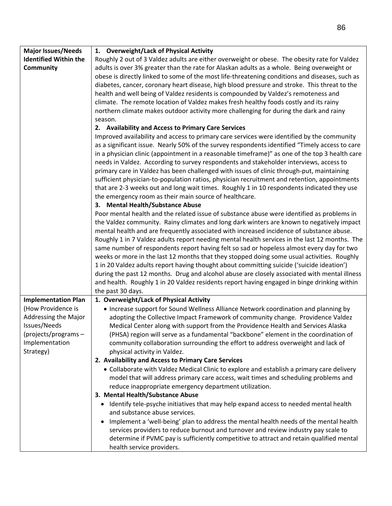| <b>Major Issues/Needs</b>    | 1. Overweight/Lack of Physical Activity                                                           |
|------------------------------|---------------------------------------------------------------------------------------------------|
| <b>Identified Within the</b> | Roughly 2 out of 3 Valdez adults are either overweight or obese. The obesity rate for Valdez      |
| Community                    | adults is over 3% greater than the rate for Alaskan adults as a whole. Being overweight or        |
|                              | obese is directly linked to some of the most life-threatening conditions and diseases, such as    |
|                              | diabetes, cancer, coronary heart disease, high blood pressure and stroke. This threat to the      |
|                              | health and well being of Valdez residents is compounded by Valdez's remoteness and                |
|                              | climate. The remote location of Valdez makes fresh healthy foods costly and its rainy             |
|                              | northern climate makes outdoor activity more challenging for during the dark and rainy            |
|                              | season.                                                                                           |
|                              | 2. Availability and Access to Primary Care Services                                               |
|                              | Improved availability and access to primary care services were identified by the community        |
|                              | as a significant issue. Nearly 50% of the survey respondents identified "Timely access to care    |
|                              | in a physician clinic (appointment in a reasonable timeframe)" as one of the top 3 health care    |
|                              |                                                                                                   |
|                              | needs in Valdez. According to survey respondents and stakeholder interviews, access to            |
|                              | primary care in Valdez has been challenged with issues of clinic through-put, maintaining         |
|                              | sufficient physician-to-population ratios, physician recruitment and retention, appointments      |
|                              | that are 2-3 weeks out and long wait times. Roughly 1 in 10 respondents indicated they use        |
|                              | the emergency room as their main source of healthcare.                                            |
|                              | 3. Mental Health/Substance Abuse                                                                  |
|                              | Poor mental health and the related issue of substance abuse were identified as problems in        |
|                              | the Valdez community. Rainy climates and long dark winters are known to negatively impact         |
|                              | mental health and are frequently associated with increased incidence of substance abuse.          |
|                              | Roughly 1 in 7 Valdez adults report needing mental health services in the last 12 months. The     |
|                              | same number of respondents report having felt so sad or hopeless almost every day for two         |
|                              | weeks or more in the last 12 months that they stopped doing some usual activities. Roughly        |
|                              | 1 in 20 Valdez adults report having thought about committing suicide ('suicide ideation')         |
|                              | during the past 12 months. Drug and alcohol abuse are closely associated with mental illness      |
|                              | and health. Roughly 1 in 20 Valdez residents report having engaged in binge drinking within       |
|                              | the past 30 days.                                                                                 |
| <b>Implementation Plan</b>   | 1. Overweight/Lack of Physical Activity                                                           |
| (How Providence is           | • Increase support for Sound Wellness Alliance Network coordination and planning by               |
| Addressing the Major         | adopting the Collective Impact Framework of community change. Providence Valdez                   |
| Issues/Needs                 | Medical Center along with support from the Providence Health and Services Alaska                  |
| (projects/programs -         | (PHSA) region will serve as a fundamental "backbone" element in the coordination of               |
| Implementation               | community collaboration surrounding the effort to address overweight and lack of                  |
| Strategy)                    | physical activity in Valdez.                                                                      |
|                              | 2. Availability and Access to Primary Care Services                                               |
|                              | • Collaborate with Valdez Medical Clinic to explore and establish a primary care delivery         |
|                              | model that will address primary care access, wait times and scheduling problems and               |
|                              | reduce inappropriate emergency department utilization.                                            |
|                              | 3. Mental Health/Substance Abuse                                                                  |
|                              | Identify tele-psyche initiatives that may help expand access to needed mental health<br>$\bullet$ |
|                              | and substance abuse services.                                                                     |
|                              | Implement a 'well-being' plan to address the mental health needs of the mental health             |
|                              | services providers to reduce burnout and turnover and review industry pay scale to                |
|                              |                                                                                                   |
|                              | determine if PVMC pay is sufficiently competitive to attract and retain qualified mental          |
|                              | health service providers.                                                                         |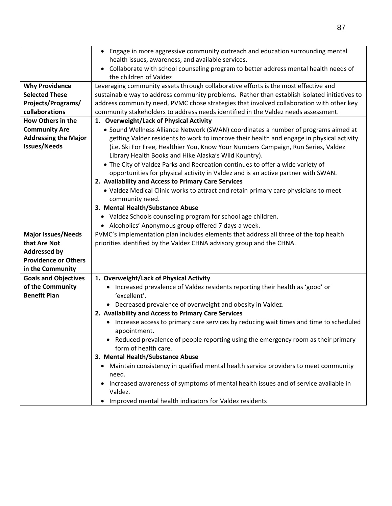|                                         | • Engage in more aggressive community outreach and education surrounding mental                               |
|-----------------------------------------|---------------------------------------------------------------------------------------------------------------|
|                                         | health issues, awareness, and available services.                                                             |
|                                         | Collaborate with school counseling program to better address mental health needs of<br>the children of Valdez |
| <b>Why Providence</b>                   | Leveraging community assets through collaborative efforts is the most effective and                           |
| <b>Selected These</b>                   | sustainable way to address community problems. Rather than establish isolated initiatives to                  |
| Projects/Programs/                      | address community need, PVMC chose strategies that involved collaboration with other key                      |
| collaborations                          | community stakeholders to address needs identified in the Valdez needs assessment.                            |
| <b>How Others in the</b>                | 1. Overweight/Lack of Physical Activity                                                                       |
| <b>Community Are</b>                    | • Sound Wellness Alliance Network (SWAN) coordinates a number of programs aimed at                            |
| <b>Addressing the Major</b>             | getting Valdez residents to work to improve their health and engage in physical activity                      |
| <b>Issues/Needs</b>                     | (i.e. Ski For Free, Healthier You, Know Your Numbers Campaign, Run Series, Valdez                             |
|                                         | Library Health Books and Hike Alaska's Wild Kountry).                                                         |
|                                         | • The City of Valdez Parks and Recreation continues to offer a wide variety of                                |
|                                         | opportunities for physical activity in Valdez and is an active partner with SWAN.                             |
|                                         | 2. Availability and Access to Primary Care Services                                                           |
|                                         | • Valdez Medical Clinic works to attract and retain primary care physicians to meet                           |
|                                         | community need.                                                                                               |
|                                         | 3. Mental Health/Substance Abuse                                                                              |
|                                         | • Valdez Schools counseling program for school age children.                                                  |
|                                         | • Alcoholics' Anonymous group offered 7 days a week.                                                          |
| <b>Major Issues/Needs</b>               | PVMC's implementation plan includes elements that address all three of the top health                         |
| that Are Not                            | priorities identified by the Valdez CHNA advisory group and the CHNA.                                         |
| <b>Addressed by</b>                     |                                                                                                               |
| <b>Providence or Others</b>             |                                                                                                               |
| in the Community                        |                                                                                                               |
| <b>Goals and Objectives</b>             | 1. Overweight/Lack of Physical Activity                                                                       |
| of the Community<br><b>Benefit Plan</b> | • Increased prevalence of Valdez residents reporting their health as 'good' or<br>'excellent'.                |
|                                         | • Decreased prevalence of overweight and obesity in Valdez.                                                   |
|                                         | 2. Availability and Access to Primary Care Services                                                           |
|                                         | Increase access to primary care services by reducing wait times and time to scheduled                         |
|                                         | appointment.                                                                                                  |
|                                         | • Reduced prevalence of people reporting using the emergency room as their primary<br>form of health care.    |
|                                         | 3. Mental Health/Substance Abuse                                                                              |
|                                         | Maintain consistency in qualified mental health service providers to meet community<br>$\bullet$<br>need.     |
|                                         | Increased awareness of symptoms of mental health issues and of service available in<br>Valdez.                |
|                                         | Improved mental health indicators for Valdez residents                                                        |